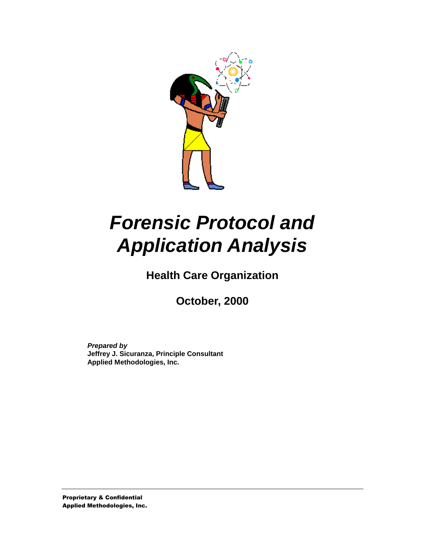

# *Forensic Protocol and Application Analysis*

**Health Care Organization**

**October, 2000**

*Prepared by* **Jeffrey J. Sicuranza, Principle Consultant Applied Methodologies, Inc.**

Proprietary & Confidential Applied Methodologies, Inc.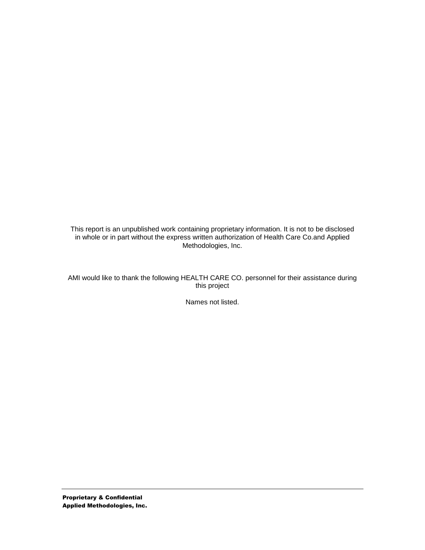This report is an unpublished work containing proprietary information. It is not to be disclosed in whole or in part without the express written authorization of Health Care Co.and Applied Methodologies, Inc.

AMI would like to thank the following HEALTH CARE CO. personnel for their assistance during this project

Names not listed.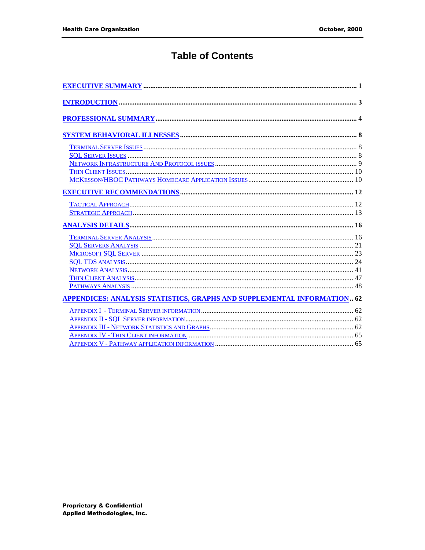# **Table of Contents**

| <b>APPENDICES: ANALYSIS STATISTICS, GRAPHS AND SUPPLEMENTAL INFORMATION 62</b> |  |
|--------------------------------------------------------------------------------|--|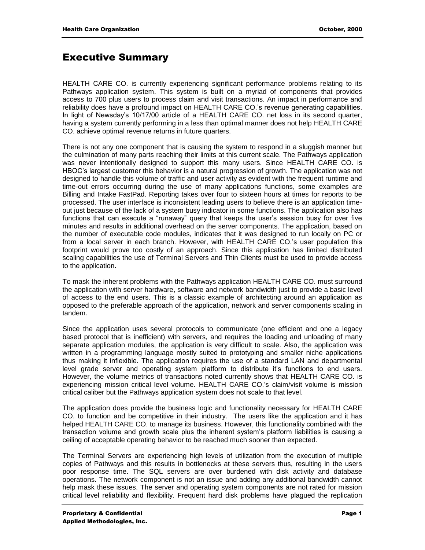# Executive Summary

HEALTH CARE CO. is currently experiencing significant performance problems relating to its Pathways application system. This system is built on a myriad of components that provides access to 700 plus users to process claim and visit transactions. An impact in performance and reliability does have a profound impact on HEALTH CARE CO.'s revenue generating capabilities. In light of Newsday's 10/17/00 article of a HEALTH CARE CO. net loss in its second quarter, having a system currently performing in a less than optimal manner does not help HEALTH CARE CO. achieve optimal revenue returns in future quarters.

There is not any one component that is causing the system to respond in a sluggish manner but the culmination of many parts reaching their limits at this current scale. The Pathways application was never intentionally designed to support this many users. Since HEALTH CARE CO. is HBOC's largest customer this behavior is a natural progression of growth. The application was not designed to handle this volume of traffic and user activity as evident with the frequent runtime and time-out errors occurring during the use of many applications functions, some examples are Billing and Intake FastPad. Reporting takes over four to sixteen hours at times for reports to be processed. The user interface is inconsistent leading users to believe there is an application timeout just because of the lack of a system busy indicator in some functions. The application also has functions that can execute a "runaway" query that keeps the user's session busy for over five minutes and results in additional overhead on the server components. The application, based on the number of executable code modules, indicates that it was designed to run locally on PC or from a local server in each branch. However, with HEALTH CARE CO.'s user population this footprint would prove too costly of an approach. Since this application has limited distributed scaling capabilities the use of Terminal Servers and Thin Clients must be used to provide access to the application.

To mask the inherent problems with the Pathways application HEALTH CARE CO. must surround the application with server hardware, software and network bandwidth just to provide a basic level of access to the end users. This is a classic example of architecting around an application as opposed to the preferable approach of the application, network and server components scaling in tandem.

Since the application uses several protocols to communicate (one efficient and one a legacy based protocol that is inefficient) with servers, and requires the loading and unloading of many separate application modules, the application is very difficult to scale. Also, the application was written in a programming language mostly suited to prototyping and smaller niche applications thus making it inflexible. The application requires the use of a standard LAN and departmental level grade server and operating system platform to distribute it's functions to end users. However, the volume metrics of transactions noted currently shows that HEALTH CARE CO. is experiencing mission critical level volume. HEALTH CARE CO.'s claim/visit volume is mission critical caliber but the Pathways application system does not scale to that level.

The application does provide the business logic and functionality necessary for HEALTH CARE CO. to function and be competitive in their industry. The users like the application and it has helped HEALTH CARE CO. to manage its business. However, this functionality combined with the transaction volume and growth scale plus the inherent system's platform liabilities is causing a ceiling of acceptable operating behavior to be reached much sooner than expected.

The Terminal Servers are experiencing high levels of utilization from the execution of multiple copies of Pathways and this results in bottlenecks at these servers thus, resulting in the users poor response time. The SQL servers are over burdened with disk activity and database operations. The network component is not an issue and adding any additional bandwidth cannot help mask these issues. The server and operating system components are not rated for mission critical level reliability and flexibility. Frequent hard disk problems have plagued the replication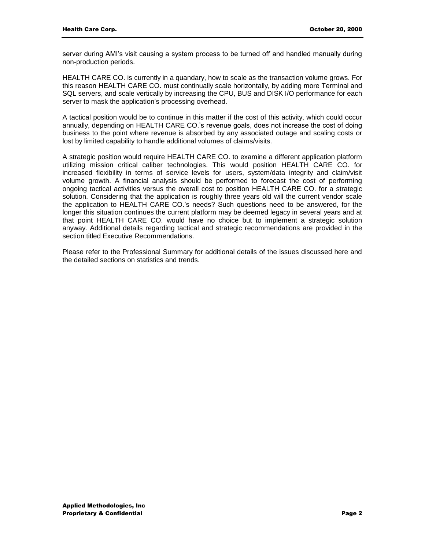server during AMI's visit causing a system process to be turned off and handled manually during non-production periods.

HEALTH CARE CO. is currently in a quandary, how to scale as the transaction volume grows. For this reason HEALTH CARE CO. must continually scale horizontally, by adding more Terminal and SQL servers, and scale vertically by increasing the CPU, BUS and DISK I/O performance for each server to mask the application's processing overhead.

A tactical position would be to continue in this matter if the cost of this activity, which could occur annually, depending on HEALTH CARE CO.'s revenue goals, does not increase the cost of doing business to the point where revenue is absorbed by any associated outage and scaling costs or lost by limited capability to handle additional volumes of claims/visits.

A strategic position would require HEALTH CARE CO. to examine a different application platform utilizing mission critical caliber technologies. This would position HEALTH CARE CO. for increased flexibility in terms of service levels for users, system/data integrity and claim/visit volume growth. A financial analysis should be performed to forecast the cost of performing ongoing tactical activities versus the overall cost to position HEALTH CARE CO. for a strategic solution. Considering that the application is roughly three years old will the current vendor scale the application to HEALTH CARE CO.'s needs? Such questions need to be answered, for the longer this situation continues the current platform may be deemed legacy in several years and at that point HEALTH CARE CO. would have no choice but to implement a strategic solution anyway. Additional details regarding tactical and strategic recommendations are provided in the section titled Executive Recommendations.

Please refer to the Professional Summary for additional details of the issues discussed here and the detailed sections on statistics and trends.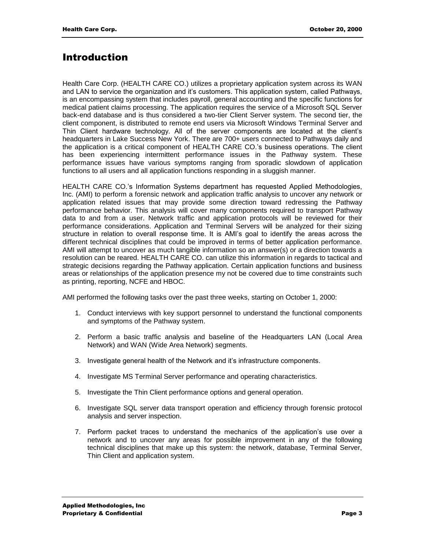# Introduction

Health Care Corp. (HEALTH CARE CO.) utilizes a proprietary application system across its WAN and LAN to service the organization and it's customers. This application system, called Pathways, is an encompassing system that includes payroll, general accounting and the specific functions for medical patient claims processing. The application requires the service of a Microsoft SQL Server back-end database and is thus considered a two-tier Client Server system. The second tier, the client component, is distributed to remote end users via Microsoft Windows Terminal Server and Thin Client hardware technology. All of the server components are located at the client's headquarters in Lake Success New York. There are 700+ users connected to Pathways daily and the application is a critical component of HEALTH CARE CO.'s business operations. The client has been experiencing intermittent performance issues in the Pathway system. These performance issues have various symptoms ranging from sporadic slowdown of application functions to all users and all application functions responding in a sluggish manner.

HEALTH CARE CO.'s Information Systems department has requested Applied Methodologies, Inc. (AMI) to perform a forensic network and application traffic analysis to uncover any network or application related issues that may provide some direction toward redressing the Pathway performance behavior. This analysis will cover many components required to transport Pathway data to and from a user. Network traffic and application protocols will be reviewed for their performance considerations. Application and Terminal Servers will be analyzed for their sizing structure in relation to overall response time. It is AMI's goal to identify the areas across the different technical disciplines that could be improved in terms of better application performance. AMI will attempt to uncover as much tangible information so an answer(s) or a direction towards a resolution can be reared. HEALTH CARE CO. can utilize this information in regards to tactical and strategic decisions regarding the Pathway application. Certain application functions and business areas or relationships of the application presence my not be covered due to time constraints such as printing, reporting, NCFE and HBOC.

AMI performed the following tasks over the past three weeks, starting on October 1, 2000:

- 1. Conduct interviews with key support personnel to understand the functional components and symptoms of the Pathway system.
- 2. Perform a basic traffic analysis and baseline of the Headquarters LAN (Local Area Network) and WAN (Wide Area Network) segments.
- 3. Investigate general health of the Network and it's infrastructure components.
- 4. Investigate MS Terminal Server performance and operating characteristics.
- 5. Investigate the Thin Client performance options and general operation.
- 6. Investigate SQL server data transport operation and efficiency through forensic protocol analysis and server inspection.
- 7. Perform packet traces to understand the mechanics of the application's use over a network and to uncover any areas for possible improvement in any of the following technical disciplines that make up this system: the network, database, Terminal Server, Thin Client and application system.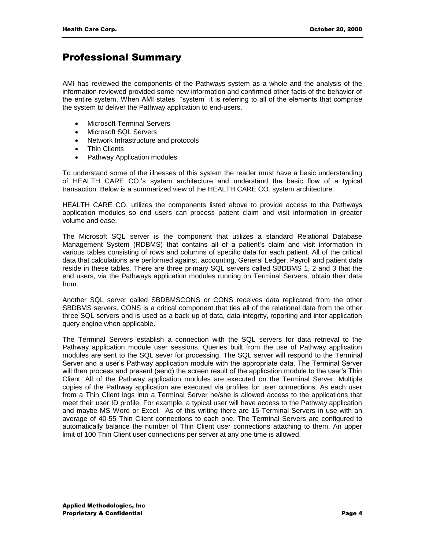# Professional Summary

AMI has reviewed the components of the Pathways system as a whole and the analysis of the information reviewed provided some new information and confirmed other facts of the behavior of the entire system. When AMI states "system" it is referring to all of the elements that comprise the system to deliver the Pathway application to end-users.

- Microsoft Terminal Servers
- Microsoft SQL Servers
- Network Infrastructure and protocols
- Thin Clients
- Pathway Application modules

To understand some of the illnesses of this system the reader must have a basic understanding of HEALTH CARE CO.'s system architecture and understand the basic flow of a typical transaction. Below is a summarized view of the HEALTH CARE CO. system architecture.

HEALTH CARE CO. utilizes the components listed above to provide access to the Pathways application modules so end users can process patient claim and visit information in greater volume and ease.

The Microsoft SQL server is the component that utilizes a standard Relational Database Management System (RDBMS) that contains all of a patient's claim and visit information in various tables consisting of rows and columns of specific data for each patient. All of the critical data that calculations are performed against, accounting, General Ledger, Payroll and patient data reside in these tables. There are three primary SQL servers called SBDBMS 1, 2 and 3 that the end users, via the Pathways application modules running on Terminal Servers, obtain their data from.

Another SQL server called SBDBMSCONS or CONS receives data replicated from the other SBDBMS servers. CONS is a critical component that ties all of the relational data from the other three SQL servers and is used as a back up of data, data integrity, reporting and inter application query engine when applicable.

The Terminal Servers establish a connection with the SQL servers for data retrieval to the Pathway application module user sessions. Queries built from the use of Pathway application modules are sent to the SQL sever for processing. The SQL server will respond to the Terminal Server and a user's Pathway application module with the appropriate data. The Terminal Server will then process and present (send) the screen result of the application module to the user's Thin Client. All of the Pathway application modules are executed on the Terminal Server. Multiple copies of the Pathway application are executed via profiles for user connections. As each user from a Thin Client logs into a Terminal Server he/she is allowed access to the applications that meet their user ID profile. For example, a typical user will have access to the Pathway application and maybe MS Word or Excel. As of this writing there are 15 Terminal Servers in use with an average of 40-55 Thin Client connections to each one. The Terminal Servers are configured to automatically balance the number of Thin Client user connections attaching to them. An upper limit of 100 Thin Client user connections per server at any one time is allowed.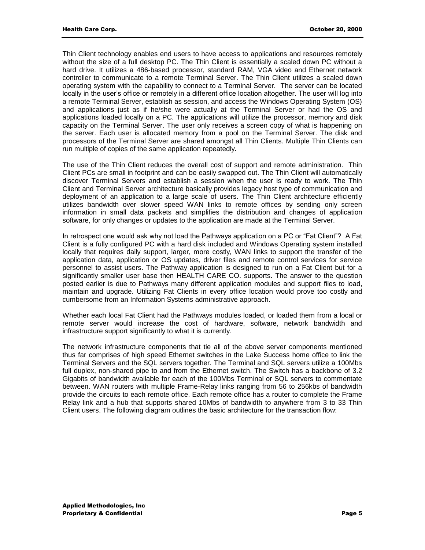Thin Client technology enables end users to have access to applications and resources remotely without the size of a full desktop PC. The Thin Client is essentially a scaled down PC without a hard drive. It utilizes a 486-based processor, standard RAM, VGA video and Ethernet network controller to communicate to a remote Terminal Server. The Thin Client utilizes a scaled down operating system with the capability to connect to a Terminal Server. The server can be located locally in the user's office or remotely in a different office location altogether. The user will log into a remote Terminal Server, establish as session, and access the Windows Operating System (OS) and applications just as if he/she were actually at the Terminal Server or had the OS and applications loaded locally on a PC. The applications will utilize the processor, memory and disk capacity on the Terminal Server. The user only receives a screen copy of what is happening on the server. Each user is allocated memory from a pool on the Terminal Server. The disk and processors of the Terminal Server are shared amongst all Thin Clients. Multiple Thin Clients can run multiple of copies of the same application repeatedly.

The use of the Thin Client reduces the overall cost of support and remote administration. Thin Client PCs are small in footprint and can be easily swapped out. The Thin Client will automatically discover Terminal Servers and establish a session when the user is ready to work. The Thin Client and Terminal Server architecture basically provides legacy host type of communication and deployment of an application to a large scale of users. The Thin Client architecture efficiently utilizes bandwidth over slower speed WAN links to remote offices by sending only screen information in small data packets and simplifies the distribution and changes of application software, for only changes or updates to the application are made at the Terminal Server.

In retrospect one would ask why not load the Pathways application on a PC or "Fat Client"? A Fat Client is a fully configured PC with a hard disk included and Windows Operating system installed locally that requires daily support, larger, more costly, WAN links to support the transfer of the application data, application or OS updates, driver files and remote control services for service personnel to assist users. The Pathway application is designed to run on a Fat Client but for a significantly smaller user base then HEALTH CARE CO. supports. The answer to the question posted earlier is due to Pathways many different application modules and support files to load, maintain and upgrade. Utilizing Fat Clients in every office location would prove too costly and cumbersome from an Information Systems administrative approach.

Whether each local Fat Client had the Pathways modules loaded, or loaded them from a local or remote server would increase the cost of hardware, software, network bandwidth and infrastructure support significantly to what it is currently.

The network infrastructure components that tie all of the above server components mentioned thus far comprises of high speed Ethernet switches in the Lake Success home office to link the Terminal Servers and the SQL servers together. The Terminal and SQL servers utilize a 100Mbs full duplex, non-shared pipe to and from the Ethernet switch. The Switch has a backbone of 3.2 Gigabits of bandwidth available for each of the 100Mbs Terminal or SQL servers to commentate between. WAN routers with multiple Frame-Relay links ranging from 56 to 256kbs of bandwidth provide the circuits to each remote office. Each remote office has a router to complete the Frame Relay link and a hub that supports shared 10Mbs of bandwidth to anywhere from 3 to 33 Thin Client users. The following diagram outlines the basic architecture for the transaction flow: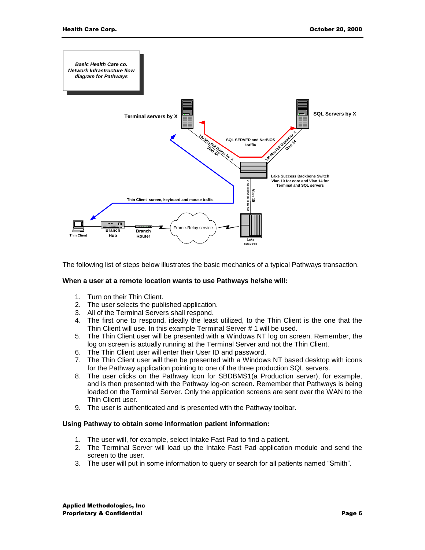

The following list of steps below illustrates the basic mechanics of a typical Pathways transaction.

#### **When a user at a remote location wants to use Pathways he/she will:**

- 1. Turn on their Thin Client.
- 2. The user selects the published application.
- 3. All of the Terminal Servers shall respond.
- 4. The first one to respond, ideally the least utilized, to the Thin Client is the one that the Thin Client will use. In this example Terminal Server # 1 will be used.
- 5. The Thin Client user will be presented with a Windows NT log on screen. Remember, the log on screen is actually running at the Terminal Server and not the Thin Client.
- 6. The Thin Client user will enter their User ID and password.
- 7. The Thin Client user will then be presented with a Windows NT based desktop with icons for the Pathway application pointing to one of the three production SQL servers.
- 8. The user clicks on the Pathway Icon for SBDBMS1(a Production server), for example, and is then presented with the Pathway log-on screen. Remember that Pathways is being loaded on the Terminal Server. Only the application screens are sent over the WAN to the Thin Client user.
- 9. The user is authenticated and is presented with the Pathway toolbar.

#### **Using Pathway to obtain some information patient information:**

- 1. The user will, for example, select Intake Fast Pad to find a patient.
- 2. The Terminal Server will load up the Intake Fast Pad application module and send the screen to the user.
- 3. The user will put in some information to query or search for all patients named "Smith".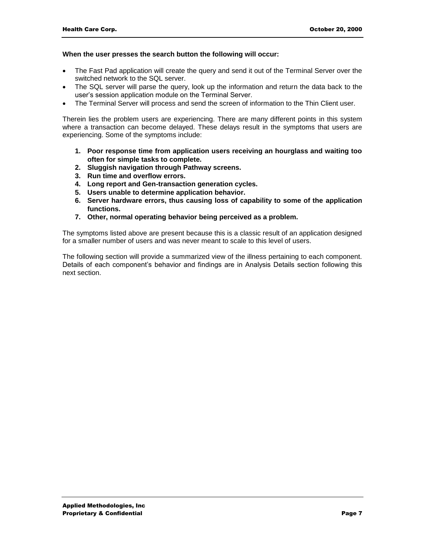#### **When the user presses the search button the following will occur:**

- The Fast Pad application will create the query and send it out of the Terminal Server over the switched network to the SQL server.
- The SQL server will parse the query, look up the information and return the data back to the user's session application module on the Terminal Server.
- The Terminal Server will process and send the screen of information to the Thin Client user.

Therein lies the problem users are experiencing. There are many different points in this system where a transaction can become delayed. These delays result in the symptoms that users are experiencing. Some of the symptoms include:

- **1. Poor response time from application users receiving an hourglass and waiting too often for simple tasks to complete.**
- **2. Sluggish navigation through Pathway screens.**
- **3. Run time and overflow errors.**
- **4. Long report and Gen-transaction generation cycles.**
- **5. Users unable to determine application behavior.**
- **6. Server hardware errors, thus causing loss of capability to some of the application functions.**
- **7. Other, normal operating behavior being perceived as a problem.**

The symptoms listed above are present because this is a classic result of an application designed for a smaller number of users and was never meant to scale to this level of users.

The following section will provide a summarized view of the illness pertaining to each component. Details of each component's behavior and findings are in Analysis Details section following this next section.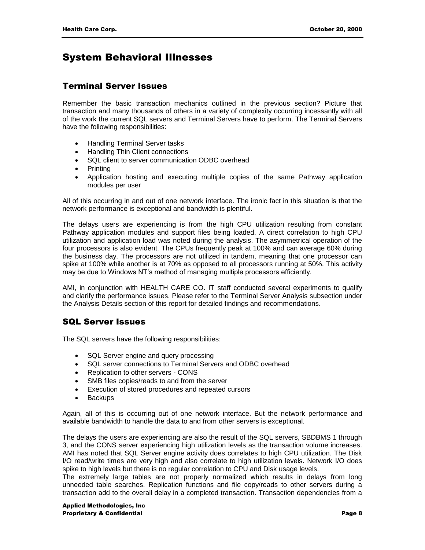# System Behavioral Illnesses

# Terminal Server Issues

Remember the basic transaction mechanics outlined in the previous section? Picture that transaction and many thousands of others in a variety of complexity occurring incessantly with all of the work the current SQL servers and Terminal Servers have to perform. The Terminal Servers have the following responsibilities:

- Handling Terminal Server tasks
- Handling Thin Client connections
- SQL client to server communication ODBC overhead
- Printing
- Application hosting and executing multiple copies of the same Pathway application modules per user

All of this occurring in and out of one network interface. The ironic fact in this situation is that the network performance is exceptional and bandwidth is plentiful.

The delays users are experiencing is from the high CPU utilization resulting from constant Pathway application modules and support files being loaded. A direct correlation to high CPU utilization and application load was noted during the analysis. The asymmetrical operation of the four processors is also evident. The CPUs frequently peak at 100% and can average 60% during the business day. The processors are not utilized in tandem, meaning that one processor can spike at 100% while another is at 70% as opposed to all processors running at 50%. This activity may be due to Windows NT's method of managing multiple processors efficiently.

AMI, in conjunction with HEALTH CARE CO. IT staff conducted several experiments to qualify and clarify the performance issues. Please refer to the Terminal Server Analysis subsection under the Analysis Details section of this report for detailed findings and recommendations.

# SQL Server Issues

The SQL servers have the following responsibilities:

- SQL Server engine and query processing
- SQL server connections to Terminal Servers and ODBC overhead
- Replication to other servers CONS
- SMB files copies/reads to and from the server
- Execution of stored procedures and repeated cursors
- **Backups**

Again, all of this is occurring out of one network interface. But the network performance and available bandwidth to handle the data to and from other servers is exceptional.

The delays the users are experiencing are also the result of the SQL servers, SBDBMS 1 through 3, and the CONS server experiencing high utilization levels as the transaction volume increases. AMI has noted that SQL Server engine activity does correlates to high CPU utilization. The Disk I/O read/write times are very high and also correlate to high utilization levels. Network I/O does spike to high levels but there is no regular correlation to CPU and Disk usage levels.

The extremely large tables are not properly normalized which results in delays from long unneeded table searches. Replication functions and file copy/reads to other servers during a transaction add to the overall delay in a completed transaction. Transaction dependencies from a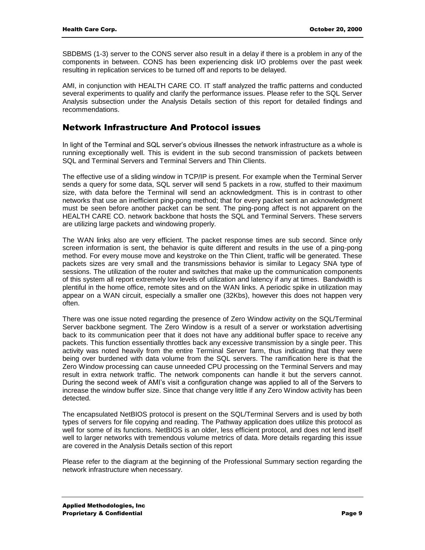SBDBMS (1-3) server to the CONS server also result in a delay if there is a problem in any of the components in between. CONS has been experiencing disk I/O problems over the past week resulting in replication services to be turned off and reports to be delayed.

AMI, in conjunction with HEALTH CARE CO. IT staff analyzed the traffic patterns and conducted several experiments to qualify and clarify the performance issues. Please refer to the SQL Server Analysis subsection under the Analysis Details section of this report for detailed findings and recommendations.

### Network Infrastructure And Protocol issues

In light of the Terminal and SQL server's obvious illnesses the network infrastructure as a whole is running exceptionally well. This is evident in the sub second transmission of packets between SQL and Terminal Servers and Terminal Servers and Thin Clients.

The effective use of a sliding window in TCP/IP is present. For example when the Terminal Server sends a query for some data, SQL server will send 5 packets in a row, stuffed to their maximum size, with data before the Terminal will send an acknowledgment. This is in contrast to other networks that use an inefficient ping-pong method; that for every packet sent an acknowledgment must be seen before another packet can be sent. The ping-pong affect is not apparent on the HEALTH CARE CO. network backbone that hosts the SQL and Terminal Servers. These servers are utilizing large packets and windowing properly.

The WAN links also are very efficient. The packet response times are sub second. Since only screen information is sent, the behavior is quite different and results in the use of a ping-pong method. For every mouse move and keystroke on the Thin Client, traffic will be generated. These packets sizes are very small and the transmissions behavior is similar to Legacy SNA type of sessions. The utilization of the router and switches that make up the communication components of this system all report extremely low levels of utilization and latency if any at times. Bandwidth is plentiful in the home office, remote sites and on the WAN links. A periodic spike in utilization may appear on a WAN circuit, especially a smaller one (32Kbs), however this does not happen very often.

There was one issue noted regarding the presence of Zero Window activity on the SQL/Terminal Server backbone segment. The Zero Window is a result of a server or workstation advertising back to its communication peer that it does not have any additional buffer space to receive any packets. This function essentially throttles back any excessive transmission by a single peer. This activity was noted heavily from the entire Terminal Server farm, thus indicating that they were being over burdened with data volume from the SQL servers. The ramification here is that the Zero Window processing can cause unneeded CPU processing on the Terminal Servers and may result in extra network traffic. The network components can handle it but the servers cannot. During the second week of AMI's visit a configuration change was applied to all of the Servers to increase the window buffer size. Since that change very little if any Zero Window activity has been detected.

The encapsulated NetBIOS protocol is present on the SQL/Terminal Servers and is used by both types of servers for file copying and reading. The Pathway application does utilize this protocol as well for some of its functions. NetBIOS is an older, less efficient protocol, and does not lend itself well to larger networks with tremendous volume metrics of data. More details regarding this issue are covered in the Analysis Details section of this report

Please refer to the diagram at the beginning of the Professional Summary section regarding the network infrastructure when necessary.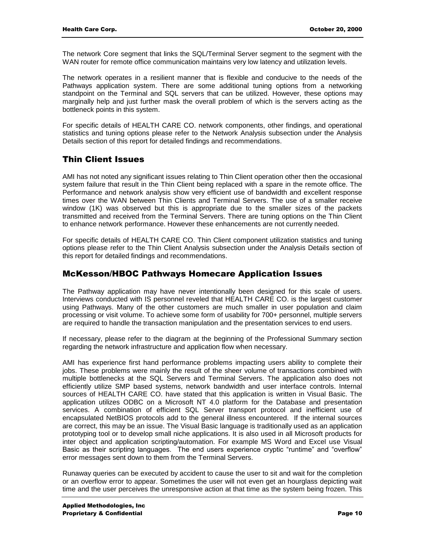The network Core segment that links the SQL/Terminal Server segment to the segment with the WAN router for remote office communication maintains very low latency and utilization levels.

The network operates in a resilient manner that is flexible and conducive to the needs of the Pathways application system. There are some additional tuning options from a networking standpoint on the Terminal and SQL servers that can be utilized. However, these options may marginally help and just further mask the overall problem of which is the servers acting as the bottleneck points in this system.

For specific details of HEALTH CARE CO. network components, other findings, and operational statistics and tuning options please refer to the Network Analysis subsection under the Analysis Details section of this report for detailed findings and recommendations.

# Thin Client Issues

AMI has not noted any significant issues relating to Thin Client operation other then the occasional system failure that result in the Thin Client being replaced with a spare in the remote office. The Performance and network analysis show very efficient use of bandwidth and excellent response times over the WAN between Thin Clients and Terminal Servers. The use of a smaller receive window (1K) was observed but this is appropriate due to the smaller sizes of the packets transmitted and received from the Terminal Servers. There are tuning options on the Thin Client to enhance network performance. However these enhancements are not currently needed.

For specific details of HEALTH CARE CO. Thin Client component utilization statistics and tuning options please refer to the Thin Client Analysis subsection under the Analysis Details section of this report for detailed findings and recommendations.

### McKesson/HBOC Pathways Homecare Application Issues

The Pathway application may have never intentionally been designed for this scale of users. Interviews conducted with IS personnel reveled that HEALTH CARE CO. is the largest customer using Pathways. Many of the other customers are much smaller in user population and claim processing or visit volume. To achieve some form of usability for 700+ personnel, multiple servers are required to handle the transaction manipulation and the presentation services to end users.

If necessary, please refer to the diagram at the beginning of the Professional Summary section regarding the network infrastructure and application flow when necessary.

AMI has experience first hand performance problems impacting users ability to complete their jobs. These problems were mainly the result of the sheer volume of transactions combined with multiple bottlenecks at the SQL Servers and Terminal Servers. The application also does not efficiently utilize SMP based systems, network bandwidth and user interface controls. Internal sources of HEALTH CARE CO. have stated that this application is written in Visual Basic. The application utilizes ODBC on a Microsoft NT 4.0 platform for the Database and presentation services. A combination of efficient SQL Server transport protocol and inefficient use of encapsulated NetBIOS protocols add to the general illness encountered. If the internal sources are correct, this may be an issue. The Visual Basic language is traditionally used as an application prototyping tool or to develop small niche applications. It is also used in all Microsoft products for inter object and application scripting/automation. For example MS Word and Excel use Visual Basic as their scripting languages. The end users experience cryptic "runtime" and "overflow" error messages sent down to them from the Terminal Servers.

Runaway queries can be executed by accident to cause the user to sit and wait for the completion or an overflow error to appear. Sometimes the user will not even get an hourglass depicting wait time and the user perceives the unresponsive action at that time as the system being frozen. This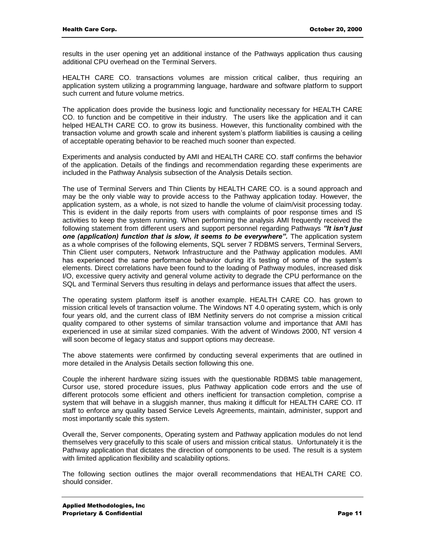results in the user opening yet an additional instance of the Pathways application thus causing additional CPU overhead on the Terminal Servers.

HEALTH CARE CO. transactions volumes are mission critical caliber, thus requiring an application system utilizing a programming language, hardware and software platform to support such current and future volume metrics.

The application does provide the business logic and functionality necessary for HEALTH CARE CO. to function and be competitive in their industry. The users like the application and it can helped HEALTH CARE CO. to grow its business. However, this functionality combined with the transaction volume and growth scale and inherent system's platform liabilities is causing a ceiling of acceptable operating behavior to be reached much sooner than expected.

Experiments and analysis conducted by AMI and HEALTH CARE CO. staff confirms the behavior of the application. Details of the findings and recommendation regarding these experiments are included in the Pathway Analysis subsection of the Analysis Details section.

The use of Terminal Servers and Thin Clients by HEALTH CARE CO. is a sound approach and may be the only viable way to provide access to the Pathway application today. However, the application system, as a whole, is not sized to handle the volume of claim/visit processing today. This is evident in the daily reports from users with complaints of poor response times and IS activities to keep the system running. When performing the analysis AMI frequently received the following statement from different users and support personnel regarding Pathways *"It isn't just one (application) function that is slow, it seems to be everywhere".* The application system as a whole comprises of the following elements, SQL server 7 RDBMS servers, Terminal Servers, Thin Client user computers, Network Infrastructure and the Pathway application modules. AMI has experienced the same performance behavior during it's testing of some of the system's elements. Direct correlations have been found to the loading of Pathway modules, increased disk I/O, excessive query activity and general volume activity to degrade the CPU performance on the SQL and Terminal Servers thus resulting in delays and performance issues that affect the users.

The operating system platform itself is another example. HEALTH CARE CO. has grown to mission critical levels of transaction volume. The Windows NT 4.0 operating system, which is only four years old, and the current class of IBM Netfinity servers do not comprise a mission critical quality compared to other systems of similar transaction volume and importance that AMI has experienced in use at similar sized companies. With the advent of Windows 2000, NT version 4 will soon become of legacy status and support options may decrease.

The above statements were confirmed by conducting several experiments that are outlined in more detailed in the Analysis Details section following this one.

Couple the inherent hardware sizing issues with the questionable RDBMS table management, Cursor use, stored procedure issues, plus Pathway application code errors and the use of different protocols some efficient and others inefficient for transaction completion, comprise a system that will behave in a sluggish manner, thus making it difficult for HEALTH CARE CO. IT staff to enforce any quality based Service Levels Agreements, maintain, administer, support and most importantly scale this system.

Overall the, Server components, Operating system and Pathway application modules do not lend themselves very gracefully to this scale of users and mission critical status. Unfortunately it is the Pathway application that dictates the direction of components to be used. The result is a system with limited application flexibility and scalability options.

The following section outlines the major overall recommendations that HEALTH CARE CO. should consider.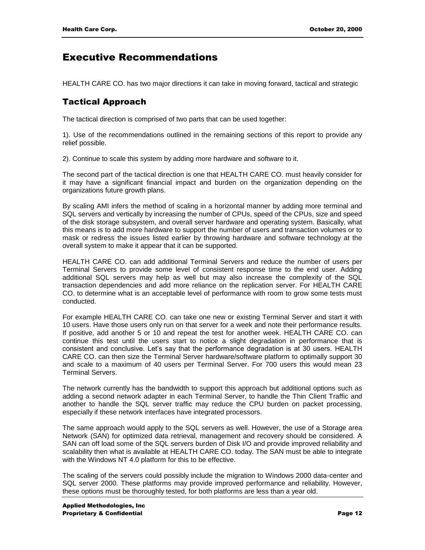# Executive Recommendations

HEALTH CARE CO. has two major directions it can take in moving forward, tactical and strategic

# Tactical Approach

The tactical direction is comprised of two parts that can be used together:

1). Use of the recommendations outlined in the remaining sections of this report to provide any relief possible.

2). Continue to scale this system by adding more hardware and software to it.

The second part of the tactical direction is one that HEALTH CARE CO. must heavily consider for it may have a significant financial impact and burden on the organization depending on the organizations future growth plans.

By scaling AMI infers the method of scaling in a horizontal manner by adding more terminal and SQL servers and vertically by increasing the number of CPUs, speed of the CPUs, size and speed of the disk storage subsystem, and overall server hardware and operating system. Basically, what this means is to add more hardware to support the number of users and transaction volumes or to mask or redress the issues listed earlier by throwing hardware and software technology at the overall system to make it appear that it can be supported.

HEALTH CARE CO. can add additional Terminal Servers and reduce the number of users per Terminal Servers to provide some level of consistent response time to the end user. Adding additional SQL servers may help as well but may also increase the complexity of the SQL transaction dependencies and add more reliance on the replication server. For HEALTH CARE CO. to determine what is an acceptable level of performance with room to grow some tests must conducted.

For example HEALTH CARE CO. can take one new or existing Terminal Server and start it with 10 users. Have those users only run on that server for a week and note their performance results. If positive, add another 5 or 10 and repeat the test for another week. HEALTH CARE CO. can continue this test until the users start to notice a slight degradation in performance that is consistent and conclusive. Let's say that the performance degradation is at 30 users. HEALTH CARE CO. can then size the Terminal Server hardware/software platform to optimally support 30 and scale to a maximum of 40 users per Terminal Server. For 700 users this would mean 23 Terminal Servers.

The network currently has the bandwidth to support this approach but additional options such as adding a second network adapter in each Terminal Server, to handle the Thin Client Traffic and another to handle the SQL server traffic may reduce the CPU burden on packet processing, especially if these network interfaces have integrated processors.

The same approach would apply to the SQL servers as well. However, the use of a Storage area Network (SAN) for optimized data retrieval, management and recovery should be considered. A SAN can off load some of the SQL servers burden of Disk I/O and provide improved reliability and scalability then what is available at HEALTH CARE CO. today. The SAN must be able to integrate with the Windows NT 4.0 platform for this to be effective.

The scaling of the servers could possibly include the migration to Windows 2000 data-center and SQL server 2000. These platforms may provide improved performance and reliability. However, these options must be thoroughly tested, for both platforms are less than a year old.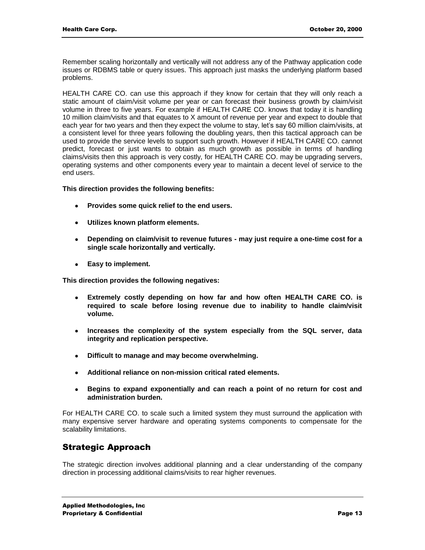Remember scaling horizontally and vertically will not address any of the Pathway application code issues or RDBMS table or query issues. This approach just masks the underlying platform based problems.

HEALTH CARE CO. can use this approach if they know for certain that they will only reach a static amount of claim/visit volume per year or can forecast their business growth by claim/visit volume in three to five years. For example if HEALTH CARE CO. knows that today it is handling 10 million claim/visits and that equates to X amount of revenue per year and expect to double that each year for two years and then they expect the volume to stay, let's say 60 million claim/visits, at a consistent level for three years following the doubling years, then this tactical approach can be used to provide the service levels to support such growth. However if HEALTH CARE CO. cannot predict, forecast or just wants to obtain as much growth as possible in terms of handling claims/visits then this approach is very costly, for HEALTH CARE CO. may be upgrading servers, operating systems and other components every year to maintain a decent level of service to the end users.

**This direction provides the following benefits:**

- **Provides some quick relief to the end users.**
- **Utilizes known platform elements.**
- **Depending on claim/visit to revenue futures - may just require a one-time cost for a single scale horizontally and vertically.**
- **Easy to implement.**

**This direction provides the following negatives:**

- **Extremely costly depending on how far and how often HEALTH CARE CO. is required to scale before losing revenue due to inability to handle claim/visit volume.**
- **Increases the complexity of the system especially from the SQL server, data integrity and replication perspective.**
- **Difficult to manage and may become overwhelming.**
- **Additional reliance on non-mission critical rated elements.**
- **Begins to expand exponentially and can reach a point of no return for cost and administration burden.**

For HEALTH CARE CO. to scale such a limited system they must surround the application with many expensive server hardware and operating systems components to compensate for the scalability limitations.

### Strategic Approach

The strategic direction involves additional planning and a clear understanding of the company direction in processing additional claims/visits to rear higher revenues.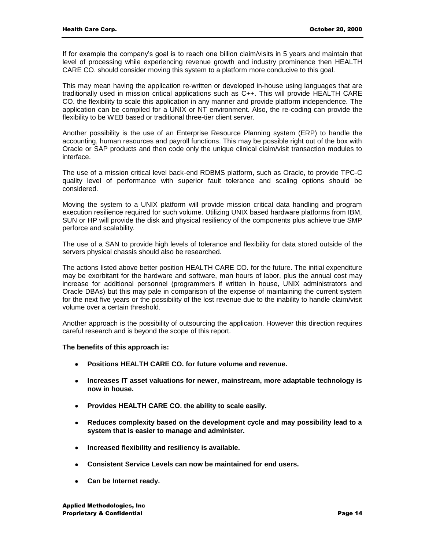If for example the company's goal is to reach one billion claim/visits in 5 years and maintain that level of processing while experiencing revenue growth and industry prominence then HEALTH CARE CO. should consider moving this system to a platform more conducive to this goal.

This may mean having the application re-written or developed in-house using languages that are traditionally used in mission critical applications such as C++. This will provide HEALTH CARE CO. the flexibility to scale this application in any manner and provide platform independence. The application can be compiled for a UNIX or NT environment. Also, the re-coding can provide the flexibility to be WEB based or traditional three-tier client server.

Another possibility is the use of an Enterprise Resource Planning system (ERP) to handle the accounting, human resources and payroll functions. This may be possible right out of the box with Oracle or SAP products and then code only the unique clinical claim/visit transaction modules to interface.

The use of a mission critical level back-end RDBMS platform, such as Oracle, to provide TPC-C quality level of performance with superior fault tolerance and scaling options should be considered.

Moving the system to a UNIX platform will provide mission critical data handling and program execution resilience required for such volume. Utilizing UNIX based hardware platforms from IBM, SUN or HP will provide the disk and physical resiliency of the components plus achieve true SMP perforce and scalability.

The use of a SAN to provide high levels of tolerance and flexibility for data stored outside of the servers physical chassis should also be researched.

The actions listed above better position HEALTH CARE CO. for the future. The initial expenditure may be exorbitant for the hardware and software, man hours of labor, plus the annual cost may increase for additional personnel (programmers if written in house, UNIX administrators and Oracle DBAs) but this may pale in comparison of the expense of maintaining the current system for the next five years or the possibility of the lost revenue due to the inability to handle claim/visit volume over a certain threshold.

Another approach is the possibility of outsourcing the application. However this direction requires careful research and is beyond the scope of this report.

#### **The benefits of this approach is:**

- **Positions HEALTH CARE CO. for future volume and revenue.**
- **Increases IT asset valuations for newer, mainstream, more adaptable technology is now in house.**
- **Provides HEALTH CARE CO. the ability to scale easily.**
- **Reduces complexity based on the development cycle and may possibility lead to a system that is easier to manage and administer.**
- **Increased flexibility and resiliency is available.**
- **Consistent Service Levels can now be maintained for end users.**
- **Can be Internet ready.**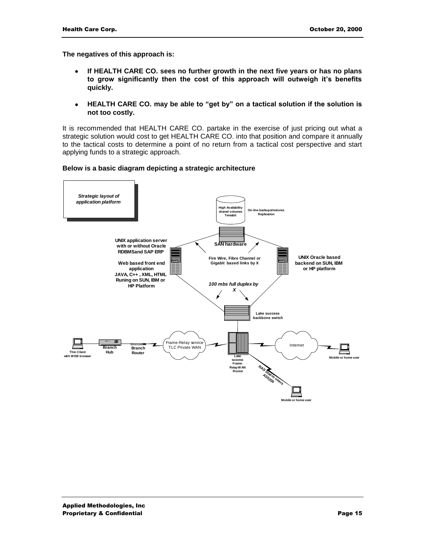**The negatives of this approach is:**

- **If HEALTH CARE CO. sees no further growth in the next five years or has no plans to grow significantly then the cost of this approach will outweigh it's benefits quickly.**
- **HEALTH CARE CO. may be able to "get by" on a tactical solution if the solution is not too costly.**

It is recommended that HEALTH CARE CO. partake in the exercise of just pricing out what a strategic solution would cost to get HEALTH CARE CO. into that position and compare it annually to the tactical costs to determine a point of no return from a tactical cost perspective and start applying funds to a strategic approach.



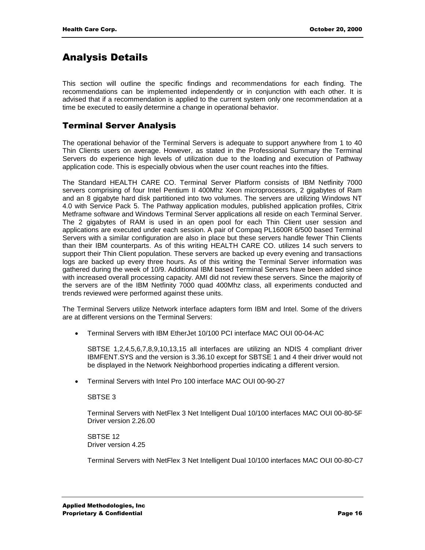# Analysis Details

This section will outline the specific findings and recommendations for each finding. The recommendations can be implemented independently or in conjunction with each other. It is advised that if a recommendation is applied to the current system only one recommendation at a time be executed to easily determine a change in operational behavior.

# Terminal Server Analysis

The operational behavior of the Terminal Servers is adequate to support anywhere from 1 to 40 Thin Clients users on average. However, as stated in the Professional Summary the Terminal Servers do experience high levels of utilization due to the loading and execution of Pathway application code. This is especially obvious when the user count reaches into the fifties.

The Standard HEALTH CARE CO. Terminal Server Platform consists of IBM Netfinity 7000 servers comprising of four Intel Pentium II 400Mhz Xeon microprocessors, 2 gigabytes of Ram and an 8 gigabyte hard disk partitioned into two volumes. The servers are utilizing Windows NT 4.0 with Service Pack 5. The Pathway application modules, published application profiles, Citrix Metframe software and Windows Terminal Server applications all reside on each Terminal Server. The 2 gigabytes of RAM is used in an open pool for each Thin Client user session and applications are executed under each session. A pair of Compaq PL1600R 6/500 based Terminal Servers with a similar configuration are also in place but these servers handle fewer Thin Clients than their IBM counterparts. As of this writing HEALTH CARE CO. utilizes 14 such servers to support their Thin Client population. These servers are backed up every evening and transactions logs are backed up every three hours. As of this writing the Terminal Server information was gathered during the week of 10/9. Additional IBM based Terminal Servers have been added since with increased overall processing capacity. AMI did not review these servers. Since the majority of the servers are of the IBM Netfinity 7000 quad 400Mhz class, all experiments conducted and trends reviewed were performed against these units.

The Terminal Servers utilize Network interface adapters form IBM and Intel. Some of the drivers are at different versions on the Terminal Servers:

Terminal Servers with IBM EtherJet 10/100 PCI interface MAC OUI 00-04-AC

SBTSE 1,2,4,5,6,7,8,9,10,13,15 all interfaces are utilizing an NDIS 4 compliant driver IBMFENT.SYS and the version is 3.36.10 except for SBTSE 1 and 4 their driver would not be displayed in the Network Neighborhood properties indicating a different version.

Terminal Servers with Intel Pro 100 interface MAC OUI 00-90-27

SBTSE 3

Terminal Servers with NetFlex 3 Net Intelligent Dual 10/100 interfaces MAC OUI 00-80-5F Driver version 2.26.00

SBTSE 12 Driver version 4.25

Terminal Servers with NetFlex 3 Net Intelligent Dual 10/100 interfaces MAC OUI 00-80-C7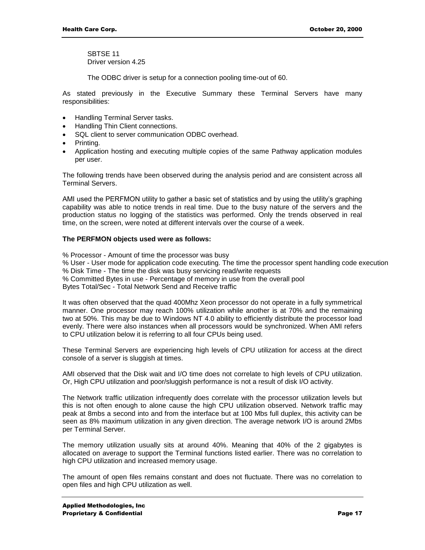SBTSE 11 Driver version 4.25

The ODBC driver is setup for a connection pooling time-out of 60.

As stated previously in the Executive Summary these Terminal Servers have many responsibilities:

- Handling Terminal Server tasks.
- Handling Thin Client connections.
- SQL client to server communication ODBC overhead.
- Printing.
- Application hosting and executing multiple copies of the same Pathway application modules per user.

The following trends have been observed during the analysis period and are consistent across all Terminal Servers.

AMI used the PERFMON utility to gather a basic set of statistics and by using the utility's graphing capability was able to notice trends in real time. Due to the busy nature of the servers and the production status no logging of the statistics was performed. Only the trends observed in real time, on the screen, were noted at different intervals over the course of a week.

#### **The PERFMON objects used were as follows:**

% Processor - Amount of time the processor was busy

% User - User mode for application code executing. The time the processor spent handling code execution % Disk Time - The time the disk was busy servicing read/write requests

% Committed Bytes in use - Percentage of memory in use from the overall pool

Bytes Total/Sec - Total Network Send and Receive traffic

It was often observed that the quad 400Mhz Xeon processor do not operate in a fully symmetrical manner. One processor may reach 100% utilization while another is at 70% and the remaining two at 50%. This may be due to Windows NT 4.0 ability to efficiently distribute the processor load evenly. There were also instances when all processors would be synchronized. When AMI refers to CPU utilization below it is referring to all four CPUs being used.

These Terminal Servers are experiencing high levels of CPU utilization for access at the direct console of a server is sluggish at times.

AMI observed that the Disk wait and I/O time does not correlate to high levels of CPU utilization. Or, High CPU utilization and poor/sluggish performance is not a result of disk I/O activity.

The Network traffic utilization infrequently does correlate with the processor utilization levels but this is not often enough to alone cause the high CPU utilization observed. Network traffic may peak at 8mbs a second into and from the interface but at 100 Mbs full duplex, this activity can be seen as 8% maximum utilization in any given direction. The average network I/O is around 2Mbs per Terminal Server.

The memory utilization usually sits at around 40%. Meaning that 40% of the 2 gigabytes is allocated on average to support the Terminal functions listed earlier. There was no correlation to high CPU utilization and increased memory usage.

The amount of open files remains constant and does not fluctuate. There was no correlation to open files and high CPU utilization as well.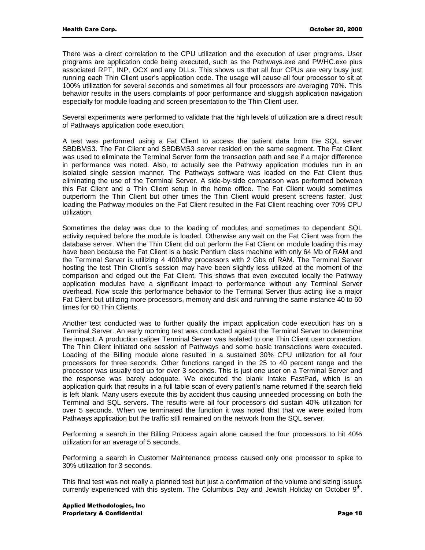There was a direct correlation to the CPU utilization and the execution of user programs. User programs are application code being executed, such as the Pathways.exe and PWHC.exe plus associated RPT, INP, OCX and any DLLs. This shows us that all four CPUs are very busy just running each Thin Client user's application code. The usage will cause all four processor to sit at 100% utilization for several seconds and sometimes all four processors are averaging 70%. This behavior results in the users complaints of poor performance and sluggish application navigation especially for module loading and screen presentation to the Thin Client user.

Several experiments were performed to validate that the high levels of utilization are a direct result of Pathways application code execution.

A test was performed using a Fat Client to access the patient data from the SQL server SBDBMS3. The Fat Client and SBDBMS3 server resided on the same segment. The Fat Client was used to eliminate the Terminal Server form the transaction path and see if a major difference in performance was noted. Also, to actually see the Pathway application modules run in an isolated single session manner. The Pathways software was loaded on the Fat Client thus eliminating the use of the Terminal Server. A side-by-side comparison was performed between this Fat Client and a Thin Client setup in the home office. The Fat Client would sometimes outperform the Thin Client but other times the Thin Client would present screens faster. Just loading the Pathway modules on the Fat Client resulted in the Fat Client reaching over 70% CPU utilization.

Sometimes the delay was due to the loading of modules and sometimes to dependent SQL activity required before the module is loaded. Otherwise any wait on the Fat Client was from the database server. When the Thin Client did out perform the Fat Client on module loading this may have been because the Fat Client is a basic Pentium class machine with only 64 Mb of RAM and the Terminal Server is utilizing 4 400Mhz processors with 2 Gbs of RAM. The Terminal Server hosting the test Thin Client's session may have been slightly less utilized at the moment of the comparison and edged out the Fat Client. This shows that even executed locally the Pathway application modules have a significant impact to performance without any Terminal Server overhead. Now scale this performance behavior to the Terminal Server thus acting like a major Fat Client but utilizing more processors, memory and disk and running the same instance 40 to 60 times for 60 Thin Clients.

Another test conducted was to further qualify the impact application code execution has on a Terminal Server. An early morning test was conducted against the Terminal Server to determine the impact. A production caliper Terminal Server was isolated to one Thin Client user connection. The Thin Client initiated one session of Pathways and some basic transactions were executed. Loading of the Billing module alone resulted in a sustained 30% CPU utilization for all four processors for three seconds. Other functions ranged in the 25 to 40 percent range and the processor was usually tied up for over 3 seconds. This is just one user on a Terminal Server and the response was barely adequate. We executed the blank Intake FastPad, which is an application quirk that results in a full table scan of every patient's name returned if the search field is left blank. Many users execute this by accident thus causing unneeded processing on both the Terminal and SQL servers. The results were all four processors did sustain 40% utilization for over 5 seconds. When we terminated the function it was noted that that we were exited from Pathways application but the traffic still remained on the network from the SQL server.

Performing a search in the Billing Process again alone caused the four processors to hit 40% utilization for an average of 5 seconds.

Performing a search in Customer Maintenance process caused only one processor to spike to 30% utilization for 3 seconds.

This final test was not really a planned test but just a confirmation of the volume and sizing issues currently experienced with this system. The Columbus Day and Jewish Holiday on October  $9<sup>th</sup>$ .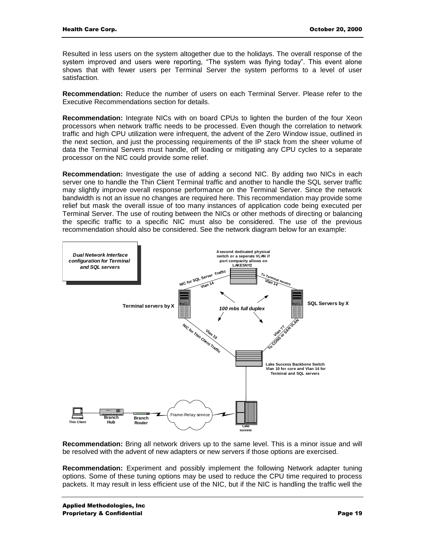Resulted in less users on the system altogether due to the holidays. The overall response of the system improved and users were reporting, "The system was flying today". This event alone shows that with fewer users per Terminal Server the system performs to a level of user satisfaction.

**Recommendation:** Reduce the number of users on each Terminal Server. Please refer to the Executive Recommendations section for details.

**Recommendation:** Integrate NICs with on board CPUs to lighten the burden of the four Xeon processors when network traffic needs to be processed. Even though the correlation to network traffic and high CPU utilization were infrequent, the advent of the Zero Window issue, outlined in the next section, and just the processing requirements of the IP stack from the sheer volume of data the Terminal Servers must handle, off loading or mitigating any CPU cycles to a separate processor on the NIC could provide some relief.

**Recommendation:** Investigate the use of adding a second NIC. By adding two NICs in each server one to handle the Thin Client Terminal traffic and another to handle the SQL server traffic may slightly improve overall response performance on the Terminal Server. Since the network bandwidth is not an issue no changes are required here. This recommendation may provide some relief but mask the overall issue of too many instances of application code being executed per Terminal Server. The use of routing between the NICs or other methods of directing or balancing the specific traffic to a specific NIC must also be considered. The use of the previous recommendation should also be considered. See the network diagram below for an example:



be resolved with the advent of new adapters or new servers if those options are exercised.

**Recommendation:** Experiment and possibly implement the following Network adapter tuning options. Some of these tuning options may be used to reduce the CPU time required to process packets. It may result in less efficient use of the NIC, but if the NIC is handling the traffic well the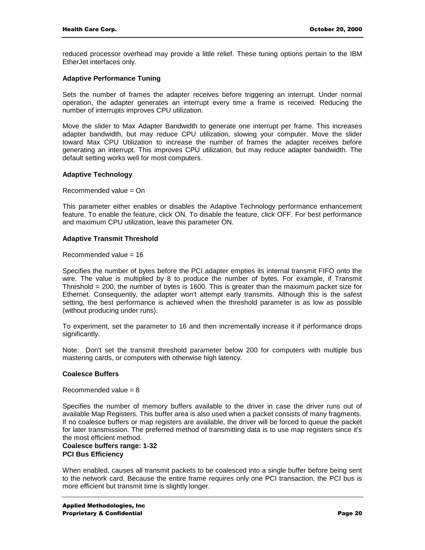reduced processor overhead may provide a little relief. These tuning options pertain to the IBM EtherJet interfaces only.

#### **Adaptive Performance Tuning**

Sets the number of frames the adapter receives before triggering an interrupt. Under normal operation, the adapter generates an interrupt every time a frame is received. Reducing the number of interrupts improves CPU utilization.

Move the slider to Max Adapter Bandwidth to generate one interrupt per frame. This increases adapter bandwidth, but may reduce CPU utilization, slowing your computer. Move the slider toward Max CPU Utilization to increase the number of frames the adapter receives before generating an interrupt. This improves CPU utilization, but may reduce adapter bandwidth. The default setting works well for most computers.

#### **Adaptive Technology**

Recommended value = On

This parameter either enables or disables the Adaptive Technology performance enhancement feature. To enable the feature, click ON. To disable the feature, click OFF. For best performance and maximum CPU utilization, leave this parameter ON.

#### **Adaptive Transmit Threshold**

Recommended value = 16

Specifies the number of bytes before the PCI adapter empties its internal transmit FIFO onto the wire. The value is multiplied by 8 to produce the number of bytes. For example, if Transmit Threshold = 200, the number of bytes is 1600. This is greater than the maximum packet size for Ethernet. Consequently, the adapter won't attempt early transmits. Although this is the safest setting, the best performance is achieved when the threshold parameter is as low as possible (without producing under runs).

To experiment, set the parameter to 16 and then incrementally increase it if performance drops significantly.

Note: Don't set the transmit threshold parameter below 200 for computers with multiple bus mastering cards, or computers with otherwise high latency.

#### **Coalesce Buffers**

Recommended value  $= 8$ 

Specifies the number of memory buffers available to the driver in case the driver runs out of available Map Registers. This buffer area is also used when a packet consists of many fragments. If no coalesce buffers or map registers are available, the driver will be forced to queue the packet for later transmission. The preferred method of transmitting data is to use map registers since it's the most efficient method.

#### **Coalesce buffers range: 1-32 PCI Bus Efficiency**

When enabled, causes all transmit packets to be coalesced into a single buffer before being sent to the network card. Because the entire frame requires only one PCI transaction, the PCI bus is more efficient but transmit time is slightly longer.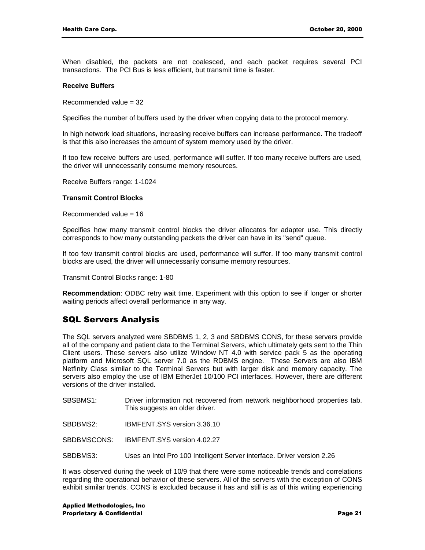When disabled, the packets are not coalesced, and each packet requires several PCI transactions. The PCI Bus is less efficient, but transmit time is faster.

#### **Receive Buffers**

Recommended value = 32

Specifies the number of buffers used by the driver when copying data to the protocol memory.

In high network load situations, increasing receive buffers can increase performance. The tradeoff is that this also increases the amount of system memory used by the driver.

If too few receive buffers are used, performance will suffer. If too many receive buffers are used, the driver will unnecessarily consume memory resources.

Receive Buffers range: 1-1024

#### **Transmit Control Blocks**

Recommended value = 16

Specifies how many transmit control blocks the driver allocates for adapter use. This directly corresponds to how many outstanding packets the driver can have in its "send" queue.

If too few transmit control blocks are used, performance will suffer. If too many transmit control blocks are used, the driver will unnecessarily consume memory resources.

Transmit Control Blocks range: 1-80

**Recommendation**: ODBC retry wait time. Experiment with this option to see if longer or shorter waiting periods affect overall performance in any way.

### SQL Servers Analysis

The SQL servers analyzed were SBDBMS 1, 2, 3 and SBDBMS CONS, for these servers provide all of the company and patient data to the Terminal Servers, which ultimately gets sent to the Thin Client users. These servers also utilize Window NT 4.0 with service pack 5 as the operating platform and Microsoft SQL server 7.0 as the RDBMS engine. These Servers are also IBM Netfinity Class similar to the Terminal Servers but with larger disk and memory capacity. The servers also employ the use of IBM EtherJet 10/100 PCI interfaces. However, there are different versions of the driver installed.

SBSBMS1: Driver information not recovered from network neighborhood properties tab. This suggests an older driver.

SBDBMS2: IBMFENT.SYS version 3.36.10

SBDBMSCONS: IBMFENT.SYS version 4.02.27

SBDBMS3: Uses an Intel Pro 100 Intelligent Server interface. Driver version 2.26

It was observed during the week of 10/9 that there were some noticeable trends and correlations regarding the operational behavior of these servers. All of the servers with the exception of CONS exhibit similar trends. CONS is excluded because it has and still is as of this writing experiencing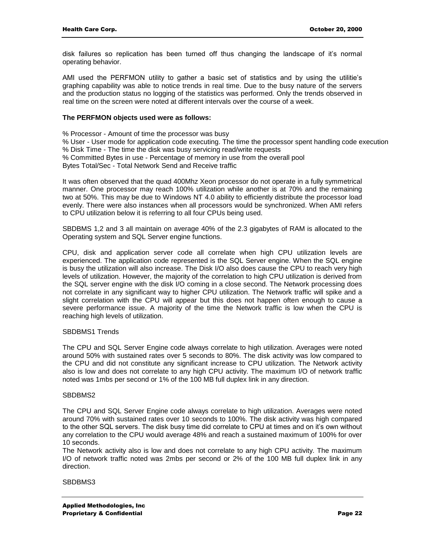disk failures so replication has been turned off thus changing the landscape of it's normal operating behavior.

AMI used the PERFMON utility to gather a basic set of statistics and by using the utilitie's graphing capability was able to notice trends in real time. Due to the busy nature of the servers and the production status no logging of the statistics was performed. Only the trends observed in real time on the screen were noted at different intervals over the course of a week.

#### **The PERFMON objects used were as follows:**

% Processor - Amount of time the processor was busy % User - User mode for application code executing. The time the processor spent handling code execution % Disk Time - The time the disk was busy servicing read/write requests % Committed Bytes in use - Percentage of memory in use from the overall pool Bytes Total/Sec - Total Network Send and Receive traffic

It was often observed that the quad 400Mhz Xeon processor do not operate in a fully symmetrical manner. One processor may reach 100% utilization while another is at 70% and the remaining two at 50%. This may be due to Windows NT 4.0 ability to efficiently distribute the processor load evenly. There were also instances when all processors would be synchronized. When AMI refers to CPU utilization below it is referring to all four CPUs being used.

SBDBMS 1,2 and 3 all maintain on average 40% of the 2.3 gigabytes of RAM is allocated to the Operating system and SQL Server engine functions.

CPU, disk and application server code all correlate when high CPU utilization levels are experienced. The application code represented is the SQL Server engine. When the SQL engine is busy the utilization will also increase. The Disk I/O also does cause the CPU to reach very high levels of utilization. However, the majority of the correlation to high CPU utilization is derived from the SQL server engine with the disk I/O coming in a close second. The Network processing does not correlate in any significant way to higher CPU utilization. The Network traffic will spike and a slight correlation with the CPU will appear but this does not happen often enough to cause a severe performance issue. A majority of the time the Network traffic is low when the CPU is reaching high levels of utilization.

#### SBDBMS1 Trends

The CPU and SQL Server Engine code always correlate to high utilization. Averages were noted around 50% with sustained rates over 5 seconds to 80%. The disk activity was low compared to the CPU and did not constitute any significant increase to CPU utilization. The Network activity also is low and does not correlate to any high CPU activity. The maximum I/O of network traffic noted was 1mbs per second or 1% of the 100 MB full duplex link in any direction.

#### SBDBMS2

The CPU and SQL Server Engine code always correlate to high utilization. Averages were noted around 70% with sustained rates over 10 seconds to 100%. The disk activity was high compared to the other SQL servers. The disk busy time did correlate to CPU at times and on it's own without any correlation to the CPU would average 48% and reach a sustained maximum of 100% for over 10 seconds.

The Network activity also is low and does not correlate to any high CPU activity. The maximum I/O of network traffic noted was 2mbs per second or 2% of the 100 MB full duplex link in any direction.

#### SBDBMS3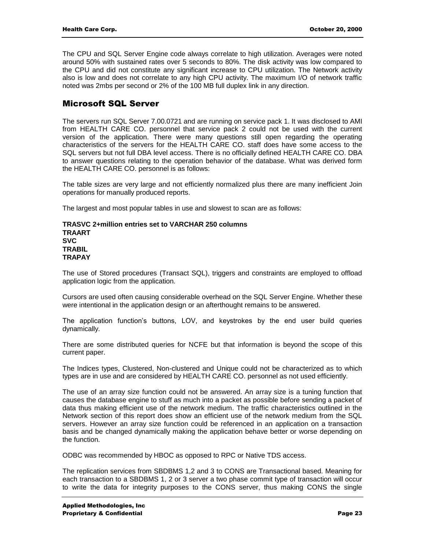The CPU and SQL Server Engine code always correlate to high utilization. Averages were noted around 50% with sustained rates over 5 seconds to 80%. The disk activity was low compared to the CPU and did not constitute any significant increase to CPU utilization. The Network activity also is low and does not correlate to any high CPU activity. The maximum I/O of network traffic noted was 2mbs per second or 2% of the 100 MB full duplex link in any direction.

### Microsoft SQL Server

The servers run SQL Server 7.00.0721 and are running on service pack 1. It was disclosed to AMI from HEALTH CARE CO. personnel that service pack 2 could not be used with the current version of the application. There were many questions still open regarding the operating characteristics of the servers for the HEALTH CARE CO. staff does have some access to the SQL servers but not full DBA level access. There is no officially defined HEALTH CARE CO. DBA to answer questions relating to the operation behavior of the database. What was derived form the HEALTH CARE CO. personnel is as follows:

The table sizes are very large and not efficiently normalized plus there are many inefficient Join operations for manually produced reports.

The largest and most popular tables in use and slowest to scan are as follows:

**TRASVC 2+million entries set to VARCHAR 250 columns TRAART SVC TRABIL TRAPAY**

The use of Stored procedures (Transact SQL), triggers and constraints are employed to offload application logic from the application.

Cursors are used often causing considerable overhead on the SQL Server Engine. Whether these were intentional in the application design or an afterthought remains to be answered.

The application function's buttons, LOV, and keystrokes by the end user build queries dynamically.

There are some distributed queries for NCFE but that information is beyond the scope of this current paper.

The Indices types, Clustered, Non-clustered and Unique could not be characterized as to which types are in use and are considered by HEALTH CARE CO. personnel as not used efficiently.

The use of an array size function could not be answered. An array size is a tuning function that causes the database engine to stuff as much into a packet as possible before sending a packet of data thus making efficient use of the network medium. The traffic characteristics outlined in the Network section of this report does show an efficient use of the network medium from the SQL servers. However an array size function could be referenced in an application on a transaction basis and be changed dynamically making the application behave better or worse depending on the function.

ODBC was recommended by HBOC as opposed to RPC or Native TDS access.

The replication services from SBDBMS 1,2 and 3 to CONS are Transactional based. Meaning for each transaction to a SBDBMS 1, 2 or 3 server a two phase commit type of transaction will occur to write the data for integrity purposes to the CONS server, thus making CONS the single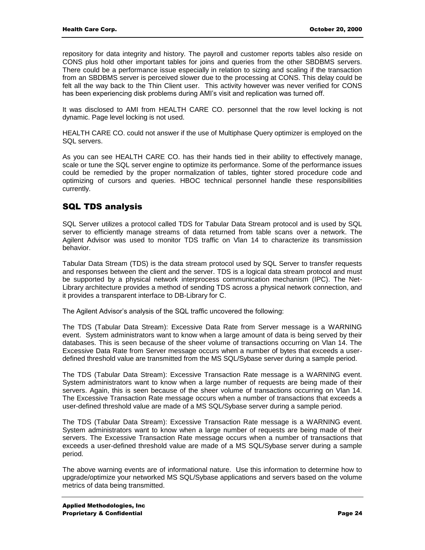repository for data integrity and history. The payroll and customer reports tables also reside on CONS plus hold other important tables for joins and queries from the other SBDBMS servers. There could be a performance issue especially in relation to sizing and scaling if the transaction from an SBDBMS server is perceived slower due to the processing at CONS. This delay could be felt all the way back to the Thin Client user. This activity however was never verified for CONS has been experiencing disk problems during AMI's visit and replication was turned off.

It was disclosed to AMI from HEALTH CARE CO. personnel that the row level locking is not dynamic. Page level locking is not used.

HEALTH CARE CO. could not answer if the use of Multiphase Query optimizer is employed on the SQL servers.

As you can see HEALTH CARE CO. has their hands tied in their ability to effectively manage, scale or tune the SQL server engine to optimize its performance. Some of the performance issues could be remedied by the proper normalization of tables, tighter stored procedure code and optimizing of cursors and queries. HBOC technical personnel handle these responsibilities currently.

# SQL TDS analysis

SQL Server utilizes a protocol called TDS for Tabular Data Stream protocol and is used by SQL server to efficiently manage streams of data returned from table scans over a network. The Agilent Advisor was used to monitor TDS traffic on Vlan 14 to characterize its transmission behavior.

Tabular Data Stream (TDS) is the data stream protocol used by SQL Server to transfer requests and responses between the client and the server. TDS is a logical data stream protocol and must be supported by a physical network interprocess communication mechanism (IPC). The Net-Library architecture provides a method of sending TDS across a physical network connection, and it provides a transparent interface to DB-Library for C.

The Agilent Advisor's analysis of the SQL traffic uncovered the following:

The TDS (Tabular Data Stream): Excessive Data Rate from Server message is a WARNING event. System administrators want to know when a large amount of data is being served by their databases. This is seen because of the sheer volume of transactions occurring on Vlan 14. The Excessive Data Rate from Server message occurs when a number of bytes that exceeds a userdefined threshold value are transmitted from the MS SQL/Sybase server during a sample period.

The TDS (Tabular Data Stream): Excessive Transaction Rate message is a WARNING event. System administrators want to know when a large number of requests are being made of their servers. Again, this is seen because of the sheer volume of transactions occurring on Vlan 14. The Excessive Transaction Rate message occurs when a number of transactions that exceeds a user-defined threshold value are made of a MS SQL/Sybase server during a sample period.

The TDS (Tabular Data Stream): Excessive Transaction Rate message is a WARNING event. System administrators want to know when a large number of requests are being made of their servers. The Excessive Transaction Rate message occurs when a number of transactions that exceeds a user-defined threshold value are made of a MS SQL/Sybase server during a sample period.

The above warning events are of informational nature. Use this information to determine how to upgrade/optimize your networked MS SQL/Sybase applications and servers based on the volume metrics of data being transmitted.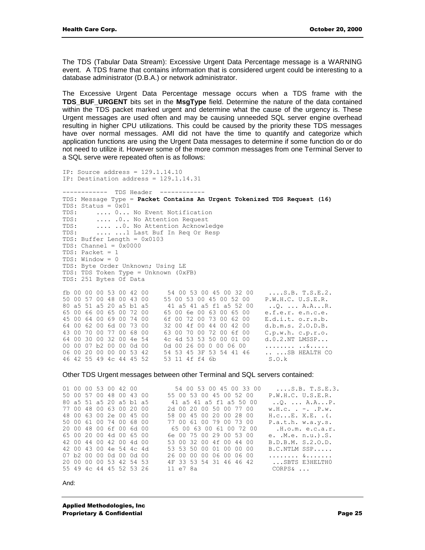The TDS (Tabular Data Stream): Excessive Urgent Data Percentage message is a WARNING event. A TDS frame that contains information that is considered urgent could be interesting to a database administrator (D.B.A.) or network administrator.

The Excessive Urgent Data Percentage message occurs when a TDS frame with the **TDS\_BUF\_URGENT** bits set in the **MsgType** field. Determine the nature of the data contained within the TDS packet marked urgent and determine what the cause of the urgency is. These Urgent messages are used often and may be causing unneeded SQL server engine overhead resulting in higher CPU utilizations. This could be caused by the priority these TDS messages have over normal messages. AMI did not have the time to quantify and categorize which application functions are using the Urgent Data messages to determine if some function do or do not need to utilize it. However some of the more common messages from one Terminal Server to a SQL serve were repeated often is as follows:

```
IP: Source address = 129.1.14.10
IP: Destination address = 129.1.14.31
------------ TDS Header ------------
TDS: Message Type = Packet Contains An Urgent Tokenized TDS Request (16)
TDS: Status = 0x01TDS: .... 0... No Event Notification
TDS: .... .0.. No Attention Request
TDS: .... ..0. No Attention Acknowledge
TDS: .... ...1 Last Buf In Req Or Resp
TDS: Buffer Length = 0x0103
TDS: Channel = 0 \times 0000TDS: Packet = 1
TDS: Window = 0
TDS: Byte Order Unknown; Using LE
TDS: TDS Token Type = Unknown (0xFB)
TDS: 251 Bytes Of Data
fb 00 00 00 53 00 42 00 54 00 53 00 45 00 32 00 ....S.B. T.S.E.2.
                            50 00 57 00 48 00 43 00 55 00 53 00 45 00 52 00 P.W.H.C. U.S.E.R.
80 a5 51 a5 20 a5 b1 a5 41 a5 41 a5 f1 a5 52 00 ...Q. ... A.A...R.<br>65 00 66 00 65 00 72 00 65 00 6e 00 63 00 65 00 e.f.e.r. e.n.c.e.
                             65 00 6e 00 63 00 65 00 e.f.e.r. e.n.c.e.
45 00 64 00 69 00 74 00 6f 00 72 00 73 00 62 00 E.d.i.t. o.r.s.b.
64 00 62 00 6d 00 73 00 32 00 4f 00 44 00 42 00 d.b.m.s. 2.O.D.B.
43 00 70 00 77 00 68 00 63 00 70 00 72 00 6f 00 C.p.w.h. c.p.r.o.<br>64 00 30 00 32 00 4e 54 4c 4d 53 53 50 00 01 00 d.0.2.NT LMSSP...
64 00 30 00 32 00 4e 54 4c 4d 53 53 50 00 01 00
00 00 07 b2 00 00 0d 00     0d 00 26 00 0 00 06 00        ......... ..&......
06 00 20 00 00 00 53 42 54 53 45 3F 53 54 41 46 ....SB HEALTH CO 46 42 55 49 4c 44 45 52 53 11 4f f4 6b S.O.k
46 42 55 49 4c 44 45 52 53 11 4f f4 6b S.O.k
```
#### Other TDS Urgent messages between other Terminal and SQL servers contained:

| 01 00 00 53 00 42 00    |  |  |  | 54 00 53 00 45 00 33 00<br>$\ldots$ S.B. T.S.E.3.  |  |
|-------------------------|--|--|--|----------------------------------------------------|--|
| 50 00 57 00 48 00 43 00 |  |  |  | 55 00 53 00 45 00 52 00<br>P.W.H.C. U.S.E.R.       |  |
| 80 a5 51 a5 20 a5 b1 a5 |  |  |  | 41 a5 41 a5 f1 a5 50 00<br>$.0.$ $.1.$ $A.A.$ $P.$ |  |
| 77 00 48 00 63 00 20 00 |  |  |  | 2d 00 20 00 50 00 77 00                            |  |
| 48 00 63 00 2e 00 45 00 |  |  |  | 58 00 45 00 20 00 28 00<br>H.C. E. X.E. .          |  |
| 50 00 61 00 74 00 68 00 |  |  |  | 77 00 61 00 79 00 73 00<br>P.a.t.h. w.a.y.s.       |  |
| 20 00 48 00 6f 00 6d 00 |  |  |  | 65 00 63 00 61 00 72 00<br>$.H. \circ.m.$ e.c.a.r. |  |
| 65 00 20 00 4d 00 65 00 |  |  |  | 6e 00 75 00 29 00 53 00<br>e. . M.e. n.u. ) . S.   |  |
| 42 00 44 00 42 00 4d 00 |  |  |  | 53 00 32 00 4f 00 44 00<br>B.D.B.M. S.2.O.D.       |  |
| 42 00 43 00 4e 54 4c 4d |  |  |  | 53 53 50 00 01 00 00 00<br>B.C.NTLM SSP            |  |
| 07 b2 00 00 0d 00 0d 00 |  |  |  | 26 00 00 00 06 00 06 00<br>. &                     |  |
| 20 00 00 00 53 42 54 53 |  |  |  | 4F 33 53 54 31 46 46 42<br>SBTS E3HELTHO           |  |
| 55 49 4c 44 45 52 53 26 |  |  |  | $11 \div 7$ $8a$<br>CORPS&                         |  |

And:

Applied Methodologies, Inc Proprietary & Confidential **Proprietary & Confidential**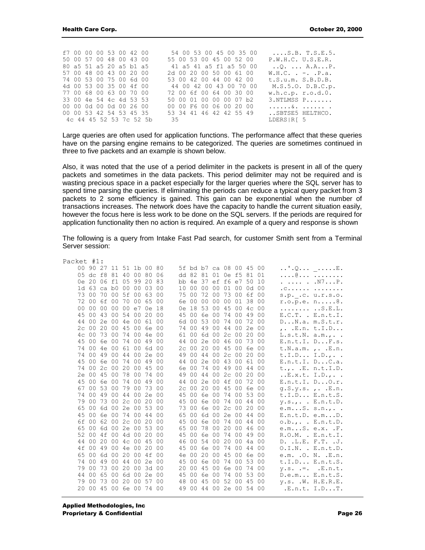| f7 00 00 00 53 00 42 00 |  |  |  | 54 00 53 00 45 00 35 00 | $\ldots$ S.B. T.S.E.5.  |
|-------------------------|--|--|--|-------------------------|-------------------------|
| 50 00 57 00 48 00 43 00 |  |  |  | 55 00 53 00 45 00 52 00 | P.W.H.C. U.S.E.R.       |
| 80 a5 51 a5 20 a5 b1 a5 |  |  |  | 41 a5 41 a5 f1 a5 50 00 | $.0.$ $.1.$ $A.A.$ $P.$ |
| 57 00 48 00 43 00 20 00 |  |  |  | 2d 00 20 00 50 00 61 00 | $W.H.C. --. P.a.$       |
| 74 00 53 00 75 00 6d 00 |  |  |  | 53 00 42 00 44 00 42 00 | t.S.u.m. S.B.D.B.       |
| 4d 00 53 00 35 00 4f 00 |  |  |  | 44 00 42 00 43 00 70 00 | M.S.5.0. D.B.C.p.       |
| 77 00 68 00 63 00 70 00 |  |  |  | 72 00 6f 00 64 00 30 00 | w.h.c.p. r.o.d.0.       |
| 33 00 4e 54 4c 4d 53 53 |  |  |  | 50 00 01 00 00 00 07 b2 | 3. NTLMSS P             |
| 00 00 0d 00 0d 00 26 00 |  |  |  | 00 00 F6 00 06 00 20 00 | . &                     |
| 00 00 53 42 54 53 45 35 |  |  |  | 53 34 41 46 42 42 55 49 | SBTSE5 HELTHCO.         |
| 4c 44 45 52 53 7c 52 5b |  |  |  | 35                      | LDERSIRI 5              |

Large queries are often used for application functions. The performance affect that these queries have on the parsing engine remains to be categorized. The queries are sometimes continued in three to five packets and an example is shown below.

Also, it was noted that the use of a period delimiter in the packets is present in all of the query packets and sometimes in the data packets. This period delimiter may not be required and is wasting precious space in a packet especially for the larger queries where the SQL server has to spend time parsing the queries. If eliminating the periods can reduce a typical query packet from 3 packets to 2 some efficiency is gained. This gain can be exponential when the number of transactions increases. The network does have the capacity to handle the current situation easily, however the focus here is less work to be done on the SQL servers. If the periods are required for application functionality then no action is required. An example of a query and response is shown

The following is a query from Intake Fast Pad search, for customer Smith sent from a Terminal Server session:

| Packet #1: |                 |  |                      |                         |                |    |          |  |                         |                      |                                                   |
|------------|-----------------|--|----------------------|-------------------------|----------------|----|----------|--|-------------------------|----------------------|---------------------------------------------------|
|            |                 |  |                      | 00 90 27 11 51 1b 00 80 |                |    |          |  | 5f bd b7 ca 08 00 45 00 |                      | $\ldots$ ' $\Omega \ldots$ _ $\ldots$ $\ldots$ E. |
|            |                 |  |                      | 05 dc f8 81 40 00 80 06 |                |    |          |  | dd 82 81 01 0e f5 81 01 |                      | . @                                               |
|            |                 |  |                      | 0e 20 06 f1 05 99 20 83 |                |    |          |  | bb 4e 37 ef f6 e7 50 10 |                      | $\ldots$ N7 P.                                    |
|            |                 |  |                      | 1d 63 ca b0 00 00 03 00 |                |    |          |  | 10 00 00 00 01 00 0d 00 |                      | . C.                                              |
|            | 73 00           |  |                      | 70 00 5f 00 63 00       |                |    |          |  | 75 00 72 00 73 00 6f 00 |                      | s.p. .c. u.r.s.o.                                 |
|            |                 |  |                      | 72 00 6f 00 70 00 65 00 |                |    |          |  | 6e 00 00 00 00 01 38 00 |                      | $r.o.p.e. n. \ldots 8.$                           |
|            |                 |  |                      | 00 00 00 00 00 e7 0e 18 |                |    |          |  | 0e 18 53 00 45 00 4c 00 |                      | S.E.L.                                            |
|            | 45 00           |  | 43 00 54 00          | 20 00                   |                |    |          |  | 45 00 6e 00 74 00 49 00 |                      | E.C.T. . E.n.t.I.                                 |
|            |                 |  |                      | 44 00 2e 00 4e 00 61 00 |                |    |          |  | 6d 00 53 00 74 00 72 00 |                      | DN.a. m.S.t.r.                                    |
|            |                 |  |                      | 2c 00 20 00 45 00 6e 00 |                |    |          |  | 74 00 49 00 44 00 2e 00 |                      | $, \ldots$ E.n. t. I.D                            |
|            | $4c$ 00         |  |                      | 73 00 74 00 4e 00       |                |    |          |  | 61 00 6d 00 2c 00 20 00 |                      | $L.s.t.N. a.m.$ , .                               |
|            | 45 00           |  |                      | 6e 00 74 00 49 00       |                |    |          |  | 44 00 2e 00 46 00 73 00 |                      | E.n.t.I. DF.s.                                    |
|            | 74 00           |  |                      | 4e 00 61 00 6d 00       |                |    |          |  | 2c 00 20 00 45 00 6e 00 |                      | $t.N.a.m.$ , $E.n.$                               |
|            |                 |  |                      | 74 00 49 00 44 00 2e 00 |                |    |          |  | 49 00 44 00 2c 00 20 00 |                      | t.I.D I.D.,                                       |
|            |                 |  |                      | 45 00 6e 00 74 00 49 00 |                |    |          |  | 44 00 2e 00 43 00 61 00 | E.n.t.I. DC.a.       |                                                   |
|            |                 |  |                      | 74 00 2c 00 20 00 45 00 |                |    |          |  | 6e 00 74 00 49 00 44 00 |                      | t., E. n.t. I.D.                                  |
|            |                 |  |                      | 2e 00 45 00 78 00 74 00 |                |    |          |  | 49 00 44 00 2c 00 20 00 |                      | $\ldots$ E.x.t. I.D.,                             |
|            |                 |  |                      | 45 00 6e 00 74 00 49 00 |                |    |          |  | 44 00 2e 00 4f 00 72 00 | E.n.t.I. DO.r.       |                                                   |
|            | 67 00           |  |                      | 53 00 79 00 73 00       |                |    |          |  | 2c 00 20 00 45 00 6e 00 |                      | $q.S.y.S.$ , $\ldots$ E.n.                        |
|            |                 |  |                      | 74 00 49 00 44 00 2e 00 |                |    |          |  | 45 00 6e 00 74 00 53 00 |                      | t. I.D E.n.t.S.                                   |
|            | 79 00           |  |                      | 73 00 2c 00 20 00       |                | 45 |          |  | 00 6e 00 74 00 44 00    |                      | y.s., E.n.t.D.                                    |
|            |                 |  |                      | 65 00 6d 00 2e 00 53 00 |                |    |          |  | 73 00 6e 00 2c 00 20 00 |                      | $e.mS.$ s.n.,                                     |
| 45         | 00 <sub>o</sub> |  |                      | 6e 00 74 00 44 00       |                | 65 |          |  | 00 6d 00 2e 00 44 00    | E.n.t.D. e.m. D.     |                                                   |
|            | 6f 00           |  |                      | 62 00 2c 00 20 00       |                | 45 |          |  | 00 6e 00 74 00 44 00    |                      | o.b., E.n.t.D.                                    |
|            | 65 00           |  |                      | 6d 00 2e 00 53 00       |                | 65 |          |  | 00 78 00 20 00 46 00    |                      | $e.m.$ $S.$ $e.X.$ $.F.$                          |
|            |                 |  | 52 00 4f 00 4d 00 20 |                         | 0 <sub>0</sub> | 45 |          |  | 00 6e 00 74 00 49 00    | R.O.M. . E.n.t.I.    |                                                   |
|            | 44 00           |  |                      | 20 00 4c 00 45 00       |                | 46 | 00 54 00 |  | 20 00 4a 00             |                      | D. .L.E. F.T. .J.                                 |
|            | 4f 00           |  |                      | 49 00 4e 00 20 00       |                | 45 |          |  | 00 6e 00 74 00 44 00    |                      | $0.I.N.$ . $E.n.t.D.$                             |
|            | 65 00           |  |                      | 6d 00 20 00 4f 00       |                |    |          |  | 4e 00 20 00 45 00 6e 00 |                      | e.m. . O. N. . E.n.                               |
|            |                 |  |                      | 74 00 49 00 44 00 2e 00 |                |    |          |  | 45 00 6e 00 74 00 53 00 | t.I.D E.n.t.S.       |                                                   |
|            | 79 00           |  |                      | 73 00 20 00 3d 00       |                |    |          |  | 20 00 45 00 6e 00 74 00 | $V.S. . =. . E.n.t.$ |                                                   |
|            | 44 00           |  |                      | 65 00 6d 00 2e 00       |                | 45 |          |  | 00 6e 00 74 00 53 00    |                      | D.e.m E.n.t.S.                                    |
|            | 79 00           |  |                      | 73 00 20 00 57 00       |                | 48 |          |  | 00 45 00 52 00 45 00    |                      | $V.S.$ $W.$ $H.E.R.E.$                            |
|            |                 |  |                      | 20 00 45 00 6e 00 74 00 |                |    |          |  | 49 00 44 00 2e 00 54 00 |                      | .E.n.t. I.DT.                                     |

Applied Methodologies, Inc Proprietary & Confidential Page 26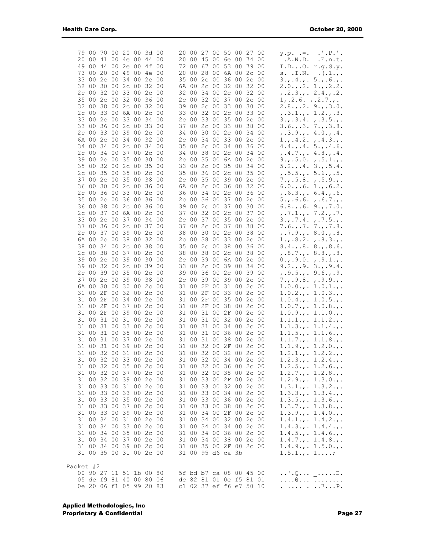| 79 00 70 00 20 00 3d 00<br>20 00 41 00 4e 00<br>49 00 44 00 2e 00 4f 00<br>73 00 20 00 49 00 4e 00<br>33 00 2c 00 34 00 2c 00<br>32 00 30 00 2c 00 32 00<br>$2c$ 00<br>32 00<br>35 00 2c 00 32 00 36 00<br>32 00 38 00 2c 00 32 00<br>2c 00 33 00 6A 00 2c 00<br>33 00 2c 00 33 00 34 00<br>33 00<br>2c 00 33 00 39 00 2c 00<br>6A 00 2c 00 34 00 32 00<br>34 00 34 00 2c 00 34 00<br>2c 00 34 00 37 00 2c 00<br>39 00 2c 00<br>35 00 32 00 2c 00 35 00<br>2c 00 35 00 35 00 2c 00<br>37 00 2c 00 35 00 38 00<br>36 00 30 00 2c 00 36 00<br>36 00<br>$2c$ 00<br>35 00 2c 00 36 00 36 00<br>36 00 38 00 2c 00 36 00<br>2c 00 37 00 6A 00 2c 00<br>33 00 2c 00 37 00 34 00<br>37 00<br>2c 00 37 00 39 00 2c 00<br>6A 00 2c 00 38 00 32 00<br>38 00 34 00 2c 00 38 00<br>2c 00 38 00 37 00 2c 00<br>39 00 2c 00<br>39 00 32 00 2c 00 39 00<br>2c 00 39 00 35 00 2c 00<br>37 00 2c 00 39 00 38 00<br>6A 00 30 00 30 00 2c 00<br>2F 00<br>31 00<br>31 00 2F 00 34 00 2c 00<br>31 00 2F 00 37 00 2c 00<br>31 00 2F 00 39 00 2c 00<br>31 00<br>31 00<br>31 00<br>31 00 31 00 35 00 2c 00<br>31 00 31 00 37 00 2c 00<br>31 00<br>31 00 32 00 31 00 2c 00<br>31 00 32 00 33 00 2c 00<br>31 00 32 00 35 00 2c 00 | 44<br>- 00<br>33 00 2c 00<br>36 00 2c 00 33 00<br>35 00<br>30 00<br>33 00 2c 00<br>36 00 2c 00 37 00<br>39 00<br>30 00<br>32 00 2c 00<br>31 00 31 00 2c 00<br>33 00 2c 00<br>31 00 39 00 2c 00 | 20 00 27 00 50 00 27 00<br>20 00 45 00 6e 00<br>72 00 67 00 53 00 79 00<br>20 00 28 00 6A 00 2c 00<br>35 00 2c 00 36 00 2c 00<br>6A 00 2c 00 32 00 32 00<br>32 00<br>34 00 2c 00 32 00<br>2c 00 32 00 37 00 2c 00<br>39 00 2c 00 33 00 30 00<br>33 00 32 00 2c 00 33 00<br>2c 00 33 00 35 00 2c 00<br>37 00 2c 00<br>33 00<br>34 00 30 00 2c 00 34 00<br>2c 00 34 00 33 00 2c 00<br>35 00 2c 00 34 00 36 00<br>34 00 38 00 2c 00 34 00<br>2c 00 35 00 6A 00 2c 00<br>33 00 2c 00 35 00 34 00<br>35 00 36 00 2c 00 35 00<br>2c 00 35 00 39 00 2c 00<br>6A 00 2c 00 36 00 32 00<br>34 00 2c 00 36 00<br>36 00<br>2c 00 36 00 37 00 2c 00<br>39 00 2c 00 37 00 30 00<br>37 00 32 00 2c 00 37 00<br>2c 00 37 00 35 00 2c 00<br>37 00 2c 00<br>37 00<br>38 00 30 00 2c 00 38 00<br>2c 00 38 00 33 00 2c 00<br>35 00 2c 00 38 00 36 00<br>38 00 38 00 2c 00 38 00<br>39 00<br>6A 00 2c 00<br>$2c$ 00<br>33 00 2c 00 39 00 34 00<br>39 00 36 00 2c 00 39 00<br>2c 00 39 00 39 00 2c 00<br>31 00 2F 00 31 00 2c 00<br>2F 00<br>33 00 2c 00<br>31 00<br>31 00 2F 00 35 00 2c 00<br>31 00 2F 00 38 00 2c 00<br>31 00 31 00 2F 00 2c 00<br>31 00 31 00 32 00 2c 00<br>31 00<br>34<br>31 00<br>31 00 31 00 36 00 2c 00<br>31 00 31 00<br>38<br>31 00 32 00 2F 00 2c 00<br>31 00 32 00 32 00 2c 00<br>31 00 32 00 34 00 2c 00<br>31 00 32 00 36 00 2c 00 | $\cdot$ '.P.'.<br>$y.p. =.$<br>74 00<br>.A.N.D.<br>.E.n.t.<br>I.DO. r.q.S.y.<br>$s. I.N.$ $(0.1.7)$<br>3.7.4.7.5.7.6.7.<br>2.0., .2.1., .2.2.<br>7.2.3.7.2.4.7.2.<br>$1, .2.6.$ , $.2.7.$<br>2.8.7.2.9.7.3.0.<br>7.3.1.7.1.2.7.3.<br>3.7.3.4.7.3.5.7.<br>$3.6.$ , $3.7.$ , $3.8.$<br>38 00<br>7.3.9.7.4.0.7.4.<br>1., .4.2., .4.3., .<br>4.4.7.4.5.7.4.6.<br>7.4.7.7.4.8.7.4.<br>9.7.5.0.7.5.1.7.<br>$5.2.$ , .4. $3.$ , .5.4.<br>7.5.5.7.5.6.7.5.<br>7.7.5.8.7.5.9.7.<br>6.0., 6.1., 6.2.<br>7.6.3.7.6.4.7.6.<br>5.7.6.6.7.7.7.<br>$6.8.$ , $6.9.$ , $7.0.$<br>7.7.1.7.7.2.7.7.<br>3.7.7.4.7.7.5.7.<br>$7.6.$ , $7.7.7.7.8.$<br>38 00<br>7.7.9.7.8.0.7.8.<br>$1., .8.2.$ , $8.3.,.$<br>8.4., .8.8., .8.6.<br>7.8.7.7.8.8.7.8.<br>0., .9.0., .9.1.,.<br>9.2., .9.3., .9.4.<br>, .9.5., .9.6., .9.<br>7.7.9.8.7.9.9.7.<br>1.0.0., . 1.0.1., .<br>1.0.2., . 1.0.3., .<br>$1.0.4.$ , $1.0.5.$ , .<br>1.0.7., . 1.0.8., .<br>1.0.9., 1.1.0.,<br>1.1.1., . 1.1.2., .<br>00 2c 00<br>1.1.3., . 1.1.4., .<br>1.1.5., . 1.1.6., .<br>002c00<br>1.1.7., . 1.1.8., .<br>$1.1.9.$ , $1.2.0.$ , .<br>1.2.1., . 1.2.2., .<br>1.2.3., . 1.2.4., .<br>1.2.5., . 1.2.6., . |  |
|--------------------------------------------------------------------------------------------------------------------------------------------------------------------------------------------------------------------------------------------------------------------------------------------------------------------------------------------------------------------------------------------------------------------------------------------------------------------------------------------------------------------------------------------------------------------------------------------------------------------------------------------------------------------------------------------------------------------------------------------------------------------------------------------------------------------------------------------------------------------------------------------------------------------------------------------------------------------------------------------------------------------------------------------------------------------------------------------------------------------------------------------------------------------------------------------------------|------------------------------------------------------------------------------------------------------------------------------------------------------------------------------------------------|---------------------------------------------------------------------------------------------------------------------------------------------------------------------------------------------------------------------------------------------------------------------------------------------------------------------------------------------------------------------------------------------------------------------------------------------------------------------------------------------------------------------------------------------------------------------------------------------------------------------------------------------------------------------------------------------------------------------------------------------------------------------------------------------------------------------------------------------------------------------------------------------------------------------------------------------------------------------------------------------------------------------------------------------------------------------------------------------------------------------------------------------------------------------------------------------------------------------------------------------------------------------------------------------------------------------------------------------|------------------------------------------------------------------------------------------------------------------------------------------------------------------------------------------------------------------------------------------------------------------------------------------------------------------------------------------------------------------------------------------------------------------------------------------------------------------------------------------------------------------------------------------------------------------------------------------------------------------------------------------------------------------------------------------------------------------------------------------------------------------------------------------------------------------------------------------------------------------------------------------------------------------------------------------------------------------------------------------------------------------------------------------------------------------------------------------------------------------------------------------------------------|--|
| 31 00 32 00 37 00 2c 00<br>31 00 32 00 39 00 2c 00<br>31 00 33 00 31 00 2c 00<br>31 00 33 00 33 00 2c 00<br>31 00 33 00 35 00 2c 00<br>31 00 33 00 37 00 2c 00<br>31 00 33 00 39 00 2c 00<br>31 00 34 00 31 00 2c 00<br>31 00 34 00 33 00 2c 00<br>31 00 34 00 35 00 2c 00<br>31 00 34 00 37 00 2c 00<br>31 00 34 00 39 00 2c 00<br>31 00 35 00 31 00 2c 00                                                                                                                                                                                                                                                                                                                                                                                                                                                                                                                                                                                                                                                                                                                                                                                                                                            |                                                                                                                                                                                                | 31 00 32 00 38 00 2c 00<br>31 00 33 00 2F 00 2c 00<br>31 00 33 00 32 00 2c 00<br>31 00 33 00 34 00 2c 00<br>31 00 33 00 36 00 2c 00<br>31 00 33 00 38 00 2c 00<br>31 00 34 00 2F 00 2c 00<br>31 00 34 00 32 00 2c 00<br>31 00 34 00 34 00 2c 00<br>31 00 34 00 36 00 2c 00<br>31 00 34 00 38 00 2c 00<br>31 00 35 00 2F 00 2c 00<br>31 00 95 d6 ca 3b                                                                                                                                                                                                                                                                                                                                                                                                                                                                                                                                                                                                                                                                                                                                                                                                                                                                                                                                                                                       | 1.2.7., . 1.2.8., .<br>$1.2.9.$ , $1.3.0.$ , .<br>1.3.1., . 1.3.2., .<br>1.3.3., . 1.3.4., .<br>1.3.5., . 1.3.6., .<br>1.3.7., . 1.3.8., .<br>$1.3.9.$ , $1.4.0.$ , .<br>1.4.1., . 1.4.2., .<br>1.4.3., . 1.4.4., .<br>$1.4.5.$ , $1.4.6.$ , .<br>1.4.7., . 1.4.8., .<br>$1.4.9.$ , $1.5.0.$ , .<br>1.5.1., . 1. ;                                                                                                                                                                                                                                                                                                                                                                                                                                                                                                                                                                                                                                                                                                                                                                                                                                         |  |
| Packet #2<br>00 90 27 11 51 1b 00 80<br>05 dc f9 81 40 00 80 06<br>0e 20 06 f1 05 99 20 83                                                                                                                                                                                                                                                                                                                                                                                                                                                                                                                                                                                                                                                                                                                                                                                                                                                                                                                                                                                                                                                                                                             |                                                                                                                                                                                                | 5f bd b7 ca 08 00 45 00<br>dc 82 81 01 0e f5 81 01<br>c1 02 37 ef f6 e7 50 10                                                                                                                                                                                                                                                                                                                                                                                                                                                                                                                                                                                                                                                                                                                                                                                                                                                                                                                                                                                                                                                                                                                                                                                                                                                               | $\ldots$ ' $\cdot$ Q $\ldots$ _ $\ldots$ $\ldots$ E.<br>. @                                                                                                                                                                                                                                                                                                                                                                                                                                                                                                                                                                                                                                                                                                                                                                                                                                                                                                                                                                                                                                                                                                |  |

Applied Methodologies, Inc **Proprietary & Confidential** <br> **Page 27**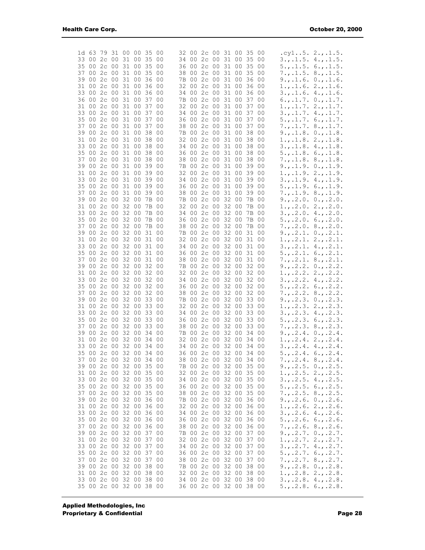| 79 31 00 00 35<br>1d 63<br>2c 00<br>31<br>33 00<br>2c 00<br>31<br>35 00<br>$2c$ 00<br>31 00<br>37 00<br>$2c$ 00<br>31<br>39<br>00<br>31 00<br>$2c$ 00<br>31 00<br>$2c$ 00<br>31<br>33<br>00<br>2c 00<br>31<br>36 00<br>2c 00<br>31<br>31 00<br>$2c$ 00<br>33<br>00<br>31<br>35 00<br>$2c$ 00<br>31 00<br>$2c$ 00<br>37<br>00<br>31<br>2c 00<br>31<br>39<br>00<br>$2c$ 00<br>31<br>31 00<br>$2c$ 00<br>33 00<br>31<br>35 00<br>$2c$ 00<br>31 00<br>$2c$ 00<br>37<br>00<br>31<br>2c 00<br>31<br>39<br>00<br>2c 00<br>31<br>31 00<br>$2c$ 00<br>33 00<br>31<br>31 00<br>35 00<br>$2c$ 00<br>$2c$ 00<br>31<br>37<br>00<br>2c 00<br>32<br>39<br>00<br>$2c$ 00<br>32<br>31 00<br>$2c$ 00<br>32<br>33 00<br>2c 00 32 00<br>35 00<br>$2c$ 00<br>32<br>37<br>00<br>2c 00<br>32<br>39<br>00<br>$2c$ 00<br>32<br>31 00<br>$2c$ 00<br>32 00<br>33 00<br>2c 00 32 00<br>35 00<br>$2c$ 00<br>32<br>37<br>00<br>$2c$ 00<br>32<br>39<br>00<br>$2c$ 00<br>32<br>31 00<br>$2c$ 00<br>32 00<br>33 00<br>35 00<br>$2c$ 00<br>$2c$ 00<br>32<br>37<br>00<br>$2c$ 00<br>32<br>39<br>00<br>$2c$ 00<br>32<br>31 00<br>$2c$ 00<br>32<br>33 00<br>$2c$ 00<br>32 00<br>35<br>00<br>2c 00<br>32<br>37<br>00<br>2c 00<br>32<br>39<br>00<br>$2c$ 00<br>32<br>31 00<br>2 <sub>c</sub><br>32<br>33<br>00<br>00<br>35 00 2c 00 32 00 34<br>37 00 2c 00 32 00 34 00<br>39 00 2c 00 32 00 35 00<br>31 00 2c 00 32 00 35<br>33 00 2c 00 32 00 35 00<br>35 00 2c 00 32 00 35 00<br>37 00 2c 00 32 00 35 00<br>39 00 2c 00 32 00 36 00<br>31 00 2c 00 32 00 36 00<br>33 00 2c 00 32 00 36 00<br>35 00 2c 00 32 00 36 00<br>37 00 2c 00 32 00 36 00<br>39 00 2c 00 32 00 37<br>31 00 2c 00 32 00 37 00<br>33 00 2c 00 32 00 37<br>35 00 2c 00 32 00 37 | - 00<br>00<br>-35<br>00<br>00<br>34<br>35<br>00<br>00<br>36<br>00<br>35<br>00<br>38<br>00<br>36<br>00<br>00<br>00<br>7в.<br>36<br>00<br>32<br>36<br>00<br>00<br>34<br>37<br>00<br>00<br>00<br>7в<br>37<br>00<br>00<br>32<br>37<br>00<br>00<br>34<br>37<br>00<br>37<br>00<br>00<br>38<br>38<br>00<br>00<br>00<br>7в<br>38<br>00<br>00<br>32<br>38<br>00<br>00<br>34<br>-38<br>00<br>38<br>00<br>00<br>38<br>39<br>00<br>00<br>00<br>7в<br>39<br>00<br>00<br>32<br>00<br>39<br>00<br>34<br>39<br>00<br>39<br>00<br>00<br>38<br>7B<br>00<br>00<br>00<br>7в<br>00<br>7В<br>00<br>32<br>00<br>7В<br>00<br>34<br>7В<br>00<br>7B<br>00<br>00<br>38<br>31<br>00<br>00<br>00<br>7В<br>31<br>00<br>00<br>32<br>31<br>00<br>34<br>31<br>00<br>31<br>00<br>00<br>38<br>32<br>00<br>00<br>00<br>7В<br>32<br>00<br>00<br>32<br>-32<br>00<br>34<br>32 00 32 00<br>32<br>00<br>00<br>38<br>33<br>00<br>00<br>00<br>7в<br>33<br>00<br>00<br>32<br>00<br>33<br>00<br>00<br>34<br>00<br>-33<br>00<br>33<br>00<br>00<br>38<br>00<br>34<br>00<br>00<br>00<br>7в<br>34<br>00<br>00<br>32<br>00<br>00<br>34<br>00<br>34<br>00<br>- 00<br>36<br>- 00<br>00<br>00<br>00 | 32 00 2c 00 31 00 35 00<br>2c 00<br>31<br>00<br>35<br>00<br>$2c$ 00<br>31<br>-35<br>00<br>00<br>2c 00<br>31 00<br>-35<br>00<br>$2c$ 00<br>31 00<br>36<br>- 00<br>00 2c 00<br>31 00<br>36 00<br>00 2c 00<br>31<br>00<br>36 00<br>$2c$ 00<br>31<br>00<br>37<br>00<br>00 2c 00<br>31 00<br>37 00<br>00 2c 00<br>31 00<br>37<br>00<br>36 00 2c 00<br>31 00 37<br>00<br>00 2c 00<br>31<br>00<br>37<br>00<br>$2c$ 00<br>31<br>00<br>38<br>00<br>00 2c 00<br>31 00<br>38<br>0 <sup>0</sup><br>00 2c 00<br>31 00<br>38<br>- 00<br>36 00 2c 00<br>31 00<br>38 00<br>00 2c 00<br>-31<br>00<br>38<br>00<br>$2c$ 00<br>31<br>00<br>39<br>00<br>00 2c 00<br>31 00<br>39<br>00<br>00 2c 00<br>31 00<br>39<br>00<br>36 00 2c 00<br>31 00<br>39<br>00<br>00 2c 00<br>31<br>00<br>39 00<br>$2c$ 00<br>32<br>7В<br>00<br>- 0 0<br>00 2c 00<br>32 00<br>7В<br>- 00<br>00 2c 00<br>32 00<br>7B 00<br>32 00<br>36 00 2c 00<br>7B 00<br>00 2c 00<br>32<br>00<br>7B 00<br>$2c$ 00<br>32<br>31<br>00<br>00<br>00 2c 00<br>32 00<br>31 00<br>00 2c 00<br>32 00<br>31 00<br>36 00 2c 00 32 00 31 00<br>00 2c 00<br>32<br>00<br>31<br>00<br>$2c$ 00<br>32<br>32<br>00<br>00<br>00 2c 00<br>32 00<br>32<br>- 00<br>00 2c 00<br>32 00<br>32 00<br>36 00 2c 00 32 00 32 00<br>00 2c 00<br>32<br>00<br>32 00<br>$2c$ 00<br>32<br>00<br>33<br>00<br>$2c$ 00<br>32<br>00<br>33<br>00<br>$2c$ 00<br>32<br>33<br>00<br>00<br>32 00<br>36 00 2c 00<br>33 00<br>$2c$ 00<br>32<br>00<br>33<br>00<br>$2c$ 00<br>32<br>00<br>34<br>00<br>$2c$ 00<br>32<br>00<br>34<br>00<br>$2c$ 00<br>32<br>34<br>00<br>00<br>00 2c 00 32 00 34 00<br>38 00 2c 00 32 00 34 00<br>7B 00 2c 00 32 00 35 00<br>32 00 2c 00 32 00 35 00<br>34 00 2c 00 32 00 35 00<br>36 00 2c 00 32 00 35 00<br>38 00 2c 00 32 00 35 00<br>7B 00 2c 00 32 00 36 00<br>32 00 2c 00 32 00 36 00<br>34 00 2c 00 32 00 36 00<br>36 00 2c 00 32 00 36 00<br>38 00 2c 00 32 00 36 00<br>7B 00 2c 00 32 00<br>37 00<br>32 00 2c 00 32 00 37 00<br>34 00 2c 00 32 00<br>37 00<br>36 00 2c 00 32 00 37 00 | .cyl. .5. 2., .1.5.<br>3., .1.5.4., .1.5.<br>5., .1.5. 6., .1.5.<br>7., .1.5.8., .1.5.<br>9., .1.6. 0., .1.6.<br>1., .1.6. 2., .1.6.<br>3.7.1.6.4.7.1.6.<br>$6., .1.7.$ $0., .1.7.$<br>1., .1.7. 2., .1.7.<br>3., .1.7.4., .1.7.<br>5., .1.7.<br>6., .1.7.<br>7.7.1.7.8.7.1.7.<br>9., .1.8. 0., .1.8.<br>1., .1.8. 2., .1.8.<br>3., .1.8.4., .1.8.<br>5., .1.8.<br>6., .1.8.<br>7., .1.8.8., .1.8.<br>9.7.1.9.0.7.1.9.<br>1., .1.9. 2., .1.9.<br>3., .1.9.4., .1.9.<br>5., .1.9.<br>6.7.1.9.<br>7., .1.9.8., .1.9.<br>9.7.2.0.0.7.2.0.<br>1., .2.0. 2., .2.0.<br>3.7.2.0.4.7.2.0.<br>5., .2.0.<br>6.7.2.0.<br>7.7.2.0.8.7.2.0.<br>9.7.2.1.0.7.2.1.<br>1., .2.1. 2., .2.1.<br>3.7.2.1.4.7.2.1.<br>5., .2.1.<br>6.7.2.1.<br>7.7.2.1.8.7.2.1.<br>9.7.2.2.0.7.2.2.<br>1., .2.2. 2., .2.2.<br>3.7.2.2.4.7.2.2.<br>5., .2.2.<br>6.7.2.2.<br>7.7.2.2.8.7.2.2.<br>9.7.2.3.0.7.2.3.<br>1., .2.3. 2., .2.3.<br>3.7.2.3.4.7.2.3.<br>5., .2.3.<br>6.7.2.3.<br>7.7.2.3.8.7.2.3.<br>9.7.2.4.0.7.2.4.<br>1., .2.4. 2., .2.4.<br>3.7.2.4.4.7.2.4.<br>5., .2.4.6., .2.4.<br>7.7.2.4.8.7.2.4.<br>9.7.2.5.0.7.2.5.<br>1., .2.5. 2., .2.5.<br>3.7.2.5.4.7.2.5.<br>5., .2.5. 6., .2.5.<br>7.7.2.5.8.7.2.5.<br>9.7.2.6.0.7.2.6.<br>1., .2.6. 2., .2.6.<br>3.7.2.6.4.7.2.6.<br>5., .2.6.6., .2.6.<br>7.7.2.6.8.7.2.6.<br>9.7.2.7.0.7.2.7.<br>1., .2.7. 2., .2.7.<br>3.7.2.7.4.7.2.7.<br>5., .2.7.6., .2.7. |
|----------------------------------------------------------------------------------------------------------------------------------------------------------------------------------------------------------------------------------------------------------------------------------------------------------------------------------------------------------------------------------------------------------------------------------------------------------------------------------------------------------------------------------------------------------------------------------------------------------------------------------------------------------------------------------------------------------------------------------------------------------------------------------------------------------------------------------------------------------------------------------------------------------------------------------------------------------------------------------------------------------------------------------------------------------------------------------------------------------------------------------------------------------------------------------------------------------------------------------------------------------------------------------------------------------------------------------------------------------------------------------------------------------------------------------------------------------------------------------------------------------------------------------------------------------------------------------------------------------------------------------------------------------------------------------------------------------------|------------------------------------------------------------------------------------------------------------------------------------------------------------------------------------------------------------------------------------------------------------------------------------------------------------------------------------------------------------------------------------------------------------------------------------------------------------------------------------------------------------------------------------------------------------------------------------------------------------------------------------------------------------------------------------------------------------------------------------------------------------------------------------------------------------------------------------------------------------------------------------------------------------------------------------------------------------------------------------------------------------------------------------------------------------------------------------------------------------------------------------------------|------------------------------------------------------------------------------------------------------------------------------------------------------------------------------------------------------------------------------------------------------------------------------------------------------------------------------------------------------------------------------------------------------------------------------------------------------------------------------------------------------------------------------------------------------------------------------------------------------------------------------------------------------------------------------------------------------------------------------------------------------------------------------------------------------------------------------------------------------------------------------------------------------------------------------------------------------------------------------------------------------------------------------------------------------------------------------------------------------------------------------------------------------------------------------------------------------------------------------------------------------------------------------------------------------------------------------------------------------------------------------------------------------------------------------------------------------------------------------------------------------------------------------------------------------------------------------------------------------------------------------------------------------------------------------------------------------------------------------------------------------------------------------------------------------------------------------------------------------------------------------------------------------------------------------------------------------------------------------------------------------------------------|-------------------------------------------------------------------------------------------------------------------------------------------------------------------------------------------------------------------------------------------------------------------------------------------------------------------------------------------------------------------------------------------------------------------------------------------------------------------------------------------------------------------------------------------------------------------------------------------------------------------------------------------------------------------------------------------------------------------------------------------------------------------------------------------------------------------------------------------------------------------------------------------------------------------------------------------------------------------------------------------------------------------------------------------------------------------------------------------------------------------------------------------------------------------------------------------------------------------------------------------------------------------------------------------------------------------------------------------------------------------------------------|
| 37 00 2c 00 32 00 37<br>39 00 2c 00 32 00 38<br>31 00 2c 00 32 00 38 00<br>33 00 2c 00 32 00 38 00<br>35 00 2c 00 32 00 38 00                                                                                                                                                                                                                                                                                                                                                                                                                                                                                                                                                                                                                                                                                                                                                                                                                                                                                                                                                                                                                                                                                                                                                                                                                                                                                                                                                                                                                                                                                                                                                                                  | 00<br>00                                                                                                                                                                                                                                                                                                                                                                                                                                                                                                                                                                                                                                                                                                                                                                                                                                                                                                                                                                                                                                                                                                                                       | 38 00 2c 00 32 00 37 00<br>7B 00 2c 00 32 00<br>38<br>00<br>32 00 2c 00 32 00 38 00<br>34 00 2c 00 32 00<br>38 00<br>36 00 2c 00 32 00 38 00                                                                                                                                                                                                                                                                                                                                                                                                                                                                                                                                                                                                                                                                                                                                                                                                                                                                                                                                                                                                                                                                                                                                                                                                                                                                                                                                                                                                                                                                                                                                                                                                                                                                                                                                                                                                                                                                           | 7.7.2.7.8.7.2.7.<br>9.7.2.8.0.7.2.8.<br>1., .2.8. 2., .2.8.<br>3.7.2.8.4.7.2.8.<br>5., .2.8. 6., .2.8.                                                                                                                                                                                                                                                                                                                                                                                                                                                                                                                                                                                                                                                                                                                                                                                                                                                                                                                                                                                                                                                                                                                                                                                                                                                                              |

Applied Methodologies, Inc Proprietary & Confidential **Proprietary & Confidential**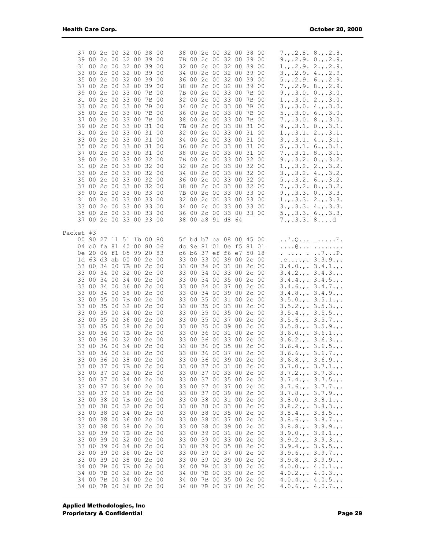|           | 37 00 2c 00 32 00 38 00<br>39 00 2c 00 32 00 39 00<br>31 00 2c 00 32 00 39 00<br>33 00 2c 00 32 00 39 00<br>35 00 2c 00 32 00 39 00<br>37 00 2c 00 32 00 39 00<br>39 00 2c 00 33 00 7B 00<br>31 00 2c 00<br>33 00 2c 00 33 00<br>35 00 2c 00 33 00<br>37 00 2c 00 33 00<br>39 00 2c 00 33 00 31 00<br>31 00 2c 00<br>33 00 2c 00 33 00 31 00<br>35 00 2c 00 33 00 31 00<br>37 00 2c 00 33 00 31 00<br>39 00 2c 00 33 00 32 00<br>31 00 2c 00<br>33 00 2c 00 33 00 32 00<br>35 00 2c 00 33 00 32 00<br>37 00 2c 00 33 00 32 00<br>39 00 2c 00 33 00 33 00<br>31 00 2c 00<br>33 00 2c 00 33 00<br>35 00 2c 00 33 00 33 00<br>37 00 2c 00 33 00 33 00                                                                                                                                                                                                                         |                                  | 33 00 | 7B 00<br>7B 00<br>7B 00<br>7B 00<br>33 00 31 00<br>33 00 32 00<br>33 00 33 00<br>33 00                                                                                                       |  |       |  | 7B 00 2c 00 33 00<br>32 00 2c 00 33 00<br>34 00 2c 00 33 00<br>36 00 2c 00 33 00<br>34 00 2c 00 33 00<br>38 00 a8 91 d8 64 | 38 00 2c 00 32 00 38 00<br>7B 00 2c 00 32 00 39 00<br>32 00 2c 00 32 00 39 00<br>34 00 2c 00 32 00 39 00<br>36 00 2c 00 32 00 39 00<br>38 00 2c 00 32 00 39 00<br>7B 00<br>7B 00<br>7B 00<br>7B 00<br>38 00 2c 00 33 00 7B 00<br>7B 00 2c 00 33 00 31 00<br>32 00 2c 00 33 00 31 00<br>34 00 2c 00 33 00 31 00<br>36 00 2c 00 33 00 31 00<br>38 00 2c 00 33 00 31 00<br>7B 00 2c 00 33 00 32 00<br>32 00 2c 00 33 00 32 00<br>32 00<br>36 00 2c 00 33 00 32 00<br>38 00 2c 00 33 00 32 00<br>7B 00 2c 00 33 00 33 00<br>32 00 2c 00 33 00 33 00<br>34 00 2c 00 33 00 33 00<br>36 00 2c 00 33 00 33 00                                                                                                                                                                                                                                                                                                                                                                                                                                                    | 7.7.2.8.8.7.2.8.<br>9.7.2.9.0.7.2.9.<br>1., .2.9. 2., .2.9.<br>3.7.2.9.4.7.2.9.<br>5., .2.9.6., .2.9.<br>7.7.2.9.8.7.2.9.<br>9.7.3.0.0.7.3.0.<br>1., .3.0. 2., .3.0.<br>3., .3.0.4., .3.0.<br>5., .3.0.6., .3.0.<br>7., .3.0.8., .3.0.<br>9.7.3.1.0.7.3.1.<br>1., .3.1. 2., .3.1.<br>3.7.3.1.4.7.3.1.<br>5., .3.1.6., .3.1.<br>7.7.3.1.8.7.3.1.<br>9.7.3.2.0.7.3.2.<br>1., .3.2. 2., .3.2.<br>3.7.3.2.4.7.3.2.<br>5., .3.2.6., .3.2.<br>7.7.3.2.8.7.3.2.<br>9.7.3.3.0.7.3.3.<br>1., .3.3.2., .3.3.<br>3.7.3.3.4.7.3.3.<br>5., .3.3.6., .3.3.<br>7.7.3.3.8d                                                                                                                                                                                                                                                                                                                                                                                                        |
|-----------|----------------------------------------------------------------------------------------------------------------------------------------------------------------------------------------------------------------------------------------------------------------------------------------------------------------------------------------------------------------------------------------------------------------------------------------------------------------------------------------------------------------------------------------------------------------------------------------------------------------------------------------------------------------------------------------------------------------------------------------------------------------------------------------------------------------------------------------------------------------------------|----------------------------------|-------|----------------------------------------------------------------------------------------------------------------------------------------------------------------------------------------------|--|-------|--|----------------------------------------------------------------------------------------------------------------------------|----------------------------------------------------------------------------------------------------------------------------------------------------------------------------------------------------------------------------------------------------------------------------------------------------------------------------------------------------------------------------------------------------------------------------------------------------------------------------------------------------------------------------------------------------------------------------------------------------------------------------------------------------------------------------------------------------------------------------------------------------------------------------------------------------------------------------------------------------------------------------------------------------------------------------------------------------------------------------------------------------------------------------------------------------------|-------------------------------------------------------------------------------------------------------------------------------------------------------------------------------------------------------------------------------------------------------------------------------------------------------------------------------------------------------------------------------------------------------------------------------------------------------------------------------------------------------------------------------------------------------------------------------------------------------------------------------------------------------------------------------------------------------------------------------------------------------------------------------------------------------------------------------------------------------------------------------------------------------------------------------------------------------------------|
| Packet #3 | 00 90 27 11 51 1b 00 80<br>04 c0 fa 81 40 00 80 06<br>0e 20 06 f1 05 99 20 83<br>1d 63 d3 ab 00 00 2c 00<br>33 00 34 00<br>33 00 34 00<br>33 00 34 00 34 00 2c 00<br>33 00 34 00 36 00 2c 00<br>33 00 34 00 38 00 2c 00<br>33 00 35 00<br>33 00<br>33 00<br>33 00 35 00 36 00 2c 00<br>33 00 35 00<br>33 00 36 00<br>33 00<br>33 00<br>33 00 36 00 36 00 2c 00<br>33 00 36 00 38 00 2c 00<br>33 00 37 00 7B 00 2c 00<br>33 00 37 00 32 00 2c 00<br>33 00 37 00 34 00 2c 00<br>33 00 37 00 36 00 2c 00<br>33 00 37 00 38 00 2c 00<br>33 00 38 00 7B 00 2c 00<br>33 00 38 00 32 00 2c 00<br>33 00 38 00 34 00 2c 00<br>33 00 38 00 36 00 2c 00<br>33 00 38 00 38 00 2c 00<br>33 00 39 00 7B 00 2c 00<br>33 00 39 00 32 00 2c 00<br>33 00 39 00 34 00 2c 00<br>33 00 39 00 36 00 2c 00<br>33 00 39 00 38 00 2c 00<br>34 00 7B 00<br>34 00<br>34 00<br>34 00 7B 00 36 00 2c 00 | 35 00<br>35 00<br>36 00<br>36 00 |       | 7B 00 2c 00<br>32 00 2c 00<br>7B 00 2c 00<br>32 00 2c 00<br>34 00 2c 00<br>38 00 2c 00<br>7B 00 2c 00<br>32 00 2c 00<br>34 00 2c 00<br>7B 00 2c 00<br>7B 00 32 00 2c 00<br>7B 00 34 00 2c 00 |  | 33 00 |  |                                                                                                                            | 5f bd b7 ca 08 00 45 00<br>dc 9e 81 01 0e f5 81 01<br>c6 b6 37 ef f6 e7 50 18<br>33 00 33 00 39 00 2c 00<br>33 00 34 00 31 00 2c 00<br>33 00 34 00 33 00 2c 00<br>33 00 34 00 35 00 2c 00<br>33 00 34 00 37 00 2c 00<br>33 00 34 00 39 00 2c 00<br>33 00 35 00 31 00 2c 00<br>33 00 35 00 33 00 2c 00<br>33 00 35 00 35 00 2c 00<br>33 00 35 00 37 00 2c 00<br>33 00 35 00 39 00 2c 00<br>33 00 36 00 31 00 2c 00<br>33 00 36 00 33 00 2c 00<br>36 00 35 00 2c 00<br>33 00 36 00 37 00 2c 00<br>33 00 36 00 39 00 2c 00<br>33 00 37 00 31 00 2c 00<br>33 00 37 00 33 00 2c 00<br>33 00 37 00 35 00 2c 00<br>33 00 37 00 37 00 2c 00<br>33 00 37 00 39 00 2c 00<br>33 00 38 00 31 00 2c 00<br>33 00 38 00 33 00 2c 00<br>33 00 38 00 35 00 2c 00<br>33 00 38 00 37 00 2c 00<br>33 00 38 00 39 00 2c 00<br>33 00 39 00 31 00 2c 00<br>33 00 39 00 33 00 2c 00<br>33 00 39 00 35 00 2c 00<br>33 00 39 00 37 00 2c 00<br>33 00 39 00 39 00 2c 00<br>34 00 7B 00 31 00 2c 00<br>34 00 7B 00 33 00 2c 00<br>34 00 7B 00 35 00 2c 00<br>34 00 7B 00 37 00 2c 00 | $\ldots$ ' $\Omega \ldots$ $\ldots$ .<br>. @<br>$.c. \ldots, .3.3.9.$<br>3.4.0., . 3.4.1., .<br>$3.4.2.$ , $3.4.3.$ , .<br>$3.4.4.$ , $3.4.5.$ , .<br>$3.4.6.$ , $3.4.7.$ , .<br>$3.4.8.$ , $3.4.9.$ , .<br>3.5.0., .3.5.1., .<br>$3.5.2.$ , $3.5.3.$ , .<br>$3.5.4.$ , $3.5.5.$ , .<br>$3.5.6.$ , $3.5.7.$ , .<br>$3.5.8.$ , $3.5.9.$ , .<br>3.6.0., . 3.6.1., .<br>$3.6.2.$ , $3.6.3.$ , .<br>$3.6.4.$ , $3.6.5.$ , .<br>$3.6.6.$ , $3.6.7.$<br>$3.6.8.$ ,. $3.6.9.$ ,.<br>3.7.0., . 3.7.1., .<br>$3.7.2.$ , $3.7.3.$ , .<br>$3.7.4.$ , $3.7.5.$ , .<br>$3.7.6.$ , $3.7.7.$ , .<br>3.7.8., . 3.7.9., .<br>3.8.0., . 3.8.1., .<br>$3.8.2.$ , $3.8.3.$ , .<br>3.8.43.8.5<br>$3.8.6.$ , $3.8.7.$ , .<br>$3.8.8.$ , $3.8.9.$ , .<br>3.9.0., . 3.9.1., .<br>$3.9.2.$ , $3.9.3.$ , .<br>$3.9.4.$ , $3.9.5.$ , .<br>$3.9.6.$ , $3.9.7.$ , .<br>3.9.8., . 3.9.9., .<br>4.0.0., 4.0.1.,<br>$4.0.2.$ , $4.0.3.$ , .<br>$4.0.4.$ , $4.0.5.$ , .<br>$4.0.6.$ , $4.0.7.$ , . |

Applied Methodologies, Inc **Proprietary & Confidential Page 29**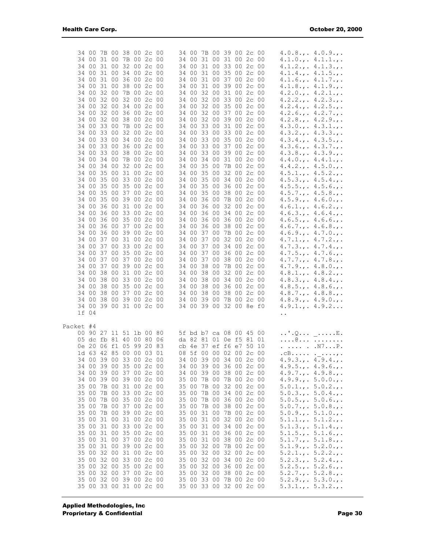|           | 34 00 7B 00 38 00 2c 00<br>34 00 31 00<br>34 00 31 00 32 00 2c 00<br>34 00 31 00 34 00 2c 00<br>34 00 31 00 36 00 2c 00<br>34 00 31 00 38 00 2c 00<br>34 00 32 00<br>34 00 32 00 32 00 2c 00<br>34 00 32 00 34 00 2c 00<br>34 00 32 00 36 00 2c 00<br>34 00 32 00 38 00 2c 00<br>34 00 33 00<br>34 00 33 00 32 00 2c 00<br>34 00 33 00 34 00 2c 00<br>34 00 33 00 36 00 2c 00<br>34 00 33 00 38 00 2c 00<br>34 00 34 00<br>34 00 34 00 32 00 2c 00<br>34 00 35 00 31 00 2c 00<br>34 00 35 00 33 00 2c 00<br>34 00 35 00 35 00 2c 00<br>34 00 35 00<br>34 00 35 00 39 00 2c 00<br>34 00 36 00 31 00 2c 00<br>34 00 36 00 33 00 2c 00<br>34 00 36 00 35 00 2c 00<br>34 00 36 00<br>34 00 36 00 39 00 2c 00<br>34 00 37 00 31 00 2c 00<br>34 00 37 00 33 00 2c 00<br>34 00 37 00 35 00 2c 00<br>34 00 37 00<br>34 00 37 00 39 00 2c 00<br>34 00 38 00 31 00 2c 00<br>34 00 38 00 33 00 2c 00<br>34 00 38 00 35 00 2c 00<br>34 00 38 00<br>34 00 38 00 39 00 2c 00<br>34 00 39 00 31 00 2c 00 |  |  | 7B 00 2c 00<br>7B 00 2c 00<br>7B 00 2c 00<br>7B 00 2c 00<br>37 00 2c 00<br>37 00 2c 00<br>37 00 2c 00<br>37 00 2c 00 |  |  |  | 34 00 7B 00 39 00 2c 00<br>34 00 31 00 31 00 2c 00<br>34 00 31 00 33 00 2c 00<br>34 00 31 00 35 00 2c 00<br>34 00 31 00 37 00 2c 00<br>34 00 31 00 39 00 2c 00<br>34 00 32 00 31 00 2c 00<br>34 00 32 00 33 00 2c 00<br>34 00 32 00 35 00 2c 00<br>34 00 32 00 37 00 2c 00<br>34 00 32 00 39 00 2c 00<br>34 00 33 00 31 00 2c 00<br>34 00 33 00 33 00 2c 00<br>34 00 33 00 35 00 2c 00<br>34 00 33 00 37 00 2c 00<br>34 00 33 00 39 00 2c 00<br>34 00 34 00 31 00 2c 00<br>34 00 35 00 7B 00 2c 00<br>34 00 35 00 32 00 2c 00<br>34 00 35 00 34 00 2c 00<br>34 00 35 00 36 00 2c 00<br>34 00 35 00 38 00 2c 00<br>34 00 36 00 7B 00 2c 00<br>34 00 36 00 32 00 2c 00<br>34 00 36 00 34 00 2c 00<br>34 00 36 00 36 00 2c 00<br>34 00 36 00 38 00 2c 00<br>34 00 37 00 7B 00 2c 00<br>34 00 37 00 32 00 2c 00<br>34 00 37 00 34 00 2c 00<br>34 00 37 00 36 00 2c 00<br>34 00 37 00 38 00 2c 00<br>34 00 38 00 7B 00 2c 00<br>34 00 38 00 32 00 2c 00<br>34 00 38 00 34 00 2c 00<br>34 00 38 00 36 00 2c 00<br>34 00 38 00 38 00 2c 00<br>34 00 39 00 7B 00 2c 00<br>34 00 39 00 32 00 8e f0 | 4.0.8., 4.0.9.,<br>4.1.0., .4.1.1., .<br>4.1.2., . 4.1.3., .<br>$4.1.4.$ , $4.1.5.$ , .<br>$4.1.6.$ , $4.1.7.$ , .<br>4.1.8., . 4.1.9., .<br>4.2.0., . 4.2.1., .<br>$4.2.2.$ , $4.2.3.$ , .<br>$4.2.4.$ , $4.2.5.$ , .<br>$4.2.6.$ , $4.2.7.$ , .<br>4.2.8., 4.2.9.,<br>4.3.0., 4.3.1.,<br>4.3.2., . 4.3.3., .<br>$4.3.4.$ , $4.3.5.$ , .<br>$4.3.6.$ , $4.3.7.$ , .<br>4.3.8., . 4.3.9., .<br>4.4.0., . 4.4.1., .<br>$4.4.2.$ , $4.5.0.$ , .<br>$4.5.1.$ , $4.5.2.$ , .<br>4.5.3., . 4.5.4., .<br>$4.5.5.$ , $4.5.6.$ , .<br>$4.5.7.$ , $4.5.8.$ , .<br>$4.5.9.$ , $4.6.0.$ , .<br>$4.6.1.$ , $4.6.2.$ , .<br>$4.6.3.$ , $4.6.4.$ , .<br>$4.6.5.$ , $4.6.6.$ , .<br>$4.6.7.$ , $4.6.8.$ , .<br>$4.6.9.$ , $4.7.0.$ , .<br>4.7.1., . 4.7.2., .<br>$4.7.3.$ , $4.7.4.$ , .<br>$4.7.5.$ , $4.7.6.$ , .<br>$4.7.7.$ , $4.7.8.$ , .<br>$4.7.9.$ , $4.8.0.$ , .<br>4.8.1., . 4.8.2., .<br>4.8.3., . 4.8.4., .<br>$4.8.5.$ , $4.8.6.$ , .<br>$4.8.7.$ , $4.8.8.$ , .<br>$4.8.9.$ , $4.9.0.$ , .<br>4.9.1., . 4.9.2 |
|-----------|-------------------------------------------------------------------------------------------------------------------------------------------------------------------------------------------------------------------------------------------------------------------------------------------------------------------------------------------------------------------------------------------------------------------------------------------------------------------------------------------------------------------------------------------------------------------------------------------------------------------------------------------------------------------------------------------------------------------------------------------------------------------------------------------------------------------------------------------------------------------------------------------------------------------------------------------------------------------------------------------|--|--|----------------------------------------------------------------------------------------------------------------------|--|--|--|-------------------------------------------------------------------------------------------------------------------------------------------------------------------------------------------------------------------------------------------------------------------------------------------------------------------------------------------------------------------------------------------------------------------------------------------------------------------------------------------------------------------------------------------------------------------------------------------------------------------------------------------------------------------------------------------------------------------------------------------------------------------------------------------------------------------------------------------------------------------------------------------------------------------------------------------------------------------------------------------------------------------------------------------------------------------------------------------|--------------------------------------------------------------------------------------------------------------------------------------------------------------------------------------------------------------------------------------------------------------------------------------------------------------------------------------------------------------------------------------------------------------------------------------------------------------------------------------------------------------------------------------------------------------------------------------------------------------------------------------------------------------------------------------------------------------------------------------------------------------------------------------------------------------------------------------------------------------------------------------------------------------------------------------------------------------------------------------------------------------|
| Packet #4 | 1f 04<br>00 90 27 11 51 1b 00 80<br>05 dc fb 81 40 00 80 06<br>0e 20 06 f1 05 99 20 83<br>1d 63 42 85 00 00 03 01<br>34 00 39 00 33 00 2c 00<br>34 00 39 00 35 00 2c 00<br>34 00 39 00 37 00 2c 00<br>34 00 39 00 39 00 2c 00<br>35 00 7B 00 31 00 2c 00<br>35 00 7B 00 33 00 2c 00<br>35 00 7B 00 35 00 2c 00<br>35 00 7B 00 37 00 2c 00<br>35 00 7B 00 39 00 2c 00<br>35 00 31 00 31 00 2c 00<br>35 00 31 00 33 00 2c 00<br>35 00 31 00 35 00 2c 00<br>35 00 31 00 37 00 2c 00<br>35 00 31 00 39 00 2c 00<br>35 00 32 00 31 00 2c 00<br>35 00 32 00 33 00 2c 00<br>35 00 32 00 35 00 2c 00<br>35 00 32 00 37 00 2c 00<br>35 00 32 00 39 00 2c 00<br>35 00 33 00 31 00 2c 00                                                                                                                                                                                                                                                                                                             |  |  |                                                                                                                      |  |  |  | 5f bd b7 ca 08 00 45 00<br>da 82 81 01 0e f5 81 01<br>cb 4e 37 ef f6 e7 50 10<br>08 5f 00 00 02 00 2c 00<br>34 00 39 00 34 00 2c 00<br>34 00 39 00 36 00 2c 00<br>34 00 39 00 38 00 2c 00<br>35 00 7B 00 7B 00 2c 00<br>35 00 7B 00 32 00 2c 00<br>35 00 7B 00 34 00 2c 00<br>35 00 7B 00 36 00 2c 00<br>35 00 7B 00 38 00 2c 00<br>35 00 31 00 7B 00 2c 00<br>35 00 31 00 32 00 2c 00<br>35 00 31 00 34 00 2c 00<br>35 00 31 00 36 00 2c 00<br>35 00 31 00 38 00 2c 00<br>35 00 32 00 7B 00 2c 00<br>35 00 32 00 32 00 2c 00<br>35 00 32 00 34 00 2c 00<br>35 00 32 00 36 00 2c 00<br>35 00 32 00 38 00 2c 00<br>35 00 33 00 7B 00 2c 00<br>35 00 33 00 32 00 2c 00                                                                                                                                                                                                                                                                                                                                                                                                                      | $\ddot{\phantom{0}}$<br>$\ldots$ ' $\cdot$ Q $\ldots$ _ $\ldots$ $\ldots$ . E.<br>. @<br>$\ldots$ . $\ldots$ $\ldots$ $\mathbb{N}^7 \ldots \mathbb{P}$ .<br>$\cdot$ cB $\cdot$ $\ldots$ .<br>4.9.3., . 4.9.4., .<br>$4.9.5.$ , $4.9.6.$ , .<br>$4.9.7.$ , $4.9.8.$ , .<br>$4.9.9.$ , $5.0.0.$ , .<br>5.0.1., .5.0.2., .<br>5.0.3., . 5.0.4., .<br>5.0.5., .5.0.6., .<br>$5.0.7.$ , $5.0.8.$ , .<br>$5.0.9.$ , $5.1.0.$ , .<br>5.1.1., . 5.1.2., .<br>$5.1.3.$ , $5.1.4.$ , .<br>5.1.5., .5.1.6., .<br>5.1.7., . 5.1.8., .<br>$5.1.9.$ , $5.2.0.$ , .<br>5.2.1., .5.2.2., .<br>5.2.3., . 5.2.4., .<br>5.2.5., . 5.2.6., .<br>$5.2.7.$ , $5.2.8.$ , .<br>$5.2.9.$ , $5.3.0.$ , .<br>5.3.1., .5.3.2., .                                                                                                                                                                                                                                                                                                         |

Applied Methodologies, Inc Proprietary & Confidential **Proprietary & Confidential**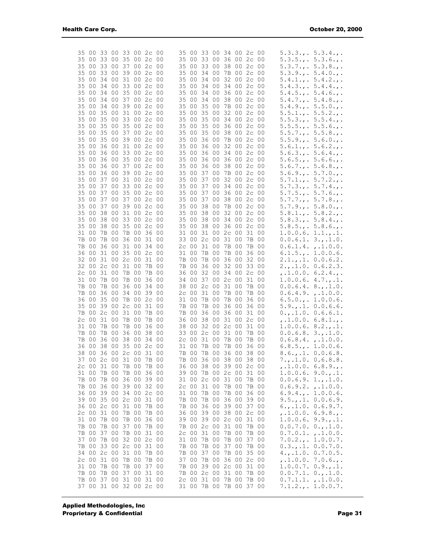| 7B 00 7B 00 37 00 7B 00<br>7B 00 2c 00 31 00<br>7B 00<br>7B 00 37 00 7B 00 31 00<br>2c 00 31 00 7B 00 7B 00<br>37 00 7B 00 32 00 2c 00<br>31 00 7B 00 7B 00 37 00<br>7.0.2., . 1.0.0.7. | 35 00 33 00 33 00 2c 00<br>33 00<br>35 00<br>35 00 33 00 37<br>35 00 33 00 39 00 2c 00<br>35 00<br>35 00 34 00 33 00 2c 00<br>35<br>34 00<br>00<br>35 00 34 00 37<br>35 00 34 00 39 00 2c 00<br>35 00 35 00 31<br>35 00 35 00 33 00 2c 00<br>35<br>35 00<br>00<br>35 00 35 00 37<br>35 00 35 00 39 00 2c 00<br>35 00 36 00<br>31<br>35 00 36 00 33 00 2c 00<br>35 00<br>36 00<br>35 00 36 00 37<br>35 00 36 00 39 00 2c 00<br>35 00<br>37 00<br>35 00 37 00 33 00 2c 00<br>35<br>00<br>37 00<br>35 00 37 00 37<br>35 00 37 00<br>35 00 38<br>00<br>35 00 38 00 33 00 2c 00<br>35<br>00<br>38 00<br>31 00<br>7B 00<br>7B 00<br>36 00 31 00 35 00 2c 00<br>32 00<br>31 00 2c 00<br>32 00 2c 00 31 00 7B 00<br>2c 00 31 00 7B 00 7B 00<br>7B 00<br>31 00<br>7B 00 7B 00<br>7B 00<br>36 00<br>36 00 35 00 7B 00 2c 00<br>35 00 39 00 2c 00 31 00<br>7B 00 2c 00<br>$2c$ 00<br>31 00<br>7B 00<br>7B 00<br>7B 00<br>36 00<br>7в<br>00<br>36<br>00<br>38 00<br>38 00 36 00 2c 00 31 00<br>37 00 2c 00 31 00 7B 00<br>2c 00 31 00 7B 00 7B 00<br>31 00 7B 00 7B 00 36 00<br>7B 00 7B 00 36 00 39 00<br>7B 00 36 00 39 00 32 00<br>36 00 39 00 34 00 2c 00<br>39 00 35 00 2c 00 31 00<br>36 00 2c 00 31 00 7B 00<br>2c 00 31 00 7B 00 7B 00 | 35 00<br>$2c$ 00<br>35 00<br>00 2c 00<br>34 00 31 00 2c 00<br>35 00 2c 00<br>35 00<br>00 2c 00<br>35 00 35<br>00 2c 00<br>35 00 2c 00<br>35 00<br>00 2c 00<br>00 2c 00<br>35 00 2c 00<br>35 00<br>00 2c 00<br>31 00 2c 00<br>35 00 37<br>35 00 2c 00<br>35 00<br>00 2c 00<br>39 00 2c 00<br>31 00 2c 00<br>35 00 2c 00<br>35 00<br>7B 00 7B 00 36 00<br>7B 00 36 00 31 00<br>36 00 31 00 34 00<br>31 00<br>7B 00<br>7B 00 36 00<br>36 00 34 00<br>34 00<br>39 00<br>$2c$ 00<br>31 00<br>31 00 7B 00<br>31 00 7B 00 7B 00<br>7B 00<br>36 00<br>38<br>00<br>36 00 38 00<br>38 00<br>34 00<br>35 00 2c 00<br>31 00 | 35 00 33 00 34 00 2c 00<br>33 00<br>36<br>2c 00<br>00<br>35 00 33 00 38 00 2c 00<br>35 00 34 00<br>7B 00 2c 00<br>35 00 34 00 32 00 2c 00<br>35 00 34 00<br>34 00 2c 00<br>34 00<br>36<br>00 2c 00<br>35 00 34 00 38 00 2c 00<br>00<br>7B 00 2c 00<br>35 00 35 00 32<br>00 2c 00<br>35 00 35 00<br>34 00 2c 00<br>35 00<br>36<br>00 2c 00<br>35 00 35 00 38 00 2c 00<br>35 00 36 00<br>7B 00 2c 00<br>35 00 36 00 32<br>00 2c 00<br>35 00 36 00<br>34 00 2c 00<br>36 00<br>36<br>00 2c 00<br>35 00 36 00 38 00 2c 00<br>35 00 37 00<br>7B 00 2c 00<br>00 32 00 2c 00<br>35 00 37 00<br>34 00 2c 00<br>37<br>00<br>36<br>00 2c 00<br>35 00 37 00 38 00 2c 00<br>35 00 38 00<br>7B 00 2c 00<br>35 00 38 00<br>32 00 2c 00<br>35 00 38 00<br>34 00 2c 00<br>38 00<br>36 00 2c 00<br>31 00 31 00 2c 00 31 00<br>33 00 2c 00 31 00 7B 00<br>2c 00 31 00<br>7B 00<br>7B 00<br>31 00 7B 00<br>7B 00 36 00<br>7B 00<br>36<br>32 00<br>00<br>7B 00 36 00 32 00 33 00<br>36 00 32 00 34 00 2c 00<br>34 00 37 00 2c 00 31 00<br>38 00 2c 00<br>31 00<br>7B 00<br>31 00<br>7B 00<br>7B 00<br>7B 00<br>7B 00 36 00<br>7B 00 7B 00<br>36 00 36 00<br>7B 00 36 00<br>36 00 31 00<br>36 00 38 00<br>31 00 2c 00<br>32 00<br>2c<br>00<br>31 00<br>33 00 2c 00<br>31 00<br>7B 00<br>2c 00 31 00<br>7 B<br>00<br>7 B<br>00<br>7B 00<br>7B 00<br>36 00<br>7B 00 7B 00 36 00 38 00<br>7B 00 36 00 38 00 38 00<br>36 00 38 00 39 00 2c 00<br>39 00 7B 00 2c 00 31 00<br>31 00 2c 00 31 00<br>7B 00<br>2c 00 31 00 7B 00<br>7B 00<br>31 00 7B 00<br>7B 00<br>36 00<br>7B 00 7B 00 36 00 39 00<br>7B 00 36 00 39 00 37 00<br>36 00 39 00 38 00 2c 00 | $5.3.3.$ , $5.3.4.$ , .<br>5.3.5., .5.3.6., .<br>$5.3.7.$ , $5.3.8.$ , .<br>$5.3.9.$ , $5.4.0.$ , .<br>5.4.1., .5.4.2., .<br>$5.4.3.$ , $5.4.4.$ , .<br>$5.4.5.$ , $5.4.6.$ , .<br>$5.4.7.$ , $5.4.8.$ , .<br>$5.4.9.$ , $5.5.0.$ , .<br>5.5.1., .5.5.2., .<br>$5.5.3.$ , $5.5.4.$ , .<br>$5.5.5.$ , $5.5.5.6.$ , .<br>$5.5.7.$ , $5.5.8.$ , .<br>$5.5.9.$ , $5.6.0.$ , .<br>$5.6.1.$ , $5.6.2.$ , .<br>$5.6.3.$ , $5.6.4.$ , .<br>$5.6.5.$ , $5.6.6.$ , .<br>$5.6.7.$ , $5.6.8.$ , .<br>$5.6.9.$ , $5.7.0.$ , .<br>5.7.1., .5.7.2., .<br>$5.7.3.$ , $5.7.4.$ , .<br>5.7.5., .5.7.6., .<br>$5.7.7.$ , $5.7.8.$ , .<br>$5.7.9.$ , $5.8.0.$ , .<br>5.8.1., . 5.8.2., .<br>5.8.3., . 5.8.4., .<br>5.8.5., .5.8.6., .<br>1.0.0.6. 1.1., .1.<br>$0.0.6.1.3.$ , $1.0.$<br>$0.6.1.4.$ , $1.0.0.$<br>6.1.5., . 1.0.0.6.<br>2.1., .1. 0.0.6.2.<br>2., .1.0.0.6.2.3.<br>, 1.0.0.6.2.4.<br>$1.0.0.6. 4.7.$ , .1.<br>0.0.6.4.8., .1.0.<br>$0.6.4.9.$ , $1.0.0.$<br>6.5.0., . 1.0.0.6.<br>$5.9.$ , $1.0.0.6.6$ .<br>0., .1.0. 0.6.6.1.<br>, 1.0.0.6.8.1.<br>1.0.0.6. 8.2., .1.<br>0.0.6.8. 3., .1.0.<br>$0.6.8.4.$ , $1.0.0.$<br>6.8.5., . 1.0.0.6.<br>$8.6.$ , $1.0.0.6.8$ .<br>7., .1.0.0.6.8.8.<br>,.1.0.0. 6.8.9.,.<br>1.0.0.6. 9.0., 1.<br>$0.0.6.9.1.$ , 1.0.<br>$0.6.9.2.$ , $1.0.0.$<br>6.9.4., . 1.0.0.6.<br>9.5., .1.0.0.6.9.<br>6., .1.0. 0.6.9.7.<br>, 1.0.0.6.9.8. |
|-----------------------------------------------------------------------------------------------------------------------------------------------------------------------------------------|------------------------------------------------------------------------------------------------------------------------------------------------------------------------------------------------------------------------------------------------------------------------------------------------------------------------------------------------------------------------------------------------------------------------------------------------------------------------------------------------------------------------------------------------------------------------------------------------------------------------------------------------------------------------------------------------------------------------------------------------------------------------------------------------------------------------------------------------------------------------------------------------------------------------------------------------------------------------------------------------------------------------------------------------------------------------------------------------------------------------------------------------------------------------------------------------------------------------------------|-----------------------------------------------------------------------------------------------------------------------------------------------------------------------------------------------------------------------------------------------------------------------------------------------------------------------------------------------------------------------------------------------------------------------------------------------------------------------------------------------------------------------------------------------------------------------------------------------------------------|------------------------------------------------------------------------------------------------------------------------------------------------------------------------------------------------------------------------------------------------------------------------------------------------------------------------------------------------------------------------------------------------------------------------------------------------------------------------------------------------------------------------------------------------------------------------------------------------------------------------------------------------------------------------------------------------------------------------------------------------------------------------------------------------------------------------------------------------------------------------------------------------------------------------------------------------------------------------------------------------------------------------------------------------------------------------------------------------------------------------------------------------------------------------------------------------------------------------------------------------------------------------------------------------------------------------------------------------------------------------------------------------------------------------------------------------------------------------------------------------------------------------------------------------------------------------------------------------------------------------------|--------------------------------------------------------------------------------------------------------------------------------------------------------------------------------------------------------------------------------------------------------------------------------------------------------------------------------------------------------------------------------------------------------------------------------------------------------------------------------------------------------------------------------------------------------------------------------------------------------------------------------------------------------------------------------------------------------------------------------------------------------------------------------------------------------------------------------------------------------------------------------------------------------------------------------------------------------------------------------------------------------------------------------------------------------------------------------------------------------------------------------------------------------------------------------------------------------------------------------------------------------------------------------------------------------------------------------------------------------------------|
|                                                                                                                                                                                         | 31 00 7B 00 7B 00 36 00                                                                                                                                                                                                                                                                                                                                                                                                                                                                                                                                                                                                                                                                                                                                                                                                                                                                                                                                                                                                                                                                                                                                                                                                            |                                                                                                                                                                                                                                                                                                                                                                                                                                                                                                                                                                                                                 | 39 00 39 00 2c 00 31 00                                                                                                                                                                                                                                                                                                                                                                                                                                                                                                                                                                                                                                                                                                                                                                                                                                                                                                                                                                                                                                                                                                                                                                                                                                                                                                                                                                                                                                                                                                                                                                                                      | $1.0.0.6. 9.9.$ , $1.$<br>$0.0.7.0.0.$ , 1.0.<br>$0.7.0.1.$ , $1.0.0.$                                                                                                                                                                                                                                                                                                                                                                                                                                                                                                                                                                                                                                                                                                                                                                                                                                                                                                                                                                                                                                                                                                                                                                                                                                                                                             |

Applied Methodologies, Inc Proprietary & Confidential **Proprietary & Confidential**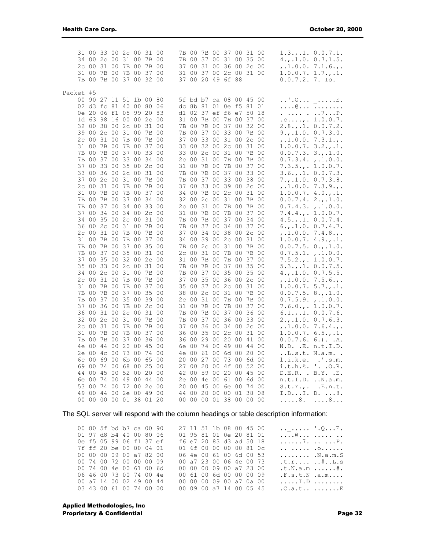|                       | 31 00 33 00 2c 00 31 00<br>34 00 2c 00<br>$2c$ 00<br>31 00                                                                                                                                                                                                                                                                                                                                                                                                                                                                                                                                                                                                 | 31 00<br>7B 00                                                                                                                                                                                                                   |                               | 31 00<br>7 B<br>7B 00                                                                                                                                                                                                                                                  | 00                                                                      | 7B 00<br>7B 00<br>37 00                                                                                                                                                                                                                                                                                                                                       |                                                  |                | 7B 00<br>37 00                                                                                                                                                                                |    | 37 00<br>31 00                                                                                                                                                                                                                    |                                                       | 31 00                                                                                                                                                                                                                                                                                    |                | 7B 00 7B 00 37 00 31 00<br>35 00<br>36 00 2c 00<br>31 00 37 00 2c 00 31 00                                                                                                                                                                                                                                                                                                                                                                                                                                                                                                                                                                                                                                                 |                                                              | $1.3.$ , $1.0.0.7.1.$<br>4., .1.0. 0.7.1.5.<br>, 1.0.0.7.1.6.<br>1.0.0.7. 1.7., .1.                                                                                                                                                                                                                                                                                                                                                                                                                                                                                                                                                                                                                                                                                                                                                                                                                                                                                                                                                                                     |                                 |
|-----------------------|------------------------------------------------------------------------------------------------------------------------------------------------------------------------------------------------------------------------------------------------------------------------------------------------------------------------------------------------------------------------------------------------------------------------------------------------------------------------------------------------------------------------------------------------------------------------------------------------------------------------------------------------------------|----------------------------------------------------------------------------------------------------------------------------------------------------------------------------------------------------------------------------------|-------------------------------|------------------------------------------------------------------------------------------------------------------------------------------------------------------------------------------------------------------------------------------------------------------------|-------------------------------------------------------------------------|---------------------------------------------------------------------------------------------------------------------------------------------------------------------------------------------------------------------------------------------------------------------------------------------------------------------------------------------------------------|--------------------------------------------------|----------------|-----------------------------------------------------------------------------------------------------------------------------------------------------------------------------------------------|----|-----------------------------------------------------------------------------------------------------------------------------------------------------------------------------------------------------------------------------------|-------------------------------------------------------|------------------------------------------------------------------------------------------------------------------------------------------------------------------------------------------------------------------------------------------------------------------------------------------|----------------|----------------------------------------------------------------------------------------------------------------------------------------------------------------------------------------------------------------------------------------------------------------------------------------------------------------------------------------------------------------------------------------------------------------------------------------------------------------------------------------------------------------------------------------------------------------------------------------------------------------------------------------------------------------------------------------------------------------------------|--------------------------------------------------------------|-------------------------------------------------------------------------------------------------------------------------------------------------------------------------------------------------------------------------------------------------------------------------------------------------------------------------------------------------------------------------------------------------------------------------------------------------------------------------------------------------------------------------------------------------------------------------------------------------------------------------------------------------------------------------------------------------------------------------------------------------------------------------------------------------------------------------------------------------------------------------------------------------------------------------------------------------------------------------------------------------------------------------------------------------------------------------|---------------------------------|
| Packet #5<br>37<br>34 | 7B 00<br>00 90<br>02 d3 fc 81 40<br>0e 20 06 f1 05 99 20 83<br>1d 63<br>32 00<br>39 00<br>$2c$ 00<br>31 00<br>7B 00<br>7B 00<br>00<br>33 00 36 00 2c 00<br>37 00 2c 00<br>$2c$ 00<br>31 00<br>7B 00<br>7B 00<br>37 00<br>00<br>36 00 2c 00<br>$2c$ 00<br>31 00<br>7B 00<br>7B 00<br>37 00<br>35 00<br>34 00 2c 00<br>2c 00<br>31 00<br>7B 00<br>7B 00<br>37 00 36 00<br>36 00<br>32 00 2c 00<br>$2c$ 00<br>31 00<br>7B 00<br>4e 00<br>2e 00 4c 00 73 00 74 00<br>6c 00 69 00 6b 00 65 00<br>69 00 74 00 68 00 25 00<br>44 00 45 00 52 00 20 00<br>6e 00 74 00 49 00 44 00<br>53 00 74 00 72 00 2c 00<br>49 00 44 00 2e 00 49 00<br>00 00 00 00 01 38 01 20 | 7B 00 37 00 32 00<br>98 16 00 00 2c 00<br>2c 00<br>31 00<br>7B 00<br>37 00<br>33 00<br>31 00<br>7B 00<br>34 00<br>31 00<br>7B 00<br>7B 00<br>37 00<br>35 00<br>33 00<br>31 00<br>7B 00<br>7B 00<br>31 00<br>7В<br>7B 00<br>44 00 | 7B 00<br>7B 00<br>37 00<br>00 | 38 00 2c 00<br>31 00<br>7B 00<br>7B 00<br>37<br>33 00<br>35 00<br>31 00<br>7B 00<br>$7\,\mathrm{B}$<br>37<br>35 00 2c 00<br>31 00<br>7B<br>7B 00<br>37 00<br>35<br>2c 00<br>31 00<br>7B 00<br>7B 00<br>37 00<br>35<br>31 00 2c 00<br>31<br>$7\,\mathrm{B}$<br>7B<br>20 | 00<br>00<br>00<br>00<br>00<br>00<br>00<br>00<br>00<br>37 00 36<br>00 45 | 27 11 51 1b 00 80<br>00 80 06<br>31 00<br>7B 00<br>7B 00<br>37 00<br>33 00<br>34 00<br>$2c$ 00<br>31 00<br>7B 00<br>7B 00<br>37 00<br>34 00<br>37 00 34 00 33 00<br>34 00 2c 00<br>31 00<br>7B 00<br>7B 00<br>37 00<br>35 00<br>31 00<br>32 00 2c 00<br>31 00<br>7B 00<br>7B 00<br>37 00<br>35 00<br>39 00<br>7B 00 2c 00<br>31 00<br>7B 00<br>7B 00<br>37 00 | - 00<br>00                                       | 33<br>37<br>35 | 31 00<br>7B 00<br>7B 00<br>$2c$ 00<br>31 00<br>7B 00<br>34 00<br>32 00<br>7B 00<br>7B 00<br>37 00<br>2c 00<br>31 00<br>7B 00<br>$2c$ 00<br>31 00<br>7B 00<br>7B 00<br>37 00<br>36 00<br>6e 00 | 00 | 7B 00<br>7B 00<br>37<br>00 2c 00<br>31 00<br>7B 00<br>7 B<br>33<br>2c 00<br>2c 00 31 00<br>31 00 7B 00<br>7B 00<br>37 00<br>34 00<br>31 00<br>7B 00<br>7B<br>38 00 2c 00<br>31 00<br>7B 00<br>7B 00<br>37<br>36<br>35<br>36 00 29 | 00<br>00<br>00<br>7B 00 37 00 35<br>00 36<br>00<br>00 | 37 00 20 49 6f 88<br>7B 00<br>37 00<br>33 00<br>33 00 32 00 2c 00<br>31 00<br>7B 00<br>7B<br>7B 00 2c 00<br>31 00<br>7B 00<br>7B 00<br>37 00<br>34 00<br>38 00<br>34 00 39 00 2c 00<br>7B 00 2c 00 31 00<br>7B 00<br>7B 00<br>37<br>00 37 00 2c 00<br>31 00<br>7B 00<br>7B 00<br>$2c$ 00 | 00<br>00<br>00 | 5f bd b7 ca 08 00 45 00<br>dc 8b 81 01 0e f5 81 01<br>d1 02 37 ef f6 e7 50 18<br>37 00<br>32 00<br>7B<br>37 00 33 00 31 00 2c 00<br>31 00<br>7B 00<br>7B 00<br>37<br>37 00 33 00<br>7B 00 37 00 33 00 38 00<br>00 39 00 2c 00<br>31 00<br>7B<br>7B<br>37 00<br>34<br>37 00<br>2 <sub>c</sub><br>31 00<br>7B 00<br>7В<br>37 00<br>35<br>00 35 00<br>37 00 35 00 36 00 2c 00<br>31 00<br>7B 00<br>7В<br>37 00<br>37 00 36 00<br>33 00<br>34 00 2c 00<br>31 00<br>00 20 00 41 00<br>74 00 49 00 44 00<br>4e 00 61 00 6d 00 20 00<br>20 00 27 00 73 00 6d 00<br>27 00 20 00 4f 00 52 00<br>42 00 59 00 20 00 45 00<br>2e 00 4e 00 61 00 6d 00<br>20 00 45 00 6e 00 74 00<br>44 00 20 00 00 01 38 08<br>00 00 00 01 38 00 00 00 | - 0 0<br>00<br>- 00<br>- 00<br>00<br>00<br>- 00<br>00<br>-00 | $0.0.7.2.7.$ Io.<br>$\ldots$ ' $\Omega \ldots$ $\ldots$ $\ldots$ E.<br>. @<br>$.C. \ldots, . 1.0.0.7.$<br>$2.8.$ , $1.0.0.7.2.$<br>9., .1.0. 0.7.3.0.<br>, 1.0.0.7.3.1.,<br>1.0.0.7.3.2., .1.<br>$0.0.7.3.3.$ , $1.0.$<br>$0.7.3.4.$ , $1.0.0.$<br>7.3.5., . 1.0.0.7.<br>3.6., .1. 0.0.7.3.<br>7., .1.0. 0.7.3.8.<br>, 1.0.0.7.3.9.<br>1.0.0.7.4.0., .1.<br>0.0.7.4.2., .1.0.<br>$0.7.4.3.$ , $1.0.0.$<br>$7.4.4.$ , $1.0.0.7.$<br>4.5., .1. 0.0.7.4.<br>6., .1.0. 0.7.4.7.<br>, 1.0.0.7.4.8.<br>$1.0.0.7.4.9.$ , 1.<br>$0.0.7.5.$ $0.$ , $1.0.$<br>$0.7.5.1.$ , $1.0.0.$<br>$7.5.2.$ , 1.0.0.7.<br>5.3., .1.0.0.7.5.<br>4., .1.0. 0.7.5.5.<br>, 1.0.0.7.5.6.<br>$1.0.0.7. 5.7.$ , 1.<br>0.0.7.5.8., .1.0.<br>$0.7.5.9.$ , $1.0.0.$<br>7.6.0., . 1.0.0.7.<br>6.1., .1. 0.0.7.6.<br>2., .1.0. 0.7.6.3.<br>, 1.0.0.7.6.4.<br>$1.0.0.7. 6.5.$ , .1.<br>$0.0.7.6. 6.)$ . A.<br>N.D. .E. n.t.I.D.<br>L.s.t. N.a.m. .<br>l.i.k.e. .'.s.m.<br>i.t.h.%. '. . O.R.<br>$D.E.R.$ $B.Y.$ $.E.$<br>n.t.I.D.  N.a.m.<br>S.t.r., E.n.t.<br>I.DI. D3.<br>$\ldots 8 - \ldots 8 - \ldots$ |                                 |
|                       |                                                                                                                                                                                                                                                                                                                                                                                                                                                                                                                                                                                                                                                            |                                                                                                                                                                                                                                  |                               |                                                                                                                                                                                                                                                                        |                                                                         |                                                                                                                                                                                                                                                                                                                                                               |                                                  |                |                                                                                                                                                                                               |    |                                                                                                                                                                                                                                   |                                                       |                                                                                                                                                                                                                                                                                          |                |                                                                                                                                                                                                                                                                                                                                                                                                                                                                                                                                                                                                                                                                                                                            |                                                              | The SQL server will respond with the column headings or table description information:                                                                                                                                                                                                                                                                                                                                                                                                                                                                                                                                                                                                                                                                                                                                                                                                                                                                                                                                                                                  |                                 |
|                       |                                                                                                                                                                                                                                                                                                                                                                                                                                                                                                                                                                                                                                                            |                                                                                                                                                                                                                                  |                               |                                                                                                                                                                                                                                                                        |                                                                         |                                                                                                                                                                                                                                                                                                                                                               | 00 80 5 £ bd b7 ca 00 90 27 11 51 1b 08 00 45 00 |                |                                                                                                                                                                                               |    |                                                                                                                                                                                                                                   |                                                       |                                                                                                                                                                                                                                                                                          |                |                                                                                                                                                                                                                                                                                                                                                                                                                                                                                                                                                                                                                                                                                                                            |                                                              |                                                                                                                                                                                                                                                                                                                                                                                                                                                                                                                                                                                                                                                                                                                                                                                                                                                                                                                                                                                                                                                                         | $\overline{1}$ 0 $\overline{F}$ |

 00 80 5f bd b7 ca 00 90 27 11 51 1b 08 00 45 00 ..\_..... '.Q...E.  $01 \t{95} \t{81} \t{01} \t{0e} \t{20} \t{81} \t{01}$  0e f5 05 99 06 f1 37 ef f6 e7 20 83 d3 ad 50 18 ......7. .. ...P. 7f ff 20 be 00 00 04 01 01 6f 00 00 00 00 81 0c ................................<br>00 00 00 09 00 a7 82 00 06 4e 00 61 00 6d 00 53 .............N.a.m.s 00 00 00 09 00 a7 82 00 06 4e 00 61 00 6d 00 53 ........ .N.a.m.S 00 a7 23 00 06 4c 00 73<br>00 00 00 09 00 a7 23 00 00 74 00 4e 00 61 00 6d 00 00 00 09 00 a7 23 00 .t.N.a.m .......#.<br>06 46 00 73 00 74 00 4e 00 61 00 6d 00 00 00 09 .F.s.t.N .a.m.... 06 46 00 73 00 74 00 4e 00 61 00 6d 00 00 00 09 .F.s.t.N .a.m.... 00 a7 14 00 02 49 00 44 00 00 00 09 00 a7 0a 00 .....I.D ........ 00 09 00 a7 14 00 05 45

Applied Methodologies, Inc **Proprietary & Confidential**  Page 32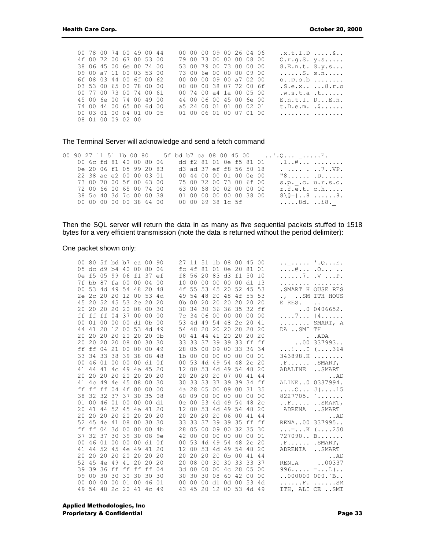| 00 78 00 74 00 49 00 44 |  |  |  |  | 00 00 00 09 00 26 04 06 |  |  |  | $. \times . t . I . D$      |
|-------------------------|--|--|--|--|-------------------------|--|--|--|-----------------------------|
| 4f 00 72 00 67 00 53 00 |  |  |  |  | 79 00 73 00 00 00 08 00 |  |  |  | 0.r.q.S. y.s                |
| 38 06 45 00 6e 00 74 00 |  |  |  |  | 53 00 79 00 73 00 00 00 |  |  |  | 8.E.n.t. S.y.s              |
| 09 00 a7 11 00 03 53 00 |  |  |  |  | 73 00 6e 00 00 00 09 00 |  |  |  | $\ldots \ldots S.$ $\ldots$ |
| 6f 08 03 44 00 6f 00 62 |  |  |  |  | 00 00 00 09 00 a7 02 00 |  |  |  | $0.0000$                    |
| 03 53 00 65 00 78 00 00 |  |  |  |  | 00 00 00 38 07 72 00 6f |  |  |  | .S.e. x. 8.r. o             |
| 00 77 00 73 00 74 00 61 |  |  |  |  | 00 74 00 a4 1a 00 05 00 |  |  |  | W.S.t.a.t.                  |
| 45 00 6e 00 74 00 49 00 |  |  |  |  | 44 00 06 00 45 00 6e 00 |  |  |  | E.n.t.I. DE.n.              |
| 74 00 44 00 65 00 6d 00 |  |  |  |  | a5 24 00 01 01 00 02 01 |  |  |  | $t.D.e.m. S.$               |
| 00 03 01 00 04 01 00 05 |  |  |  |  | 01 00 06 01 00 07 01 00 |  |  |  |                             |
| 08 01 00 09 02 00       |  |  |  |  |                         |  |  |  |                             |

#### The Terminal Server will acknowledge and send a fetch command

|  |  |  | 00 6c fd 81 40 00 80 06 |  |  |  |  | dd f2 81 01 0e f5 81 01 | . 1. . 0. |                   |
|--|--|--|-------------------------|--|--|--|--|-------------------------|-----------|-------------------|
|  |  |  | 0e 20 06 f1 05 99 20 83 |  |  |  |  | d3 ad 37 ef f8 56 50 18 |           |                   |
|  |  |  | 22 38 ac e2 00 00 03 01 |  |  |  |  | 00 44 00 00 01 00 0e 00 |           | $"8$ $D$          |
|  |  |  | 73 00 70 00 5f 00 63 00 |  |  |  |  | 75 00 72 00 73 00 6f 00 |           | s.p. .c. u.r.s.o. |
|  |  |  | 72 00 66 00 65 00 74 00 |  |  |  |  | 63 00 68 00 02 00 00 00 |           | r.f.e.t. c.h      |
|  |  |  | 38 5c 40 3d 7c 00 00 38 |  |  |  |  | 01 00 00 00 00 00 38 00 |           | $8\le -1.8$ 8.    |
|  |  |  | 00 00 00 00 00 38 64 00 |  |  |  |  | 00 00 69 38 1c 5f       | 8d. i8.   |                   |

Then the SQL server will return the data in as many as five sequential packets stuffed to 1518 bytes for a very efficient transmission (note the data is returned without the period delimiter):

#### One packet shown only:

|  | 00 80 5f bd b7 ca 00 90 |  |  |       |    |  | 27 11 51 1b 08 00 45 00 |          |                                |                             | $\ldots$ '.QE.                                  |
|--|-------------------------|--|--|-------|----|--|-------------------------|----------|--------------------------------|-----------------------------|-------------------------------------------------|
|  | 05 dc d9 b4 40 00 80 06 |  |  |       |    |  | fc 4f 81 01 0e 20 81 01 |          |                                |                             | . @     . O                                     |
|  | 0e f5 05 99 06 f1 37 ef |  |  |       |    |  | f8 56 20 83 d3 f1 50 10 |          |                                |                             | $\ldots \ldots 7. \quad \ldots \quad \ldots P.$ |
|  | 7f bb 87 fa 00 00 04 00 |  |  |       |    |  | 10 00 00 00 00 00 d1 13 |          |                                |                             | .                                               |
|  | 00 53 4d 49 54 48 20 48 |  |  |       |    |  | 4f 55 53 45 20 52 45 53 |          |                                |                             | . SMART H OUSE RES                              |
|  | 2e 2c 20 20 12 00 53 4d |  |  |       |    |  | 49 54 48 20 48 4f 55 53 |          |                                |                             | .,  SM ITH HOUS                                 |
|  | 45 20 52 45 53 2e 20 20 |  |  |       |    |  | 0b 00 20 20 20 20 20 20 |          |                                | ERES.                       |                                                 |
|  | 20 20 20 20 20 08 00 30 |  |  |       |    |  | 30 34 30 36 36 35 32 ff |          |                                |                             | $\ldots 0$ 0406652.                             |
|  | ff ff ff 04 37 00 00 00 |  |  |       |    |  | 7c 34 06 00 00 00 00 00 |          |                                |                             | $\ldots 7 \ldots$  4                            |
|  | 00 01 00 00 00 d1 0b 00 |  |  |       |    |  | 53 4d 49 54 48 2c 20 41 |          |                                |                             | $\ldots \ldots$ SMART, A                        |
|  | 44 41 20 12 00 53 4d 49 |  |  |       | 54 |  | 48 20 20 20 20 20 20    |          |                                | DA SMI TH                   |                                                 |
|  | 20 20 20 20 20 20 20 0b |  |  |       |    |  | 00 41 44 41 20 20 20 20 |          |                                |                             | . . ADA                                         |
|  | 20 20 20 20 08 00 30 30 |  |  |       | 33 |  | 33 37 39 39 33 ff ff    |          |                                | $\ldots$ 00 337993          |                                                 |
|  | ff ff 04 21 00 00 00 49 |  |  |       |    |  | 28 05 00 09 00 33 36 34 |          |                                |                             | $\dots ! \dots I$ $(\dots .364)$                |
|  | 33 34 33 38 39 38 08 48 |  |  |       |    |  | 1b 00 00 00 00          | 00 00 01 |                                | $343898.H$                  |                                                 |
|  | 00 46 01 00 00 00 d1 0f |  |  |       |    |  | 00 53 4d 49 54 48 2c 20 |          |                                | $,F \ldots \ldots$ . SMART, |                                                 |
|  | 41 44 41 4c 49 4e 45 20 |  |  |       |    |  | 12 00 53 4d 49 54 48 20 |          |                                | ADALINE                     | SMART                                           |
|  | 20 20 20 20 20 20 20 20 |  |  |       |    |  | 20 20 20 20 07 00 41 44 |          |                                |                             | $\ldots$ AD                                     |
|  | 41 4c 49 4e 45 08 00 30 |  |  |       |    |  | 30 33 33 37 39 39 34 ff |          |                                | ALINE0 0337994.             |                                                 |
|  | ff ff ff 04 4f 00 00 00 |  |  |       |    |  |                         |          | 4a 28 05 00 09 00 31 35        |                             | $\ldots 0 \ldots$ J( $\ldots 15$                |
|  | 38 32 32 37 37 30 35 08 |  |  |       |    |  |                         |          | 60  09  00  00  00  00  00  00 | $8227705.$                  |                                                 |
|  | 01 00 46 01 00 00 00 d1 |  |  |       |    |  | 0e 00 53 4d 49 54 48 2c |          |                                |                             | $\ldots$ $F \ldots \ldots$ $\ldots$ SMART,      |
|  | 20 41 44 52 45 4e 41 20 |  |  |       |    |  | 12 00 53 4d 49 54 48 20 |          |                                | ADRENA SMART                |                                                 |
|  | 20 20 20 20 20 20 20 20 |  |  |       |    |  | 20 20 20 20 06 00 41 44 |          |                                |                             | $\ldots$ AD                                     |
|  | 52 45 4e 41 08 00 30 30 |  |  |       |    |  |                         |          | 33 33 37 39 39 35 ff ff        | RENA00 337995               |                                                 |
|  | ff ff 04 3d 00 00 00 4b |  |  |       |    |  | 28 05 00 09 00 32 35 30 |          |                                |                             | $\ldots = \ldots K$ (250)                       |
|  | 37 32 37 30 39 30       |  |  | 08 9e |    |  | 42 00 00 00 00          | 00 00 01 |                                |                             | 727090 B                                        |
|  | 00 46 01 00 00 00 d1 0f |  |  |       |    |  | 00 53 4d 49 54 48 2c 20 |          |                                |                             | $.F. \ldots$ . SMART,                           |
|  | 41 44 52 45 4e 49 41 20 |  |  |       |    |  | 12 00 53 4d 49 54 48 20 |          |                                | ADRENIA SMART               |                                                 |
|  | 20 20 20 20 20 20 20 20 |  |  |       | 20 |  | 20 20 20 0b 00 41 44    |          |                                |                             | . . AD                                          |
|  | 52 45 4e 49 41 20 20 20 |  |  |       |    |  | 20 08 00 30 30 33 33 37 |          |                                | RENIA  00337                |                                                 |
|  | 39 39 36 ff ff ff ff 04 |  |  |       |    |  | 3d 00 00 00 4c 28 05 00 |          |                                |                             | $996 = $                                        |
|  | 09 00 30 30 30 30 30 30 |  |  |       |    |  | 30 30 30 08 60 42 00 00 |          |                                |                             | $.0000000000.$ `B                               |
|  | 00 00 00 00 01 00 46 01 |  |  |       |    |  | 00 00 00 d1 0d 00 53 4d |          |                                |                             | $\ldots$ $F. \ldots$ $SM$                       |
|  | 49 54 48 2c 20 41 4c 49 |  |  |       |    |  | 43 45 20 12 00 53 4d 49 |          |                                |                             | ITH, ALI CE  SMI                                |
|  |                         |  |  |       |    |  |                         |          |                                |                             |                                                 |

Applied Methodologies, Inc **Proprietary & Confidential**   $\blacksquare$   $\blacksquare$   $\blacksquare$   $\blacksquare$   $\blacksquare$   $\blacksquare$   $\blacksquare$   $\blacksquare$   $\blacksquare$   $\blacksquare$   $\blacksquare$   $\blacksquare$   $\blacksquare$   $\blacksquare$   $\blacksquare$   $\blacksquare$   $\blacksquare$   $\blacksquare$   $\blacksquare$   $\blacksquare$   $\blacksquare$   $\blacksquare$   $\blacksquare$   $\blacksquare$   $\blacksquare$   $\blacksquare$   $\blacksquare$   $\bl$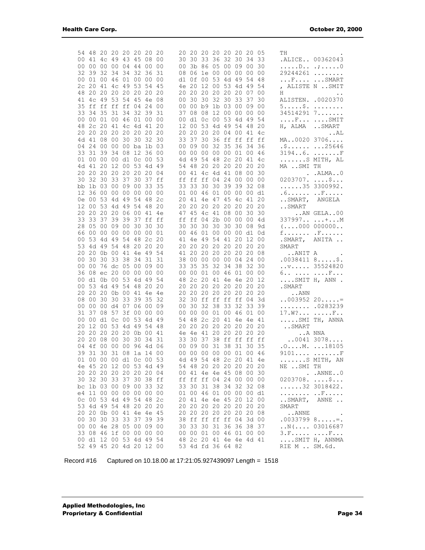|                         |  |  | 54 48 20 20 20 20 20 20                            |  |  |                   |  | 20 20 20 20 20 20 20 05                            |                         | TН                                                                         |                                                                       |
|-------------------------|--|--|----------------------------------------------------|--|--|-------------------|--|----------------------------------------------------|-------------------------|----------------------------------------------------------------------------|-----------------------------------------------------------------------|
|                         |  |  | 00 41 4c 49 43 45 08 00                            |  |  |                   |  | 30 30 33 36 32 30 34 33                            |                         |                                                                            | .ALICE 00362043                                                       |
|                         |  |  | 00 00 00 00 04 44 00 00                            |  |  |                   |  | 00 3b 86 05 00 09 00 30                            |                         |                                                                            | $\ldots \ldots \mathbb{D} \ldots \ldots \mathbb{D} \ldots \mathbb{D}$ |
|                         |  |  | 32 39 32 34 34 32 36 31                            |  |  |                   |  | 08 06 1e 00 00 00 00 00                            |                         |                                                                            | 29244261                                                              |
| 00 01 00 46 01 00 00 00 |  |  |                                                    |  |  |                   |  | d1 0f 00 53 4d 49 54 48                            |                         |                                                                            | $\ldots$ $F \ldots$ $\ldots$ SMART                                    |
| 2c 20 41 4c 49 53 54 45 |  |  |                                                    |  |  |                   |  | 4e 20 12 00 53 4d 49 54                            |                         |                                                                            | , ALISTE N SMIT                                                       |
|                         |  |  | 48 20 20 20 20 20 20 20                            |  |  |                   |  | 20 20 20 20 20 20 07 00                            |                         | H.                                                                         |                                                                       |
| 41 4c 49 53 54 45 4e 08 |  |  |                                                    |  |  |                   |  | 00 30 30 32 30 33 37                               | 30                      | ALISTEN. . 0020370                                                         |                                                                       |
|                         |  |  | 35 ff ff ff ff 04 24 00                            |  |  |                   |  | 00 00 b9 1b 03 00 09 00                            |                         | $5$ \$.                                                                    |                                                                       |
|                         |  |  | 33 34 35 31 34 32 39 31                            |  |  |                   |  | 37 08 08 12 00 00 00 00                            |                         | $34514291$ 7                                                               |                                                                       |
| 00 00 01 00 46 01 00 00 |  |  |                                                    |  |  |                   |  | 00 d1 0c 00 53 4d 49 54                            |                         |                                                                            | $\ldots$ . F. $\ldots$ $\ldots$ SMIT                                  |
| 48 2c 20 41 4c 4d 41 20 |  |  |                                                    |  |  |                   |  | 12 00 53 4d 49 54 48 20                            |                         | H, ALMA SMART                                                              |                                                                       |
|                         |  |  | 20 20 20 20 20 20 20 20                            |  |  |                   |  | 20 20 20 20 04 00 41 4c                            |                         |                                                                            | $\ldots$ AL                                                           |
|                         |  |  | 4d 41 08 00 30 30 32 30                            |  |  |                   |  | 33 37 30 36 ff ff ff ff                            |                         | MA0020 3706                                                                |                                                                       |
| 04 24 00 00 00 ba 1b 03 |  |  |                                                    |  |  |                   |  | 00 09 00 32 35 36 34 36                            |                         | $.$ \$ $25646$                                                             |                                                                       |
| 33 31 39 34 08 12 36 00 |  |  |                                                    |  |  |                   |  | 00 00 00 00 00 01 00 46                            |                         | 31946F                                                                     |                                                                       |
| 4d 41 20 12 00 53 4d 49 |  |  | 01 00 00 00 d1 0c 00 53                            |  |  |                   |  | 4d 49 54 48 2c 20 41 4c<br>54 48 20 20 20 20 20 20 |                         | MA  SMI TH                                                                 | $\ldots \ldots S$ MITH, AL                                            |
|                         |  |  | 20 20 20 20 20 20 20 04                            |  |  |                   |  | 00 41 4c 4d 41 08 00 30                            |                         |                                                                            | . . ALMA 0                                                            |
| 30 32 30 33 37 30 37 ff |  |  |                                                    |  |  |                   |  | ff ff ff 04 24 00 00 00                            |                         |                                                                            | $0203707. \ldots$ \$                                                  |
| bb 1b 03 00 09 00 33 35 |  |  |                                                    |  |  |                   |  | 33 33 30 30 39 39 32 08                            |                         |                                                                            | $\ldots \ldots 35$ 3300992.                                           |
| 12 36 00 00 00 00 00 00 |  |  |                                                    |  |  |                   |  | 01 00 46 01 00 00 00 d1                            |                         |                                                                            | $.6$ $.F$                                                             |
| 0e 00 53 4d 49 54 48 2c |  |  |                                                    |  |  |                   |  | 20 41 4e 47 45 4c 41 20                            |                         | $\ldots$ SMART,                                                            | ANGELA                                                                |
| 12 00 53 4d 49 54 48 20 |  |  |                                                    |  |  |                   |  | 20 20 20 20 20 20 20 20                            |                         | SMART                                                                      |                                                                       |
| 20 20 20 20 06 00 41 4e |  |  |                                                    |  |  |                   |  | 47 45 4c 41 08 00 30 30                            |                         |                                                                            | $\ldots$ AN GELA00                                                    |
| 33 33 37 39 39 37 ff ff |  |  |                                                    |  |  |                   |  | ff ff 04 2b 00 00 00 4d                            |                         |                                                                            | $337997$ +M                                                           |
| 28 05 00 09 00 30 30 30 |  |  |                                                    |  |  |                   |  | 30 30 30 30 30 30 08 9d                            |                         |                                                                            | $( \ldots 000 000000 \ldots )$                                        |
|                         |  |  | 66 00 00 00 00 00 00 01                            |  |  |                   |  | 00 46 01 00 00 00 d1 0d                            |                         |                                                                            | $f$ $F$                                                               |
|                         |  |  | 00 53 4d 49 54 48 2c 20                            |  |  |                   |  | 41 4e 49 54 41 20 12 00                            |                         | .SMART,                                                                    | ANITA                                                                 |
|                         |  |  | 53 4d 49 54 48 20 20 20                            |  |  |                   |  | 20 20 20 20 20 20 20 20                            |                         | SMART                                                                      |                                                                       |
| 20 20 0b 00 41 4e 49 54 |  |  |                                                    |  |  |                   |  | 41 20 20 20 20 20 20 08                            |                         | ANIT A                                                                     | $\sim$ $\sim$                                                         |
|                         |  |  | 00 30 30 33 38 34 31 31                            |  |  |                   |  | 38 00 00 00 00 04 24 00                            |                         |                                                                            | $.0038411$ 8\$.                                                       |
| 00 00 76 dc 05 00 09 00 |  |  |                                                    |  |  |                   |  | 33 35 35 32 34 38 32 30                            |                         |                                                                            | $v$ 35524820                                                          |
|                         |  |  | 36 08 ec 20 00 00 00 00                            |  |  |                   |  | 00 00 01 00 46 01 00 00                            |                         |                                                                            | $6$ $F$                                                               |
| 00 d1 0b 00 53 4d 49 54 |  |  |                                                    |  |  |                   |  | 48 2c 20 41 4e 4e 20 12                            |                         |                                                                            | $\ldots$ SMIT H, ANN.                                                 |
| 00 53 4d 49 54 48 20 20 |  |  |                                                    |  |  |                   |  | 20 20 20 20 20 20 20 20                            |                         | .SMART                                                                     |                                                                       |
|                         |  |  | 20 20 20 0b 00 41 4e 4e                            |  |  |                   |  | 20 20 20 20 20 20 20 20                            |                         | $\ldots$ ANN                                                               |                                                                       |
| 08 00 30 30 33 39 35 32 |  |  |                                                    |  |  |                   |  | 32 30 ff ff ff ff 04 3d                            |                         |                                                                            | $.003952 20 =$                                                        |
|                         |  |  | 00 00 00 d4 07 06 00 09<br>31 37 08 57 3f 00 00 00 |  |  |                   |  | 00 30 32 38 33 32 33 39<br>00 00 00 01 00 46 01 00 |                         |                                                                            | $\ldots \ldots \ldots 0283239$<br>$17. W? \ldots \ldots F.$           |
| 00 00 d1 0c 00 53 4d 49 |  |  |                                                    |  |  |                   |  | 54 48 2c 20 41 4e 4e 41                            |                         |                                                                            | $\ldots$ . SMI TH, ANNA                                               |
| 20 12 00 53 4d 49 54 48 |  |  |                                                    |  |  |                   |  | 20 20 20 20 20 20 20 20                            |                         | SMART                                                                      |                                                                       |
| 20 20 20 20 20 0b 00 41 |  |  |                                                    |  |  |                   |  | 4e 4e 41 20 20 20 20 20                            |                         | $\ldots$ A NNA                                                             |                                                                       |
|                         |  |  | 20 20 08 00 30 30 34 31                            |  |  |                   |  |                                                    |                         |                                                                            |                                                                       |
| 04 4f 00 00 00 96 4d 06 |  |  |                                                    |  |  |                   |  |                                                    |                         | 33 30 37 38 ff ff ff ff 11 0041 3078<br>00 09 00 31 38 31 30 35 .0M. 18105 |                                                                       |
|                         |  |  | 39 31 30 31 08 1a 14 00                            |  |  |                   |  | 00 00 00 00 00 01 00 46                            |                         | $9101$ F                                                                   |                                                                       |
| 01 00 00 00 d1 0c 00 53 |  |  |                                                    |  |  |                   |  |                                                    | 4d 49 54 48 2c 20 41 4e | $\ldots \ldots S$ MITH, AN                                                 |                                                                       |
| 4e 45 20 12 00 53 4d 49 |  |  |                                                    |  |  |                   |  | 54 48 20 20 20 20 20 20                            |                         | NE SMI TH                                                                  |                                                                       |
| 20 20 20 20 20 20 20 04 |  |  |                                                    |  |  |                   |  | 00 41 4e 4e 45 08 00 30                            |                         |                                                                            | . . ANNE0                                                             |
| 30 32 30 33 37 30 38 ff |  |  |                                                    |  |  |                   |  | ff ff ff 04 24 00 00 00                            |                         |                                                                            | $0203708. \ldots$ \$                                                  |
| bc 1b 03 00 09 00 33 32 |  |  |                                                    |  |  |                   |  | 33 30 31 38 34 32 32 08                            |                         |                                                                            | $\ldots \ldots 32$ 3018422.                                           |
| e4 11 00 00 00 00 00 00 |  |  |                                                    |  |  |                   |  | 01 00 46 01 00 00 00 d1                            |                         |                                                                            | . F                                                                   |
| 0c 00 53 4d 49 54 48 2c |  |  |                                                    |  |  |                   |  | 20 41 4e 4e 45 20 12 00                            |                         |                                                                            | $\ldots$ SMART, ANNE                                                  |
|                         |  |  | 53 4d 49 54 48 20 20 20                            |  |  |                   |  | 20 20 20 20 20 20 20 20                            |                         | SMART                                                                      |                                                                       |
| 20 20 0b 00 41 4e 4e 45 |  |  |                                                    |  |  |                   |  | 20 20 20 20 20 20 20 08                            |                         | $\ldots$ ANNE                                                              | $\sim$ $\sim$                                                         |
|                         |  |  | 00 30 30 33 33 37 39 39                            |  |  |                   |  | 38 ff ff ff ff 04 3d 00                            |                         |                                                                            | $.0033799$ 8=                                                         |
| 00 00 4e 28 05 00 09 00 |  |  |                                                    |  |  |                   |  | 30 33 30 31 36 36 38 37                            |                         |                                                                            | N( 03016687)                                                          |
| 33 08 46 1f 00 00 00 00 |  |  |                                                    |  |  |                   |  | 00 00 01 00 46 01 00 00                            |                         |                                                                            | $3.F$ $F$                                                             |
| 00 d1 12 00 53 4d 49 54 |  |  |                                                    |  |  |                   |  | 48 2c 20 41 4e 4e 4d 41                            |                         |                                                                            | $\ldots$ SMIT H, ANNMA                                                |
| 52 49 45 20 4d 20 12 00 |  |  |                                                    |  |  | 53 4d fd 36 64 82 |  |                                                    |                         | RIE M  SM.6d.                                                              |                                                                       |

Record #16 Captured on 10.18.00 at 17:21:05.927439097 Length = 1518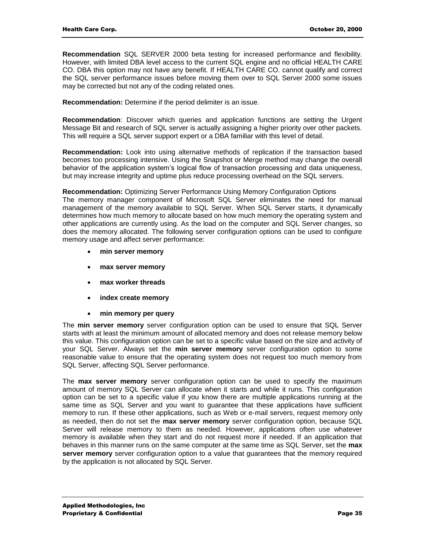**Recommendation** SQL SERVER 2000 beta testing for increased performance and flexibility. However, with limited DBA level access to the current SQL engine and no official HEALTH CARE CO. DBA this option may not have any benefit. If HEALTH CARE CO. cannot qualify and correct the SQL server performance issues before moving them over to SQL Server 2000 some issues may be corrected but not any of the coding related ones.

**Recommendation:** Determine if the period delimiter is an issue.

**Recommendation**: Discover which queries and application functions are setting the Urgent Message Bit and research of SQL server is actually assigning a higher priority over other packets. This will require a SQL server support expert or a DBA familiar with this level of detail.

**Recommendation:** Look into using alternative methods of replication if the transaction based becomes too processing intensive. Using the Snapshot or Merge method may change the overall behavior of the application system's logical flow of transaction processing and data uniqueness, but may increase integrity and uptime plus reduce processing overhead on the SQL servers.

**Recommendation:** Optimizing Server Performance Using Memory Configuration Options The memory manager component of Microsoft SQL Server eliminates the need for manual management of the memory available to SQL Server. When SQL Server starts, it dynamically determines how much memory to allocate based on how much memory the operating system and other applications are currently using. As the load on the computer and SQL Server changes, so does the memory allocated. The following server configuration options can be used to configure memory usage and affect server performance:

- **min server memory**
- **max server memory**
- **max worker threads**
- **index create memory**
- **min memory per query**

The **min server memory** server configuration option can be used to ensure that SQL Server starts with at least the minimum amount of allocated memory and does not release memory below this value. This configuration option can be set to a specific value based on the size and activity of your SQL Server. Always set the **min server memory** server configuration option to some reasonable value to ensure that the operating system does not request too much memory from SQL Server, affecting SQL Server performance.

The **max server memory** server configuration option can be used to specify the maximum amount of memory SQL Server can allocate when it starts and while it runs. This configuration option can be set to a specific value if you know there are multiple applications running at the same time as SQL Server and you want to guarantee that these applications have sufficient memory to run. If these other applications, such as Web or e-mail servers, request memory only as needed, then do not set the **max server memory** server configuration option, because SQL Server will release memory to them as needed. However, applications often use whatever memory is available when they start and do not request more if needed. If an application that behaves in this manner runs on the same computer at the same time as SQL Server, set the **max server memory** server configuration option to a value that guarantees that the memory required by the application is not allocated by SQL Server.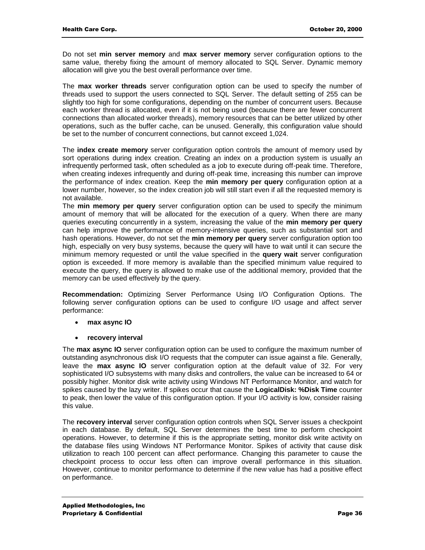Do not set **min server memory** and **max server memory** server configuration options to the same value, thereby fixing the amount of memory allocated to SQL Server. Dynamic memory allocation will give you the best overall performance over time.

The **max worker threads** server configuration option can be used to specify the number of threads used to support the users connected to SQL Server. The default setting of 255 can be slightly too high for some configurations, depending on the number of concurrent users. Because each worker thread is allocated, even if it is not being used (because there are fewer concurrent connections than allocated worker threads), memory resources that can be better utilized by other operations, such as the buffer cache, can be unused. Generally, this configuration value should be set to the number of concurrent connections, but cannot exceed 1,024.

The **index create memory** server configuration option controls the amount of memory used by sort operations during index creation. Creating an index on a production system is usually an infrequently performed task, often scheduled as a job to execute during off-peak time. Therefore, when creating indexes infrequently and during off-peak time, increasing this number can improve the performance of index creation. Keep the **min memory per query** configuration option at a lower number, however, so the index creation job will still start even if all the requested memory is not available.

The **min memory per query** server configuration option can be used to specify the minimum amount of memory that will be allocated for the execution of a query. When there are many queries executing concurrently in a system, increasing the value of the **min memory per query**  can help improve the performance of memory-intensive queries, such as substantial sort and hash operations. However, do not set the **min memory per query** server configuration option too high, especially on very busy systems, because the query will have to wait until it can secure the minimum memory requested or until the value specified in the **query wait** server configuration option is exceeded. If more memory is available than the specified minimum value required to execute the query, the query is allowed to make use of the additional memory, provided that the memory can be used effectively by the query.

**Recommendation:** Optimizing Server Performance Using I/O Configuration Options. The following server configuration options can be used to configure I/O usage and affect server performance:

- **max async IO**
- **recovery interval**

The **max async IO** server configuration option can be used to configure the maximum number of outstanding asynchronous disk I/O requests that the computer can issue against a file. Generally, leave the **max async IO** server configuration option at the default value of 32. For very sophisticated I/O subsystems with many disks and controllers, the value can be increased to 64 or possibly higher. Monitor disk write activity using Windows NT Performance Monitor, and watch for spikes caused by the lazy writer. If spikes occur that cause the **LogicalDisk: %Disk Time** counter to peak, then lower the value of this configuration option. If your I/O activity is low, consider raising this value.

The **recovery interval** server configuration option controls when SQL Server issues a checkpoint in each database. By default, SQL Server determines the best time to perform checkpoint operations. However, to determine if this is the appropriate setting, monitor disk write activity on the database files using Windows NT Performance Monitor. Spikes of activity that cause disk utilization to reach 100 percent can affect performance. Changing this parameter to cause the checkpoint process to occur less often can improve overall performance in this situation. However, continue to monitor performance to determine if the new value has had a positive effect on performance.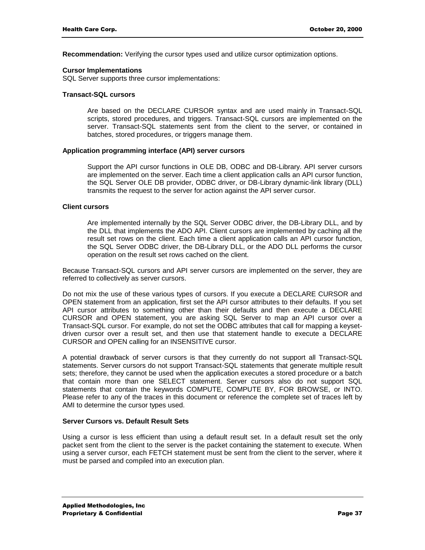**Recommendation:** Verifying the cursor types used and utilize cursor optimization options.

#### **Cursor Implementations**

SQL Server supports three cursor implementations:

#### **Transact-SQL cursors**

Are based on the DECLARE CURSOR syntax and are used mainly in Transact-SQL scripts, stored procedures, and triggers. Transact-SQL cursors are implemented on the server. Transact-SQL statements sent from the client to the server, or contained in batches, stored procedures, or triggers manage them.

#### **Application programming interface (API) server cursors**

Support the API cursor functions in OLE DB, ODBC and DB-Library. API server cursors are implemented on the server. Each time a client application calls an API cursor function, the SQL Server OLE DB provider, ODBC driver, or DB-Library dynamic-link library (DLL) transmits the request to the server for action against the API server cursor.

#### **Client cursors**

Are implemented internally by the SQL Server ODBC driver, the DB-Library DLL, and by the DLL that implements the ADO API. Client cursors are implemented by caching all the result set rows on the client. Each time a client application calls an API cursor function, the SQL Server ODBC driver, the DB-Library DLL, or the ADO DLL performs the cursor operation on the result set rows cached on the client.

Because Transact-SQL cursors and API server cursors are implemented on the server, they are referred to collectively as server cursors.

Do not mix the use of these various types of cursors. If you execute a DECLARE CURSOR and OPEN statement from an application, first set the API cursor attributes to their defaults. If you set API cursor attributes to something other than their defaults and then execute a DECLARE CURSOR and OPEN statement, you are asking SQL Server to map an API cursor over a Transact-SQL cursor. For example, do not set the ODBC attributes that call for mapping a keysetdriven cursor over a result set, and then use that statement handle to execute a DECLARE CURSOR and OPEN calling for an INSENSITIVE cursor.

A potential drawback of server cursors is that they currently do not support all Transact-SQL statements. Server cursors do not support Transact-SQL statements that generate multiple result sets; therefore, they cannot be used when the application executes a stored procedure or a batch that contain more than one SELECT statement. Server cursors also do not support SQL statements that contain the keywords COMPUTE, COMPUTE BY, FOR BROWSE, or INTO. Please refer to any of the traces in this document or reference the complete set of traces left by AMI to determine the cursor types used.

#### **Server Cursors vs. Default Result Sets**

Using a cursor is less efficient than using a default result set. In a default result set the only packet sent from the client to the server is the packet containing the statement to execute. When using a server cursor, each FETCH statement must be sent from the client to the server, where it must be parsed and compiled into an execution plan.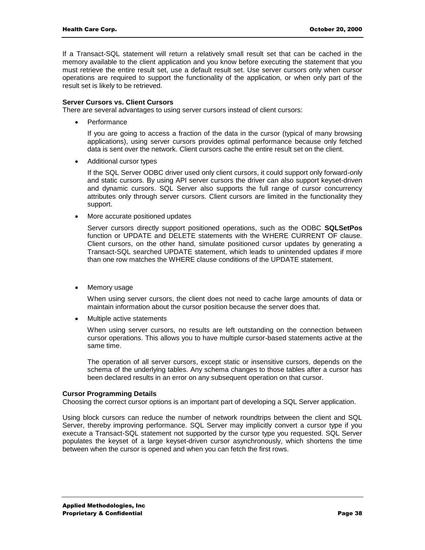If a Transact-SQL statement will return a relatively small result set that can be cached in the memory available to the client application and you know before executing the statement that you must retrieve the entire result set, use a default result set. Use server cursors only when cursor operations are required to support the functionality of the application, or when only part of the result set is likely to be retrieved.

#### **Server Cursors vs. Client Cursors**

There are several advantages to using server cursors instead of client cursors:

• Performance

If you are going to access a fraction of the data in the cursor (typical of many browsing applications), using server cursors provides optimal performance because only fetched data is sent over the network. Client cursors cache the entire result set on the client.

Additional cursor types

If the SQL Server ODBC driver used only client cursors, it could support only forward-only and static cursors. By using API server cursors the driver can also support keyset-driven and dynamic cursors. SQL Server also supports the full range of cursor concurrency attributes only through server cursors. Client cursors are limited in the functionality they support.

• More accurate positioned updates

Server cursors directly support positioned operations, such as the ODBC **SQLSetPos** function or UPDATE and DELETE statements with the WHERE CURRENT OF clause. Client cursors, on the other hand, simulate positioned cursor updates by generating a Transact-SQL searched UPDATE statement, which leads to unintended updates if more than one row matches the WHERE clause conditions of the UPDATE statement.

• Memory usage

When using server cursors, the client does not need to cache large amounts of data or maintain information about the cursor position because the server does that.

• Multiple active statements

When using server cursors, no results are left outstanding on the connection between cursor operations. This allows you to have multiple cursor-based statements active at the same time.

The operation of all server cursors, except static or insensitive cursors, depends on the schema of the underlying tables. Any schema changes to those tables after a cursor has been declared results in an error on any subsequent operation on that cursor.

#### **Cursor Programming Details**

Choosing the correct cursor options is an important part of developing a SQL Server application.

Using block cursors can reduce the number of network roundtrips between the client and SQL Server, thereby improving performance. SQL Server may implicitly convert a cursor type if you execute a Transact-SQL statement not supported by the cursor type you requested. SQL Server populates the keyset of a large keyset-driven cursor asynchronously, which shortens the time between when the cursor is opened and when you can fetch the first rows.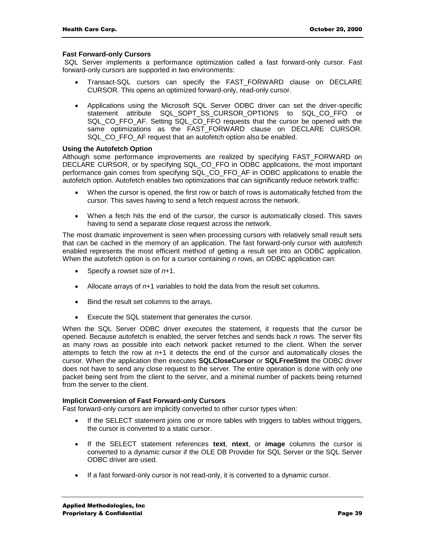#### **Fast Forward-only Cursors**

SQL Server implements a performance optimization called a fast forward-only cursor. Fast forward-only cursors are supported in two environments:

- Transact-SQL cursors can specify the FAST\_FORWARD clause on DECLARE CURSOR. This opens an optimized forward-only, read-only cursor.
- Applications using the Microsoft SQL Server ODBC driver can set the driver-specific statement attribute SQL\_SOPT\_SS\_CURSOR\_OPTIONS to SQL\_CO\_FFO or SQL\_CO\_FFO\_AF. Setting SQL\_CO\_FFO requests that the cursor be opened with the same optimizations as the FAST\_FORWARD clause on DECLARE CURSOR. SQL\_CO\_FFO\_AF request that an autofetch option also be enabled.

#### **Using the Autofetch Option**

Although some performance improvements are realized by specifying FAST\_FORWARD on DECLARE CURSOR, or by specifying SQL\_CO\_FFO in ODBC applications, the most important performance gain comes from specifying SQL\_CO\_FFO\_AF in ODBC applications to enable the autofetch option. Autofetch enables two optimizations that can significantly reduce network traffic:

- When the cursor is opened, the first row or batch of rows is automatically fetched from the cursor. This saves having to send a fetch request across the network.
- When a fetch hits the end of the cursor, the cursor is automatically closed. This saves having to send a separate close request across the network.

The most dramatic improvement is seen when processing cursors with relatively small result sets that can be cached in the memory of an application. The fast forward-only cursor with autofetch enabled represents the most efficient method of getting a result set into an ODBC application. When the autofetch option is on for a cursor containing *n* rows, an ODBC application can:

- Specify a rowset size of *n*+1.
- Allocate arrays of *n*+1 variables to hold the data from the result set columns.
- Bind the result set columns to the arrays.
- Execute the SQL statement that generates the cursor.

When the SQL Server ODBC driver executes the statement, it requests that the cursor be opened. Because autofetch is enabled, the server fetches and sends back *n* rows. The server fits as many rows as possible into each network packet returned to the client. When the server attempts to fetch the row at *n*+1 it detects the end of the cursor and automatically closes the cursor. When the application then executes **SQLCloseCursor** or **SQLFreeStmt** the ODBC driver does not have to send any close request to the server. The entire operation is done with only one packet being sent from the client to the server, and a minimal number of packets being returned from the server to the client.

#### **Implicit Conversion of Fast Forward-only Cursors**

Fast forward-only cursors are implicitly converted to other cursor types when:

- If the SELECT statement joins one or more tables with triggers to tables without triggers, the cursor is converted to a static cursor.
- If the SELECT statement references **text**, **ntext**, or **image** columns the cursor is converted to a dynamic cursor if the OLE DB Provider for SQL Server or the SQL Server ODBC driver are used.
- If a fast forward-only cursor is not read-only, it is converted to a dynamic cursor.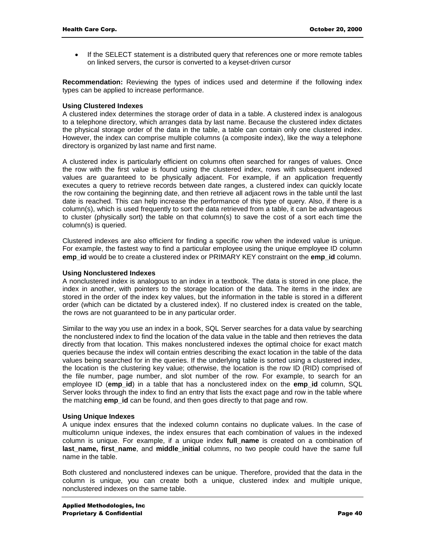• If the SELECT statement is a distributed query that references one or more remote tables on linked servers, the cursor is converted to a keyset-driven cursor

**Recommendation:** Reviewing the types of indices used and determine if the following index types can be applied to increase performance.

#### **Using Clustered Indexes**

A clustered index determines the storage order of data in a table. A clustered index is analogous to a telephone directory, which arranges data by last name. Because the clustered index dictates the physical storage order of the data in the table, a table can contain only one clustered index. However, the index can comprise multiple columns (a composite index), like the way a telephone directory is organized by last name and first name.

A clustered index is particularly efficient on columns often searched for ranges of values. Once the row with the first value is found using the clustered index, rows with subsequent indexed values are guaranteed to be physically adjacent. For example, if an application frequently executes a query to retrieve records between date ranges, a clustered index can quickly locate the row containing the beginning date, and then retrieve all adjacent rows in the table until the last date is reached. This can help increase the performance of this type of query. Also, if there is a column(s), which is used frequently to sort the data retrieved from a table, it can be advantageous to cluster (physically sort) the table on that column(s) to save the cost of a sort each time the column(s) is queried.

Clustered indexes are also efficient for finding a specific row when the indexed value is unique. For example, the fastest way to find a particular employee using the unique employee ID column **emp\_id** would be to create a clustered index or PRIMARY KEY constraint on the **emp\_id** column.

#### **Using Nonclustered Indexes**

A nonclustered index is analogous to an index in a textbook. The data is stored in one place, the index in another, with pointers to the storage location of the data. The items in the index are stored in the order of the index key values, but the information in the table is stored in a different order (which can be dictated by a clustered index). If no clustered index is created on the table, the rows are not guaranteed to be in any particular order.

Similar to the way you use an index in a book, SQL Server searches for a data value by searching the nonclustered index to find the location of the data value in the table and then retrieves the data directly from that location. This makes nonclustered indexes the optimal choice for exact match queries because the index will contain entries describing the exact location in the table of the data values being searched for in the queries. If the underlying table is sorted using a clustered index, the location is the clustering key value; otherwise, the location is the row ID (RID) comprised of the file number, page number, and slot number of the row. For example, to search for an employee ID (**emp\_id**) in a table that has a nonclustered index on the **emp\_id** column, SQL Server looks through the index to find an entry that lists the exact page and row in the table where the matching **emp\_id** can be found, and then goes directly to that page and row.

#### **Using Unique Indexes**

A unique index ensures that the indexed column contains no duplicate values. In the case of multicolumn unique indexes, the index ensures that each combination of values in the indexed column is unique. For example, if a unique index **full\_name** is created on a combination of **last name, first name**, and **middle initial** columns, no two people could have the same full name in the table.

Both clustered and nonclustered indexes can be unique. Therefore, provided that the data in the column is unique, you can create both a unique, clustered index and multiple unique, nonclustered indexes on the same table.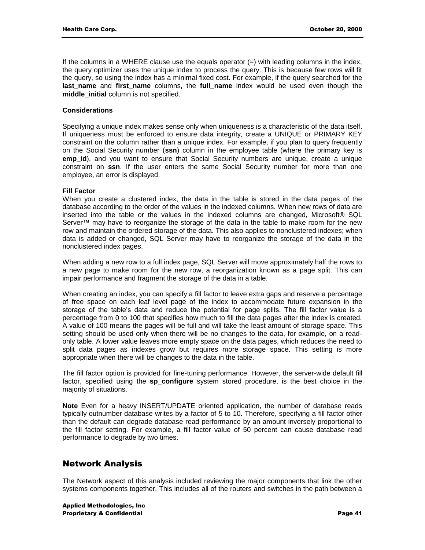If the columns in a WHERE clause use the equals operator  $(=)$  with leading columns in the index, the query optimizer uses the unique index to process the query. This is because few rows will fit the query, so using the index has a minimal fixed cost. For example, if the query searched for the **last name** and **first name** columns, the **full name** index would be used even though the **middle\_initial** column is not specified.

#### **Considerations**

Specifying a unique index makes sense only when uniqueness is a characteristic of the data itself. If uniqueness must be enforced to ensure data integrity, create a UNIQUE or PRIMARY KEY constraint on the column rather than a unique index. For example, if you plan to query frequently on the Social Security number (**ssn**) column in the employee table (where the primary key is **emp id**), and you want to ensure that Social Security numbers are unique, create a unique constraint on **ssn**. If the user enters the same Social Security number for more than one employee, an error is displayed.

#### **Fill Factor**

When you create a clustered index, the data in the table is stored in the data pages of the database according to the order of the values in the indexed columns. When new rows of data are inserted into the table or the values in the indexed columns are changed, Microsoft® SQL Server™ may have to reorganize the storage of the data in the table to make room for the new row and maintain the ordered storage of the data. This also applies to nonclustered indexes; when data is added or changed, SQL Server may have to reorganize the storage of the data in the nonclustered index pages.

When adding a new row to a full index page, SQL Server will move approximately half the rows to a new page to make room for the new row, a reorganization known as a page split. This can impair performance and fragment the storage of the data in a table.

When creating an index, you can specify a fill factor to leave extra gaps and reserve a percentage of free space on each leaf level page of the index to accommodate future expansion in the storage of the table's data and reduce the potential for page splits. The fill factor value is a percentage from 0 to 100 that specifies how much to fill the data pages after the index is created. A value of 100 means the pages will be full and will take the least amount of storage space. This setting should be used only when there will be no changes to the data, for example, on a readonly table. A lower value leaves more empty space on the data pages, which reduces the need to split data pages as indexes grow but requires more storage space. This setting is more appropriate when there will be changes to the data in the table.

The fill factor option is provided for fine-tuning performance. However, the server-wide default fill factor, specified using the sp configure system stored procedure, is the best choice in the majority of situations.

**Note** Even for a heavy INSERT/UPDATE oriented application, the number of database reads typically outnumber database writes by a factor of 5 to 10. Therefore, specifying a fill factor other than the default can degrade database read performance by an amount inversely proportional to the fill factor setting. For example, a fill factor value of 50 percent can cause database read performance to degrade by two times.

### Network Analysis

The Network aspect of this analysis included reviewing the major components that link the other systems components together. This includes all of the routers and switches in the path between a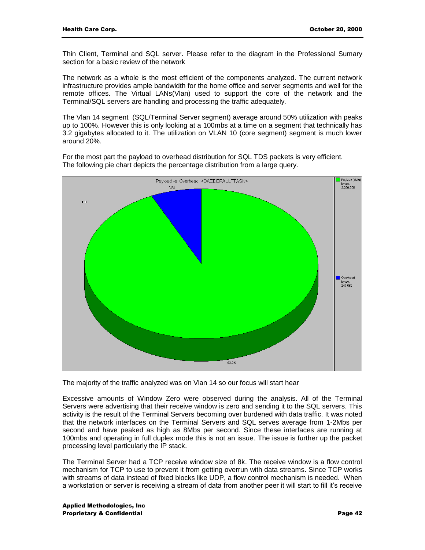Thin Client, Terminal and SQL server. Please refer to the diagram in the Professional Sumary section for a basic review of the network

The network as a whole is the most efficient of the components analyzed. The current network infrastructure provides ample bandwidth for the home office and server segments and well for the remote offices. The Virtual LANs(Vlan) used to support the core of the network and the Terminal/SQL servers are handling and processing the traffic adequately.

The Vlan 14 segment (SQL/Terminal Server segment) average around 50% utilization with peaks up to 100%. However this is only looking at a 100mbs at a time on a segment that technically has 3.2 gigabytes allocated to it. The utilization on VLAN 10 (core segment) segment is much lower around 20%.

For the most part the payload to overhead distribution for SQL TDS packets is very efficient. The following pie chart depicts the percentage distribution from a large query.



The majority of the traffic analyzed was on Vlan 14 so our focus will start hear

Excessive amounts of Window Zero were observed during the analysis. All of the Terminal Servers were advertising that their receive window is zero and sending it to the SQL servers. This activity is the result of the Terminal Servers becoming over burdened with data traffic. It was noted that the network interfaces on the Terminal Servers and SQL serves average from 1-2Mbs per second and have peaked as high as 8Mbs per second. Since these interfaces are running at 100mbs and operating in full duplex mode this is not an issue. The issue is further up the packet processing level particularly the IP stack.

The Terminal Server had a TCP receive window size of 8k. The receive window is a flow control mechanism for TCP to use to prevent it from getting overrun with data streams. Since TCP works with streams of data instead of fixed blocks like UDP, a flow control mechanism is needed. When a workstation or server is receiving a stream of data from another peer it will start to fill it's receive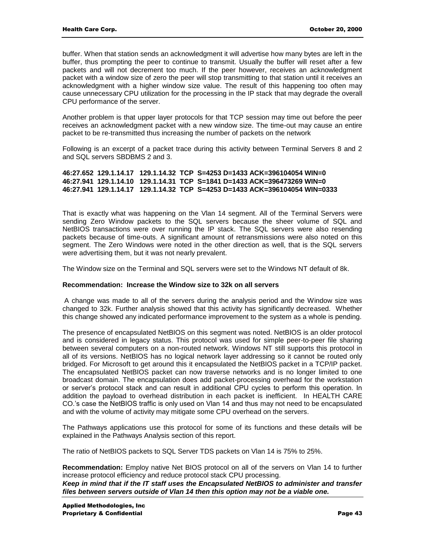buffer. When that station sends an acknowledgment it will advertise how many bytes are left in the buffer, thus prompting the peer to continue to transmit. Usually the buffer will reset after a few packets and will not decrement too much. If the peer however, receives an acknowledgment packet with a window size of zero the peer will stop transmitting to that station until it receives an acknowledgment with a higher window size value. The result of this happening too often may cause unnecessary CPU utilization for the processing in the IP stack that may degrade the overall CPU performance of the server.

Another problem is that upper layer protocols for that TCP session may time out before the peer receives an acknowledgment packet with a new window size. The time-out may cause an entire packet to be re-transmitted thus increasing the number of packets on the network

Following is an excerpt of a packet trace during this activity between Terminal Servers 8 and 2 and SQL servers SBDBMS 2 and 3.

**46:27.652 129.1.14.17 129.1.14.32 TCP S=4253 D=1433 ACK=396104054 WIN=0 46:27.941 129.1.14.10 129.1.14.31 TCP S=1841 D=1433 ACK=396473269 WIN=0 46:27.941 129.1.14.17 129.1.14.32 TCP S=4253 D=1433 ACK=396104054 WIN=0333**

That is exactly what was happening on the Vlan 14 segment. All of the Terminal Servers were sending Zero Window packets to the SQL servers because the sheer volume of SQL and NetBIOS transactions were over running the IP stack. The SQL servers were also resending packets because of time-outs. A significant amount of retransmissions were also noted on this segment. The Zero Windows were noted in the other direction as well, that is the SQL servers were advertising them, but it was not nearly prevalent.

The Window size on the Terminal and SQL servers were set to the Windows NT default of 8k.

#### **Recommendation: Increase the Window size to 32k on all servers**

A change was made to all of the servers during the analysis period and the Window size was changed to 32k. Further analysis showed that this activity has significantly decreased. Whether this change showed any indicated performance improvement to the system as a whole is pending.

The presence of encapsulated NetBIOS on this segment was noted. NetBIOS is an older protocol and is considered in legacy status. This protocol was used for simple peer-to-peer file sharing between several computers on a non-routed network. Windows NT still supports this protocol in all of its versions. NetBIOS has no logical network layer addressing so it cannot be routed only bridged. For Microsoft to get around this it encapsulated the NetBIOS packet in a TCP/IP packet. The encapsulated NetBIOS packet can now traverse networks and is no longer limited to one broadcast domain. The encapsulation does add packet-processing overhead for the workstation or server's protocol stack and can result in additional CPU cycles to perform this operation. In addition the payload to overhead distribution in each packet is inefficient. In HEALTH CARE CO.'s case the NetBIOS traffic is only used on Vlan 14 and thus may not need to be encapsulated and with the volume of activity may mitigate some CPU overhead on the servers.

The Pathways applications use this protocol for some of its functions and these details will be explained in the Pathways Analysis section of this report.

The ratio of NetBIOS packets to SQL Server TDS packets on Vlan 14 is 75% to 25%.

**Recommendation:** Employ native Net BIOS protocol on all of the servers on Vlan 14 to further increase protocol efficiency and reduce protocol stack CPU processing.

*Keep in mind that if the IT staff uses the Encapsulated NetBIOS to administer and transfer files between servers outside of Vlan 14 then this option may not be a viable one.*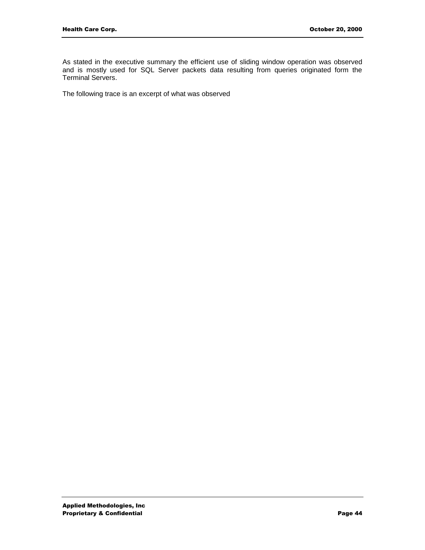As stated in the executive summary the efficient use of sliding window operation was observed and is mostly used for SQL Server packets data resulting from queries originated form the Terminal Servers.

The following trace is an excerpt of what was observed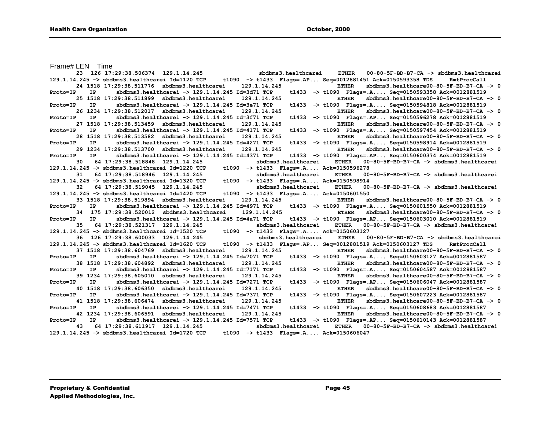Frame# LEN Time

 **23 126 17:29:38.506374 129.1.14.245 sbdbms3.healthcarei ETHER 00-80-5F-BD-B7-CA -> sbdbms3.healthcarei Proto=IP IP 129.1.14.245 -> sbdbms3.healthcarei Id=1120 TCP t1090 -> t1433 Flags=.AP... Seq=0012881451 Ack=0150593358 TDS RmtProcCall 24 1518 17:29:38.511776 sbdbms3.healthcarei 129.1.14.245 ETHER sbdbms3.healthcare00-80-5F-BD-B7-CA -> 00-80-5F-BD-B7-CA Proto=IP IP sbdbms3.healthcarei -> 129.1.14.245 Id=3d71 TCP t1433 -> t1090 Flags=.A.... Seq=0150593358 Ack=0012881519 25 1518 17:29:38.511899 sbdbms3.healthcarei 129.1.14.245 ETHER sbdbms3.healthcare00-80-5F-BD-B7-CA -> 00-80-5F-BD-B7-CA Proto=IP IP sbdbms3.healthcarei -> 129.1.14.245 Id=3e71 TCP t1433 -> t1090 Flags=.A.... Seq=0150594818 Ack=0012881519 26 1234 17:29:38.512017 sbdbms3.healthcarei 129.1.14.245 ETHER sbdbms3.healthcare00-80-5F-BD-B7-CA -> 00-80-5F-BD-B7-CA Proto=IP IP sbdbms3.healthcarei -> 129.1.14.245 Id=3f71 TCP t1433 -> t1090 Flags=.AP... Seq=0150596278 Ack=0012881519 27 1518 17:29:38.513459 sbdbms3.healthcarei 129.1.14.245 ETHER sbdbms3.healthcare00-80-5F-BD-B7-CA -> 00-80-5F-BD-B7-CA Proto=IP IP sbdbms3.healthcarei -> 129.1.14.245 Id=4171 TCP t1433 -> t1090 Flags=.A.... Seq=0150597454 Ack=0012881519 28 1518 17:29:38.513582 sbdbms3.healthcarei 129.1.14.245 ETHER sbdbms3.healthcare00-80-5F-BD-B7-CA -> 00-80-5F-BD-B7-CA Proto=IP IP sbdbms3.healthcarei -> 129.1.14.245 Id=4271 TCP t1433 -> t1090 Flags=.A.... Seq=0150598914 Ack=0012881519 29 1234 17:29:38.513700 sbdbms3.healthcarei 129.1.14.245 ETHER sbdbms3.healthcare00-80-5F-BD-B7-CA -> 00-80-5F-BD-B7-CA Proto=IP IP sbdbms3.healthcarei -> 129.1.14.245 Id=4371 TCP t1433 -> t1090 Flags=.AP... Seq=0150600374 Ack=0012881519 30 64 17:29:38.518848 129.1.14.245 sbdbms3.healthcarei ETHER 00-80-5F-BD-B7-CA -> sbdbms3.healthcarei Proto=IP IP 129.1.14.245 -> sbdbms3.healthcarei Id=1220 TCP t1090 -> t1433 Flags=.A.... Ack=0150596278 31 64 17:29:38.518946 129.1.14.245 sbdbms3.healthcarei ETHER 00-80-5F-BD-B7-CA -> sbdbms3.healthcarei Proto=IP IP 129.1.14.245 -> sbdbms3.healthcarei Id=1320 TCP t1090 -> t1433 Flags=.A.... Ack=0150598914 32 64 17:29:38.519045 129.1.14.245 sbdbms3.healthcarei ETHER 00-80-5F-BD-B7-CA -> sbdbms3.healthcarei Proto=IP IP 129.1.14.245 -> sbdbms3.healthcarei Id=1420 TCP t1090 -> t1433 Flags=.A.... Ack=0150601550 33 1518 17:29:38.519894 sbdbms3.healthcarei 129.1.14.245 ETHER sbdbms3.healthcare00-80-5F-BD-B7-CA -> 00-80-5F-BD-B7-CA Proto=IP IP sbdbms3.healthcarei -> 129.1.14.245 Id=4971 TCP t1433 -> t1090 Flags=.A.... Seq=0150601550 Ack=0012881519 34 175 17:29:38.520012 sbdbms3.healthcarei 129.1.14.245 ETHER sbdbms3.healthcare00-80-5F-BD-B7-CA -> 00-80-5F-BD-B7-CA Proto=IP IP sbdbms3.healthcarei -> 129.1.14.245 Id=4a71 TCP t1433 -> t1090 Flags=.AP... Seq=0150603010 Ack=0012881519**  35 64 17:29:38.521317 129.1.14.245 sbdbms3.healthcarei ETHER 00-80-5F-BD-B7-CA -> sbdbms3.healthcarei<br>129.1.14.245 -> sbdbms3.healthcarei Id=1520 TCP t1090 -> t1433 Flags=.A.... Ack=0150603127 t1090 -> t1433 Flags=.A.... Ack=0150603127  **36 126 17:29:38.600033 129.1.14.245 sbdbms3.healthcarei ETHER 00-80-5F-BD-B7-CA -> sbdbms3.healthcarei Proto=IP IP 129.1.14.245 -> sbdbms3.healthcarei Id=1620 TCP t1090 -> t1433 Flags=.AP... Seq=0012881519 Ack=0150603127 TDS RmtProcCall 37 1518 17:29:38.604769 sbdbms3.healthcarei 129.1.14.245 ETHER sbdbms3.healthcare00-80-5F-BD-B7-CA -> 00-80-5F-BD-B7-CA Proto=IP IP sbdbms3.healthcarei -> 129.1.14.245 Id=7071 TCP t1433 -> t1090 Flags=.A.... Seq=0150603127 Ack=0012881587 38 1518 17:29:38.604892 sbdbms3.healthcarei 129.1.14.245 ETHER sbdbms3.healthcare00-80-5F-BD-B7-CA -> 00-80-5F-BD-B7-CA Proto=IP IP sbdbms3.healthcarei -> 129.1.14.245 Id=7171 TCP t1433 -> t1090 Flags=.A.... Seq=0150604587 Ack=0012881587 39 1234 17:29:38.605010 sbdbms3.healthcarei 129.1.14.245 ETHER sbdbms3.healthcare00-80-5F-BD-B7-CA -> 00-80-5F-BD-B7-CA Proto=IP IP sbdbms3.healthcarei -> 129.1.14.245 Id=7271 TCP t1433 -> t1090 Flags=.AP... Seq=0150606047 Ack=0012881587 40 1518 17:29:38.606350 sbdbms3.healthcarei 129.1.14.245 ETHER sbdbms3.healthcare00-80-5F-BD-B7-CA -> 00-80-5F-BD-B7-CA Proto=IP IP sbdbms3.healthcarei -> 129.1.14.245 Id=7371 TCP t1433 -> t1090 Flags=.A.... Seq=0150607223 Ack=0012881587 41 1518 17:29:38.606474 sbdbms3.healthcarei 129.1.14.245 ETHER sbdbms3.healthcare00-80-5F-BD-B7-CA -> 00-80-5F-BD-B7-CA Proto=IP IP sbdbms3.healthcarei -> 129.1.14.245 Id=7471 TCP t1433 -> t1090 Flags=.A.... Seq=0150608683 Ack=0012881587 42 1234 17:29:38.606591 sbdbms3.healthcarei 129.1.14.245 ETHER sbdbms3.healthcare00-80-5F-BD-B7-CA -> 00-80-5F-BD-B7-CA Proto=IP IP sbdbms3.healthcarei -> 129.1.14.245 Id=7571 TCP t1433 -> t1090 Flags=.AP... Seq=0150610143 Ack=0012881587 43 64 17:29:38.611917 129.1.14.245 sbdbms3.healthcarei ETHER 00-80-5F-BD-B7-CA -> sbdbms3.healthcarei Proto=IP IP 129.1.14.245 -> sbdbms3.healthcarei Id=1720 TCP t1090 -> t1433 Flags=.A.... Ack=0150606047**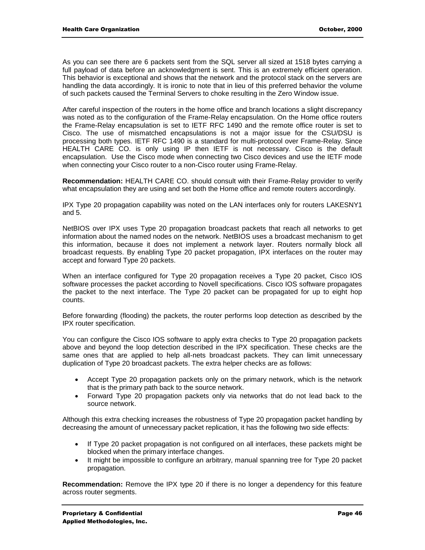As you can see there are 6 packets sent from the SQL server all sized at 1518 bytes carrying a full payload of data before an acknowledgment is sent. This is an extremely efficient operation. This behavior is exceptional and shows that the network and the protocol stack on the servers are handling the data accordingly. It is ironic to note that in lieu of this preferred behavior the volume of such packets caused the Terminal Servers to choke resulting in the Zero Window issue.

After careful inspection of the routers in the home office and branch locations a slight discrepancy was noted as to the configuration of the Frame-Relay encapsulation. On the Home office routers the Frame-Relay encapsulation is set to IETF RFC 1490 and the remote office router is set to Cisco. The use of mismatched encapsulations is not a major issue for the CSU/DSU is processing both types. IETF RFC 1490 is a standard for multi-protocol over Frame-Relay. Since HEALTH CARE CO. is only using IP then IETF is not necessary. Cisco is the default encapsulation. Use the Cisco mode when connecting two Cisco devices and use the IETF mode when connecting your Cisco router to a non-Cisco router using Frame-Relay.

**Recommendation:** HEALTH CARE CO. should consult with their Frame-Relay provider to verify what encapsulation they are using and set both the Home office and remote routers accordingly.

IPX Type 20 propagation capability was noted on the LAN interfaces only for routers LAKESNY1 and 5.

NetBIOS over IPX uses Type 20 propagation broadcast packets that reach all networks to get information about the named nodes on the network. NetBIOS uses a broadcast mechanism to get this information, because it does not implement a network layer. Routers normally block all broadcast requests. By enabling Type 20 packet propagation, IPX interfaces on the router may accept and forward Type 20 packets.

When an interface configured for Type 20 propagation receives a Type 20 packet, Cisco IOS software processes the packet according to Novell specifications. Cisco IOS software propagates the packet to the next interface. The Type 20 packet can be propagated for up to eight hop counts.

Before forwarding (flooding) the packets, the router performs loop detection as described by the IPX router specification.

You can configure the Cisco IOS software to apply extra checks to Type 20 propagation packets above and beyond the loop detection described in the IPX specification. These checks are the same ones that are applied to help all-nets broadcast packets. They can limit unnecessary duplication of Type 20 broadcast packets. The extra helper checks are as follows:

- Accept Type 20 propagation packets only on the primary network, which is the network that is the primary path back to the source network.
- Forward Type 20 propagation packets only via networks that do not lead back to the source network.

Although this extra checking increases the robustness of Type 20 propagation packet handling by decreasing the amount of unnecessary packet replication, it has the following two side effects:

- If Type 20 packet propagation is not configured on all interfaces, these packets might be blocked when the primary interface changes.
- It might be impossible to configure an arbitrary, manual spanning tree for Type 20 packet propagation.

**Recommendation:** Remove the IPX type 20 if there is no longer a dependency for this feature across router segments.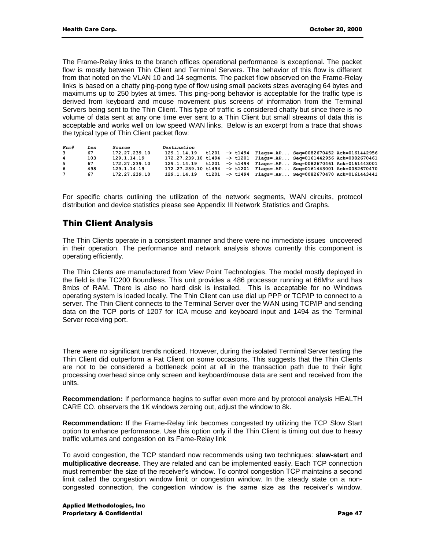The Frame-Relay links to the branch offices operational performance is exceptional. The packet flow is mostly between Thin Client and Terminal Servers. The behavior of this flow is different from that noted on the VLAN 10 and 14 segments. The packet flow observed on the Frame-Relay links is based on a chatty ping-pong type of flow using small packets sizes averaging 64 bytes and maximums up to 250 bytes at times. This ping-pong behavior is acceptable for the traffic type is derived from keyboard and mouse movement plus screens of information from the Terminal Servers being sent to the Thin Client. This type of traffic is considered chatty but since there is no volume of data sent at any one time ever sent to a Thin Client but small streams of data this is acceptable and works well on low speed WAN links. Below is an excerpt from a trace that shows the typical type of Thin Client packet flow:

| Frm#           | <i><b>Len</b></i> | <i>Source</i> | Destination |  |                                                                        |
|----------------|-------------------|---------------|-------------|--|------------------------------------------------------------------------|
| $3^{\circ}$    | 67                | 172.27.239.10 |             |  | 129.1.14.19 t1201 -> t1494 Flags=.AP Seg=0082670452 Ack=0161442956     |
| $\overline{4}$ | 103               | 129.1.14.19   |             |  | 172.27.239.10 t1494 -> t1201 Flags=.AP Seg=0161442956 Ack=0082670461   |
| $5 -$          | 67                | 172.27.239.10 |             |  | 129.1.14.19 t1201 -> t1494 Flags=.AP Seg=0082670461 Ack=0161443001     |
| 6              | 498               | 129.1.14.19   |             |  | $172.27.239.10$ t1494 -> t1201 Flags=.AP Seg=0161443001 Ack=0082670470 |
| $7^{\circ}$    | 67                | 172.27.239.10 |             |  | $129.1.14.19$ t1201 -> t1494 Flags=.AP Seq=0082670470 Ack=0161443441   |

For specific charts outlining the utilization of the network segments, WAN circuits, protocol distribution and device statistics please see Appendix III Network Statistics and Graphs.

# Thin Client Analysis

The Thin Clients operate in a consistent manner and there were no immediate issues uncovered in their operation. The performance and network analysis shows currently this component is operating efficiently.

The Thin Clients are manufactured from View Point Technologies. The model mostly deployed in the field is the TC200 Boundless. This unit provides a 486 processor running at 66Mhz and has 8mbs of RAM. There is also no hard disk is installed. This is acceptable for no Windows operating system is loaded locally. The Thin Client can use dial up PPP or TCP/IP to connect to a server. The Thin Client connects to the Terminal Server over the WAN using TCP/IP and sending data on the TCP ports of 1207 for ICA mouse and keyboard input and 1494 as the Terminal Server receiving port.

There were no significant trends noticed. However, during the isolated Terminal Server testing the Thin Client did outperform a Fat Client on some occasions. This suggests that the Thin Clients are not to be considered a bottleneck point at all in the transaction path due to their light processing overhead since only screen and keyboard/mouse data are sent and received from the units.

**Recommendation:** If performance begins to suffer even more and by protocol analysis HEALTH CARE CO. observers the 1K windows zeroing out, adjust the window to 8k.

**Recommendation:** If the Frame-Relay link becomes congested try utilizing the TCP Slow Start option to enhance performance. Use this option only if the Thin Client is timing out due to heavy traffic volumes and congestion on its Fame-Relay link

To avoid congestion, the TCP standard now recommends using two techniques: **slaw-start** and **multiplicative decrease**. They are related and can be implemented easily. Each TCP connection must remember the size of the receiver's window. To control congestion TCP maintains a second limit called the congestion window limit or congestion window. In the steady state on a noncongested connection, the congestion window is the same size as the receiver's window.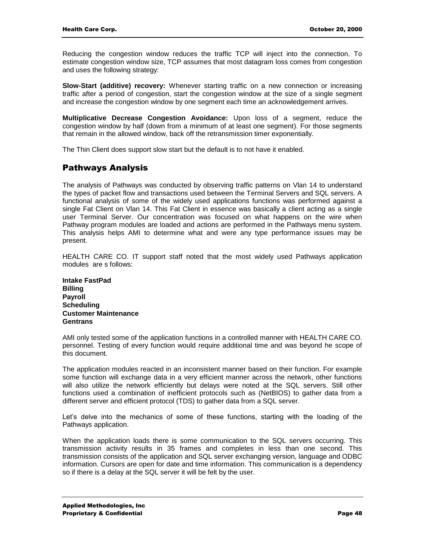Reducing the congestion window reduces the traffic TCP will inject into the connection. To estimate congestion window size, TCP assumes that most datagram loss comes from congestion and uses the following strategy:

**Slow-Start (additive) recovery:** Whenever starting traffic on a new connection or increasing traffic after a period of congestion, start the congestion window at the size of a single segment and increase the congestion window by one segment each time an acknowledgement arrives.

**Multiplicative Decrease Congestion Avoidance:** Upon loss of a segment, reduce the congestion window by half (down from a minimum of at least one segment). For those segments that remain in the allowed window, back off the retransmission timer exponentially.

The Thin Client does support slow start but the default is to not have it enabled.

### Pathways Analysis

The analysis of Pathways was conducted by observing traffic patterns on Vlan 14 to understand the types of packet flow and transactions used between the Terminal Servers and SQL servers. A functional analysis of some of the widely used applications functions was performed against a single Fat Client on Vlan 14. This Fat Client in essence was basically a client acting as a single user Terminal Server. Our concentration was focused on what happens on the wire when Pathway program modules are loaded and actions are performed in the Pathways menu system. This analysis helps AMI to determine what and were any type performance issues may be present.

HEALTH CARE CO. IT support staff noted that the most widely used Pathways application modules are s follows:

**Intake FastPad Billing Payroll Scheduling Customer Maintenance Gentrans**

AMI only tested some of the application functions in a controlled manner with HEALTH CARE CO. personnel. Testing of every function would require additional time and was beyond he scope of this document.

The application modules reacted in an inconsistent manner based on their function. For example some function will exchange data in a very efficient manner across the network, other functions will also utilize the network efficiently but delays were noted at the SQL servers. Still other functions used a combination of inefficient protocols such as (NetBIOS) to gather data from a different server and efficient protocol (TDS) to gather data from a SQL server.

Let's delve into the mechanics of some of these functions, starting with the loading of the Pathways application.

When the application loads there is some communication to the SQL servers occurring. This transmission activity results in 35 frames and completes in less than one second. This transmission consists of the application and SQL server exchanging version, language and ODBC information. Cursors are open for date and time information. This communication is a dependency so if there is a delay at the SQL server it will be felt by the user.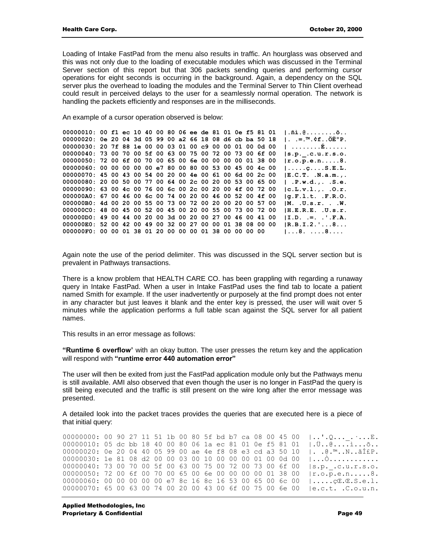Loading of Intake FastPad from the menu also results in traffic. An hourglass was observed and this was not only due to the loading of executable modules which was discussed in the Terminal Server section of this report but that 306 packets sending queries and performing cursor operations for eight seconds is occurring in the background. Again, a dependency on the SQL server plus the overhead to loading the modules and the Terminal Server to Thin Client overhead could result in perceived delays to the user for a seamlessly normal operation. The network is handling the packets efficiently and responses are in the milliseconds.

An example of a cursor operation observed is below:

```
00000010: 00 f1 ec 10 40 00 80 06 ee de 81 01 0e f5 81 01 |.ñì.@........õ..
00000020: 0e 20 04 3d 05 99 00 a2 66 18 08 d6 cb ba 50 18 |. .=.™.¢f..Ö˺P.
00000030: 20 7f 88 1e 00 00 03 01 00 c9 00 00 01 00 0d 00 | ........É......
00000040: 73 00 70 00 5f 00 63 00 75 00 72 00 73 00 6f 00 |s.p._.c.u.r.s.o.
00000050: 72 00 6f 00 70 00 65 00 6e 00 00 00 00 01 38 00 |r.o.p.e.n.....8.
00000060: 00 00 00 00 00 e7 80 00 80 00 53 00 45 00 4c 00 |.....ç....S.E.L.
00000070: 45 00 43 00 54 00 20 00 4e 00 61 00 6d 00 2c 00 |E.C.T. .N.a.m.,.
00000080: 20 00 50 00 77 00 64 00 2c 00 20 00 53 00 65 00 | .P.w.d.,. .S.e.
00000090: 63 00 4c 00 76 00 6c 00 2c 00 20 00 4f 00 72 00 |c.L.v.l.,. .O.r.
000000A0: 67 00 46 00 6c 00 74 00 20 00 46 00 52 00 4f 00 |g.F.l.t. .F.R.O.
000000B0: 4d 00 20 00 55 00 73 00 72 00 20 00 20 00 57 00 |M. .U.s.r. . .W.
000000C0: 48 00 45 00 52 00 45 00 20 00 55 00 73 00 72 00
000000D0: 49 00 44 00 20 00 3d 00 20 00 27 00 46 00 41 00 |I.D. .=. .'.F.A.
000000E0: 52 00 42 00 49 00 32 00 27 00 00 01 38 08 00 00 |R.B.I.2.'...8...
000000F0: 00 00 01 38 01 20 00 00 00 01 38 00 00 00 00 |...8. ....8....
```
Again note the use of the period delimiter. This was discussed in the SQL server section but is prevalent in Pathways transactions.

There is a know problem that HEALTH CARE CO. has been grappling with regarding a runaway query in Intake FastPad. When a user in Intake FastPad uses the find tab to locate a patient named Smith for example. If the user inadvertently or purposely at the find prompt does not enter in any character but just leaves it blank and the enter key is pressed, the user will wait over 5 minutes while the application performs a full table scan against the SQL server for all patient names.

This results in an error message as follows:

**"Runtime 6 overflow'** with an okay button. The user presses the return key and the application will respond with **"runtime error 440 automation error"**

The user will then be exited from just the FastPad application module only but the Pathways menu is still available. AMI also observed that even though the user is no longer in FastPad the query is still being executed and the traffic is still present on the wire long after the error message was presented.

A detailed look into the packet traces provides the queries that are executed here is a piece of that initial query:

00000000: 00 90 27 11 51 1b 00 80 5f bd b7 ca 08 00 45 00 |..'.Q... ....E. 00000010: 05 dc bb 18 40 00 80 06 1a ec 81 01 0e f5 81 01 |.Ü..@....i...õ..<br>00000020: 0e 20 04 40 05 99 00 ae 4e f8 08 e3 cd a3 50 10 |..@.IM..AíffP. 00000020: 0e 20 04 40 05 99 00 ae 4e f8 08 e3 cd a3 50 10 00000030: 1e 81 08 d2 00 00 03 00 10 00 00 00 01 00 0d 00 |...Ò............ 00000040: 73 00 70 00 5f 00 63 00 75 00 72 00 73 00 6f 00 |s.p. .c.u.r.s.o. 00000050: 72 00 6f 00 70 00 65 00 6e 00 00 00 00 01 38 00  $|r.\circ.\overline{p}.e.n.\ldots.8$ . 00000060: 00 00 00 00 00 e7 8c 16 8c 16 53 00 65 00 6c 00 |.....çŒ.Œ.S.e.l. 00000070: 65 00 63 00 74 00 20 00 43 00 6f 00 75 00 6e 00 |e.c.t. .C.o.u.n.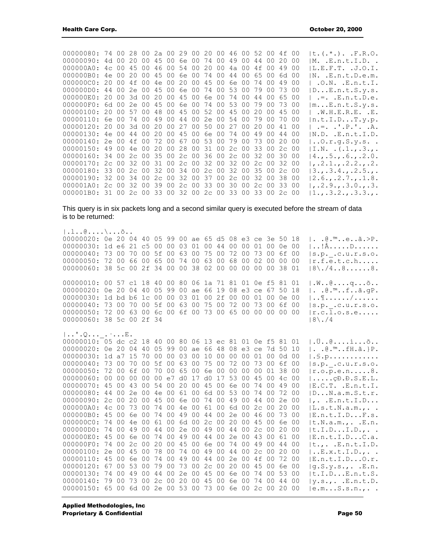| 00000080: 74 00 28 00 2a 00 29 00 20 00 46 00 52 00 4f 00 |  |  |  |  |  |                |  |     |    | $\mathsf{It.}$ $( .^*, )$ . $. \mathbb{F.}\mathbb{R.}\mathbb{O}.$                      |
|-----------------------------------------------------------|--|--|--|--|--|----------------|--|-----|----|----------------------------------------------------------------------------------------|
| 00000090: 4d 00 20 00 45 00 6e 00 74 00 49 00 44 00 20 00 |  |  |  |  |  |                |  |     |    | $M.$ $.$ E.n.t. I.D. $.$                                                               |
| 000000A0: 4c 00 45 00 46 00 54 00 20 00 4a 00 4f 00 49 00 |  |  |  |  |  |                |  |     |    | L.E.F.T. J.O.I.                                                                        |
| 000000B0: 4e 00 20 00 45 00 6e 00 74 00 44 00 65 00 6d 00 |  |  |  |  |  |                |  |     |    | IN. .E.n.t.D.e.m.                                                                      |
| 000000C0: 20 00 4f 00 4e 00 20 00 45 00 6e 00 74 00 49 00 |  |  |  |  |  |                |  |     |    | $.0. N.$ $. E.n.t.I.$                                                                  |
| 000000D0: 44 00 2e 00 45 00 6e 00 74 00 53 00 79 00 73    |  |  |  |  |  |                |  |     | 00 | DE.n.t.S.y.s.                                                                          |
| 000000E0: 20 00 3d 00 20 00 45 00 6e 00 74 00 44 00       |  |  |  |  |  |                |  | -65 | 00 | $:=. E.n.t.D.e.$                                                                       |
| 000000F0: 6d 00 2e 00 45 00 6e 00 74 00 53 00 79 00 73    |  |  |  |  |  |                |  |     | 00 | $\mathsf{m} \dots \mathsf{E} \dots \mathsf{t} \dots \mathsf{S} \cdot \mathsf{y} \dots$ |
| 00000100: 20 00 57 00 48 00 45 00 52 00 45 00 20 00 45 00 |  |  |  |  |  |                |  |     |    | W.H.E.R.E. L. L. E.                                                                    |
| 00000110: 6e 00 74 00 49 00 44 00 2e 00 54 00 79 00 70    |  |  |  |  |  |                |  |     | 00 | n.t.I.DT.y.p.                                                                          |
| 00000120: 20 00 3d 00 20 00 27 00 50 00 27 00 20 00 41 00 |  |  |  |  |  |                |  |     |    |                                                                                        |
| 00000130: 4e 00 44 00 20 00 45 00 6e 00 74 00 49 00 44 00 |  |  |  |  |  |                |  |     |    | $\texttt{NN.D.}\quad \texttt{.E.n.t. I.D.}$                                            |
| 00000140: 2e 00 4f 00 72 00 67 00 53 00 79 00 73 00 20    |  |  |  |  |  |                |  |     | 00 | .0.r.q.S.y.s.                                                                          |
| 00000150: 49 00 4e 00 20 00 28 00 31 00 2c 00 33 00 2c 00 |  |  |  |  |  |                |  |     |    | $I.N.$ $(0.1.7.3.7.$                                                                   |
| 00000160: 34 00 2c 00 35 00 2c 00 36 00 2c 00 32 00 30    |  |  |  |  |  |                |  |     | 00 | 14.7.5.7.6.7.2.0.                                                                      |
| 00000170: 2c 00 32 00 31 00 2c 00 32 00 32 00 2c 00 32 00 |  |  |  |  |  |                |  |     |    | $\vert$ , .2.1., .2.2., .2.                                                            |
| 00000180: 33 00 2c 00 32 00 34 00 2c 00 32 00 35 00 2c 00 |  |  |  |  |  |                |  |     |    | 3.7.3.4.7.2.5.7.                                                                       |
| 00000190: 32 00 34 00 2c 00 32 00 37 00 2c 00 32 00 38    |  |  |  |  |  |                |  |     | 00 | $12.6.$ , $2.7.$ , $1.8.$                                                              |
| 000001A0: 2c 00 32 00 39 00 2c 00 33 00 30                |  |  |  |  |  | 00 2c 00 33 00 |  |     |    | 1, 2.9, 3.0, 3.3.                                                                      |
| 000001B0: 31 00 2c 00 33 00 32 00 2c 00 33 00 33 00 2c 00 |  |  |  |  |  |                |  |     |    | 1.7.3.2.7.3.3.7.                                                                       |

This query is in six packets long and a second similar query is executed before the stream of data is to be returned:

| 00000020: 0e 20 04 40 05 99 00 ae 65 d5 08 e3 ce 3e 50 18<br>00000030: 1d e6 21 c5 00 00 03 01 00<br>00000040:<br>00000050:<br>00000060:                                                                                                                                                                                                                                          | 72 00<br>38 5c 00 2f                                                                         | 73 00                                                                                                                                                                                                                                                                                                                                      | 70<br>66 00 65 00                                                                                                            | 00                                                                                                                                                                                           | 5f 00                                                                                                                      | 34 00 00                                                                                                                                                                                                      | 63 00<br>74 00                                                                                                                                  |                                                                      | 75<br>63<br>38 02 00                                                                                                                  | 44<br>0 <sup>0</sup><br>00                                                                                     | 0 <sup>0</sup><br>72<br>68<br>00                                                                                                    | 00<br>00<br>00<br>00                                                                                                                                                                                                        | 01<br>73<br>00                                                                                           | 00 <sub>o</sub><br>00 <sub>o</sub><br>02 00<br>0 <sub>0</sub>                                                                                                                                                               | 0e<br>6f<br>00<br>38                                                                                     | 00<br>0 <sup>0</sup><br>00<br>01                                                                                                                                                                                                                                                                                           | $ \ldots $ Ă $\ldots$ . D $\ldots$ . .<br> s.p. c.u.r.s. o.<br> r.f.e.t.c.h<br>$ 8 \rangle$ ./488.                                                                                                                                                                                                                                                                                                                                                                                                                                                                                              |
|-----------------------------------------------------------------------------------------------------------------------------------------------------------------------------------------------------------------------------------------------------------------------------------------------------------------------------------------------------------------------------------|----------------------------------------------------------------------------------------------|--------------------------------------------------------------------------------------------------------------------------------------------------------------------------------------------------------------------------------------------------------------------------------------------------------------------------------------------|------------------------------------------------------------------------------------------------------------------------------|----------------------------------------------------------------------------------------------------------------------------------------------------------------------------------------------|----------------------------------------------------------------------------------------------------------------------------|---------------------------------------------------------------------------------------------------------------------------------------------------------------------------------------------------------------|-------------------------------------------------------------------------------------------------------------------------------------------------|----------------------------------------------------------------------|---------------------------------------------------------------------------------------------------------------------------------------|----------------------------------------------------------------------------------------------------------------|-------------------------------------------------------------------------------------------------------------------------------------|-----------------------------------------------------------------------------------------------------------------------------------------------------------------------------------------------------------------------------|----------------------------------------------------------------------------------------------------------|-----------------------------------------------------------------------------------------------------------------------------------------------------------------------------------------------------------------------------|----------------------------------------------------------------------------------------------------------|----------------------------------------------------------------------------------------------------------------------------------------------------------------------------------------------------------------------------------------------------------------------------------------------------------------------------|-------------------------------------------------------------------------------------------------------------------------------------------------------------------------------------------------------------------------------------------------------------------------------------------------------------------------------------------------------------------------------------------------------------------------------------------------------------------------------------------------------------------------------------------------------------------------------------------------|
| 00000010:<br>00000020:<br>00000030:<br>00000040:<br>00000050:<br>00000060:                                                                                                                                                                                                                                                                                                        | 72                                                                                           | 00 57 c1 18<br>0e 20 04 40<br>1d bd b6<br>73 00 70<br>0 <sub>0</sub><br>38 5c 00 2f 34                                                                                                                                                                                                                                                     | 63                                                                                                                           | 1c<br>0 <sup>0</sup><br>0 <sub>0</sub>                                                                                                                                                       | 05<br>0 <sub>0</sub><br>5f                                                                                                 | 40 00 80 06 1a 71 81 01 0e f5 81<br>99<br>00<br>00<br>6c 00 6f 00                                                                                                                                             | 00<br>03<br>63                                                                                                                                  | ae 66<br>01<br>0 <sup>0</sup>                                        | 00 <sup>o</sup><br>75<br>73                                                                                                           | 19<br>2f<br>0 <sup>0</sup><br>0 <sub>0</sub>                                                                   | 0 <sup>0</sup><br>72<br>65                                                                                                          | 08 e3<br>0 <sup>0</sup><br>0 <sup>0</sup><br>0 <sup>0</sup>                                                                                                                                                                 | ce<br>01<br>73<br>0 <sub>0</sub>                                                                         | 67 50<br>00<br>00<br>0 <sub>0</sub>                                                                                                                                                                                         | 0e<br>6f<br>0 <sub>0</sub>                                                                               | 01<br>18<br>0 <sub>0</sub><br>0 <sup>0</sup><br>0 <sub>0</sub>                                                                                                                                                                                                                                                             | N0qq5 <br>$\vert \cdot \vert$ . $\theta$ . In. f. . $\tilde{a}$ . gP.<br>$  \ldots \mathbb{I} \ldots \ldots \ldots \rangle$<br> s.p. c.u.r.s. o.<br> r.c.1.0.s.e<br>$18 \cdot .74$                                                                                                                                                                                                                                                                                                                                                                                                              |
| $  \ldots  $ $\ldots$ $\Omega$ $\ldots$ $\ldots$ $\ldots$ $\ldots$ $\ldots$ $\ldots$<br>00000010: 05 dc c2 18<br>00000020:<br>00000030:<br>00000040:<br>00000050:<br>00000060:<br>00000070:<br>00000080:<br>00000090:<br>000000A0:<br>000000B0:<br>000000C0:<br>000000D0:<br>000000E0:<br>000000F0:<br>00000100:<br>00000110:<br>00000120:<br>00000130:<br>00000140:<br>00000150: | 72<br>0 <sub>0</sub><br>45<br>44<br>2c<br>4c<br>45<br>45<br>74<br>2e<br>45<br>67<br>74<br>79 | 0e 20 04 40<br>1d a7 15 70<br>73 00<br>00 <sup>o</sup><br>0 <sub>0</sub><br>0 <sup>0</sup><br>0 <sup>0</sup><br>0 <sub>0</sub><br>00<br>00<br>74 00<br>74 00<br>0 <sub>0</sub><br>0 <sup>0</sup><br>0 <sub>0</sub><br>0 <sup>0</sup><br>0 <sup>0</sup><br>0 <sup>0</sup><br>0 <sub>0</sub><br>65 00 6d 00 2e 00 53 00 73 00 6e 00 2c 00 20 | 70<br>6f<br>0 <sub>0</sub><br>43<br>2e 00<br>20<br>73<br>6e 00<br>4e00<br>49 00<br>6e 00<br>2c<br>45<br>6e<br>53<br>49<br>73 | 00<br>0 <sup>0</sup><br>0 <sup>0</sup><br>0 <sup>0</sup><br>0 <sub>0</sub><br>00<br>0 <sub>0</sub><br>0 <sup>0</sup><br>0 <sub>0</sub><br>0 <sup>0</sup><br>0 <sup>0</sup><br>0 <sub>0</sub> | 05<br>0 <sup>0</sup><br>5f 00<br>70<br>0 <sup>0</sup><br>54<br>4e 00<br>45<br>44 00<br>74 00<br>20<br>78<br>74<br>79<br>44 | 40 00 80 06 13 ec 81 01 0e f5 81<br>99 00<br>0 <sup>0</sup><br>e7<br>00<br>00<br>74 00<br>74 00<br>61 00<br>0 <sub>0</sub><br>0 <sup>0</sup><br>0 <sup>0</sup><br>0 <sup>0</sup><br>0 <sup>0</sup><br>$2c$ 00 | 03<br>63<br>00 65 00<br>d0<br>20<br>61 00<br>6e 00<br>4e 00<br>49 00<br>6d 00<br>2e 00<br>49 00<br>45<br>74 00<br>49<br>73 00<br>2e 00<br>20 00 | 0 <sup>0</sup><br>00<br>17<br>00<br>0 <sup>0</sup><br>0 <sup>0</sup> | 10<br>75<br>6e<br>d0<br>45 00<br>6d 00<br>74 00<br>61 00<br>44 00<br>$2c$ 00<br>49<br>44 00<br>6e 00<br>49<br>44 00<br>2c<br>45<br>45 | 0 <sup>0</sup><br>0 <sup>0</sup><br>00<br>17<br>00<br>0 <sup>0</sup><br>00<br>0 <sup>0</sup><br>0 <sup>0</sup> | 0 <sup>0</sup><br>72<br>0 <sup>0</sup><br>53<br>6e<br>53<br>49<br>6d<br>2e 00<br>20<br>44<br>2e<br>74<br>44<br>2e<br>20<br>6e<br>6e | 0 <sup>0</sup><br>0 <sup>0</sup><br>0 <sup>0</sup><br>0 <sup>0</sup><br>00<br>0 <sup>0</sup><br>0 <sup>0</sup><br>00 <sup>o</sup><br>0 <sub>0</sub><br>00<br>00<br>0 <sub>0</sub><br>0 <sup>0</sup><br>00<br>00<br>00<br>00 | 01<br>73<br>00<br>45<br>74<br>74<br>44<br>2c<br>46<br>45<br>2c<br>43<br>49<br>2c<br>4f<br>45<br>74<br>74 | ae 66 48 08 e3 ce 7d 50<br>00<br>00 <sub>o</sub><br>01<br>0 <sup>0</sup><br>0 <sup>0</sup><br>00<br>00<br>00<br>00<br>00 <sup>o</sup><br>00 <sup>o</sup><br>00 <sub>o</sub><br>0 <sub>0</sub><br>00<br>00<br>00<br>00<br>00 | 0d<br>6f<br>38<br>4c<br>49<br>72<br>2e<br>20<br>73<br>6e<br>20<br>61<br>44<br>20<br>72<br>6e<br>53<br>44 | 01<br>10<br>0 <sub>0</sub><br>0 <sup>0</sup><br>00<br>0 <sup>0</sup><br>0 <sup>0</sup><br>00<br>0 <sub>0</sub><br>0 <sup>0</sup><br>0 <sup>0</sup><br>0 <sub>0</sub><br>0 <sup>0</sup><br>0 <sup>0</sup><br>0 <sub>0</sub><br>0 <sup>0</sup><br>0 <sup>0</sup><br>0 <sup>0</sup><br>00<br>0 <sub>0</sub><br>0 <sub>0</sub> | .Ü@ìõ<br>$\vert \cdot$ $\mathbb{S} \cdot \mathbb{p}$<br> s.p. c.u.r.s. o.<br>$ r.$ o.p.e.n $8.$<br>$  \ldots$ . ÇĐ.Đ.S.E.L.<br> E.C.T. . E.n.t.I.<br> DN.a.m.S.t.r.<br>$\vert$ , . $E.n.t.I.D$<br> L.s.t.N.a.m., .<br> E.n.t.I.D. F.s.<br>$\vert t.N.a.m., E.n. \rangle$<br>$\lfloor t \cdot I \cdot D \cdot \ldots I \cdot D \cdot r \rfloor$ .<br> E.n.t.I.DC.a.<br>$\lfloor t \ldots E \ldots t \rfloor$ .<br>$\vert$ $E$ .x.t.I.D.,<br>E.n.t.I.D.0.r.<br> q.S.y.S., E.n.<br>$\lfloor t \cdot I \cdot D \cdot \ldots E \cdot n \cdot t \cdot S \cdot$<br> y.s., E.n.t.D.<br>$ e.m.$ $S.s.n.$ |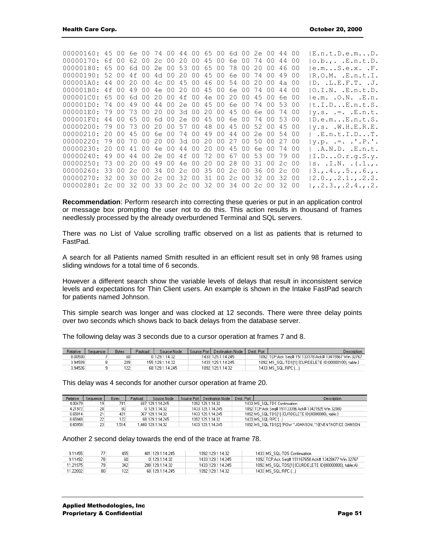| 00000160: 45 00 6e 00 74 00 44 00 65 00 6d 00 2e 00 44 00 |                                                 |  |                                                 |  |  |  |  |  | $E.n.t.D.e.m.$ . $D.$                                          |
|-----------------------------------------------------------|-------------------------------------------------|--|-------------------------------------------------|--|--|--|--|--|----------------------------------------------------------------|
| 00000170: 6f 00 62 00 2c 00 20 00 45 00 6e 00 74 00 44 00 |                                                 |  |                                                 |  |  |  |  |  | $ {\tt o.b.}$ , ${\tt E.n.t.D.}$                               |
| 00000180: 65 00 6d 00 2e 00 53 00 65 00 78 00 20 00 46 00 |                                                 |  |                                                 |  |  |  |  |  | $e.m.$ $S.e.$ x. $.F.$                                         |
| 00000190: 52 00 4f 00 4d 00 20 00 45 00 6e 00 74 00 49 00 |                                                 |  |                                                 |  |  |  |  |  | IR.O.M. .E.n.t.I.                                              |
| 000001A0: 44 00 20 00 4c 00 45 00 46 00 54 00 20 00 4a 00 |                                                 |  |                                                 |  |  |  |  |  | ID. .L.E.F.T. .J.                                              |
| 000001B0: 4f 00 49 00 4e 00 20 00 45 00 6e 00 74 00 44 00 |                                                 |  |                                                 |  |  |  |  |  | 10.I.N. .E.n.t.D.                                              |
| 000001C0: 65 00 6d 00 20 00 4f 00 4e 00 20 00 45 00 6e 00 |                                                 |  |                                                 |  |  |  |  |  | e.m. . O.N. . E.n.                                             |
| 000001D0: 74 00 49 00 44 00 2e 00 45 00 6e 00 74 00 53 00 |                                                 |  |                                                 |  |  |  |  |  | $\lfloor$ t.I.D $\text{E.n.t.S.}$                              |
| 000001E0: 79 00 73 00 20 00 3d 00 20 00 45 00 6e 00 74 00 |                                                 |  |                                                 |  |  |  |  |  | $V.S. := E.n.t.$                                               |
| 000001F0: 44 00 65 00 6d 00 2e 00 45 00 6e 00 74 00 53 00 |                                                 |  |                                                 |  |  |  |  |  | $ D.\texttt{e.m.}.\texttt{E.n.t.S.}$                           |
| 00000200: 79 00 73 00 20 00 57 00 48 00 45 00 52 00 45 00 |                                                 |  |                                                 |  |  |  |  |  | $ v.s.$ . $W.H.E.R.E.$                                         |
| 00000210: 20 00 45 00 6e 00 74 00 49 00 44 00 2e 00 54 00 |                                                 |  |                                                 |  |  |  |  |  | E.n.t.I.D. T.                                                  |
| 00000220: 79 00 70 00 20 00 3d 00 20 00 27 00 50 00 27 00 |                                                 |  |                                                 |  |  |  |  |  | $ y.p. := . \cdot \cdot P.$                                    |
| 00000230: 20 00 41 00 4e 00 44 00 20 00 45 00 6e 00 74 00 |                                                 |  |                                                 |  |  |  |  |  | .A.N.D. .E.n.t.                                                |
| 00000240:                                                 |                                                 |  | 49 00 44 00 2e 00 4f 00 72 00 67 00 53 00 79 00 |  |  |  |  |  | I.D.0.r. q.S.v.                                                |
| 00000250:                                                 | 73 00 20 00 49 00 4e 00 20 00 28 00 31 00 2c 00 |  |                                                 |  |  |  |  |  | $\mathsf{S.}$ . I.N. $\mathsf{.}$ $(.\mathsf{1.},\mathsf{1.})$ |
| 00000260:                                                 |                                                 |  | 33 00 2c 00 34 00 2c 00 35 00 2c 00 36 00 2c 00 |  |  |  |  |  | 13., .4., .5., .6., .                                          |
| 00000270: 32 00 30 00 2c 00 32 00 31 00 2c 00 32 00 32 00 |                                                 |  |                                                 |  |  |  |  |  | $12.0.$ , .2.1., .2.2.                                         |
| 00000280: 2c 00 32 00 33 00 2c 00 32 00 34 00 2c 00 32 00 |                                                 |  |                                                 |  |  |  |  |  | 1, 2.3, 7.2.4, 7.2.                                            |
|                                                           |                                                 |  |                                                 |  |  |  |  |  |                                                                |

**Recommendation**: Perform research into correcting these queries or put in an application control or message box prompting the user not to do this. This action results in thousand of frames needlessly processed by the already overburdened Terminal and SQL servers.

There was no List of Value scrolling traffic observed on a list as patients that is returned to FastPad.

A search for all Patients named Smith resulted in an efficient result set in only 98 frames using sliding windows for a total time of 6 seconds.

However a different search show the variable levels of delays that result in inconsistent service levels and expectations for Thin Client users. An example is shown in the Intake FastPad search for patients named Johnson.

This simple search was longer and was clocked at 12 seconds. There were three delay points over two seconds which shows back to back delays from the database server.

The following delay was 3 seconds due to a cursor operation at frames 7 and 8.

| Relative | Sequence | <b>Butes</b> | Pavload | Source Node     | Source Port   Destination Node | Dest. Port | <b>Description</b>                                  |
|----------|----------|--------------|---------|-----------------|--------------------------------|------------|-----------------------------------------------------|
| 0.00500  |          | 60           |         | 0 129 1 14 32   | 1433 129 1 14 245              |            | 1092 TCP:Ack Sea# 151133178 Ack# 13415567 Win 32767 |
| 3.94509  |          | 209          |         | 155 129 1 14 32 | 1433 129 1 14 245              |            | 1092 MS SQL:TDS[1] {CURDELETE ID(00000100), table:} |
| 3.94526  |          | 122          |         | 68 129 1 14 245 | 1092 129.1.14.32               |            | 1433 MS SQL:RPC ()                                  |

This delay was 4 seconds for another cursor operation at frame 20.

| Relative | Sequence i      | <b>Butes</b> | Payload | Source Node       | Source Port    Destination Node | Dest. Port | <b>Description</b>                                       |
|----------|-----------------|--------------|---------|-------------------|---------------------------------|------------|----------------------------------------------------------|
| 4.00479  | 19              | 741          |         | 687 129 1 14 245  | 1092 129 1 14 32                |            | 1433 MS SOL: TDS Continuation                            |
| 4.21972  | 20 <sup>1</sup> | 60           |         | 0 129 1 14 32     | 1433 129 1 14 245               |            | 1092 TCP:Ack Sea# 151133396 Ack# 13421925 Win 32080      |
| 8.65914  |                 | 421          |         | 367 129.1.14.32   | 1433 129 1 14 245               |            | 1092 MS SQL:TDSf11 (CURDELETE ID(00000900), table:}      |
| 8.65948  | 22              | 122          |         | 68 129 1 14 245   | 1092 129.1.14.32                |            | 1433 MS SQL:RPC ()                                       |
| 8.65958  | 23              | .514         |         | 1.460 129.1.14.32 | 1433 129.1.14.245               |            | 1092 MS SQL:TDS[2] (ROW "JOHNSON, ") (EVENTNOTICE OHNSON |

Another 2 second delay towards the end of the trace at frame 78.

| 9.11455  | 77. | 4551 | 401 129 1 14 245 | 1092 129 1 14:32  | 1433 MS SQL:TDS Continuation                         |
|----------|-----|------|------------------|-------------------|------------------------------------------------------|
| 9.11492  | 78  |      | 0 129 1 14 32    | 1433 129 1.14 245 | 1092 TCP:Ack Sea# 151167650 Ack# 13428477 Win 32767  |
| 11.21975 | 79  | 342  | 288 129 1 14 32  | 1433 129 1 14 245 | 1092 MS SQL:TDS[1] {CURDELETE ID(00000800), table:A} |
| 11.22002 | 80  | 122  | 68 129 1.14 245  | 1092 129 1.14.32  | 1433 MS SQL:RPC ()                                   |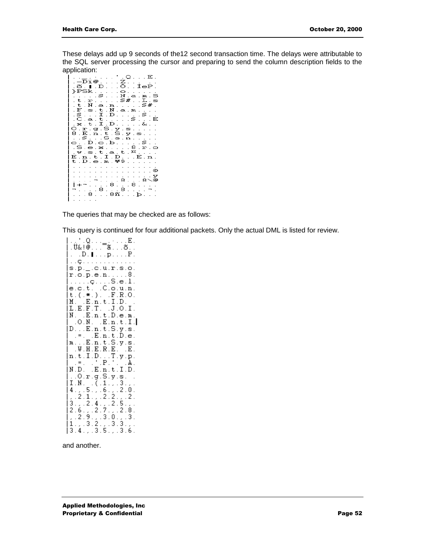These delays add up 9 seconds of the12 second transaction time. The delays were attributable to the SQL server processing the cursor and preparing to send the column description fields to the

application:<br>  $-5.1 \cdot 0.1 \cdot 1.0$ <br>  $-5.1 \cdot 0.1 \cdot 1.0$ <br>  $+5.1 \cdot 0.1 \cdot 1.0$ <br>  $+5.1 \cdot 0.1 \cdot 1.0$ <br>  $+5.1 \cdot 0.1 \cdot 1.0$ <br>  $+5.1 \cdot 0.1 \cdot 1.0$ <br>  $+5.1 \cdot 0.1 \cdot 1.0$ <br>  $+5.1 \cdot 0.1 \cdot 1.0$ <br>  $+5.1 \cdot 0.1 \cdot 1.0$ <br>  $+5.1 \cdot 0.1 \cdot 1.0$ <br>  $+5.1 \cdot$ 

The queries that may be checked are as follows:

This query is continued for four additional packets. Only the actual DML is listed for review.

| $^{\prime}$ , Q , ,                                                                                                                                                                                                                                                                                                                                                                                                                                                                          |  |
|----------------------------------------------------------------------------------------------------------------------------------------------------------------------------------------------------------------------------------------------------------------------------------------------------------------------------------------------------------------------------------------------------------------------------------------------------------------------------------------------|--|
|                                                                                                                                                                                                                                                                                                                                                                                                                                                                                              |  |
| $\begin{array}{lll} \left(\begin{array}{lll} 0 & -1 & E \\ 0 & 0 & E \\ \end{array}\right) & \left(\begin{array}{lll} 0 & 0 & E \\ 0 & 0 & E \\ \end{array}\right) & \left(\begin{array}{lll} 0 & 0 & E \\ 0 & 0 & E \\ \end{array}\right) & \left(\begin{array}{lll} 0 & 0 & E \\ 0 & 0 & E \\ \end{array}\right) & \left(\begin{array}{lll} 0 & 0 & E \\ 0 & 0 & E \\ \end{array}\right) & \left(\begin{array}{lll} 0 & 0 & E \\ 0 & 0 & E \\ \end{array}\right) & \left(\begin{array}{ll$ |  |
| 110 Q                                                                                                                                                                                                                                                                                                                                                                                                                                                                                        |  |
| $[\tt{s.p.}\_\tt{c.a.r.s.o.}$                                                                                                                                                                                                                                                                                                                                                                                                                                                                |  |
|                                                                                                                                                                                                                                                                                                                                                                                                                                                                                              |  |
|                                                                                                                                                                                                                                                                                                                                                                                                                                                                                              |  |
|                                                                                                                                                                                                                                                                                                                                                                                                                                                                                              |  |
|                                                                                                                                                                                                                                                                                                                                                                                                                                                                                              |  |
|                                                                                                                                                                                                                                                                                                                                                                                                                                                                                              |  |
| L.E.F.T. J.0.I.                                                                                                                                                                                                                                                                                                                                                                                                                                                                              |  |
| N. .E.n.t.D.e.m.                                                                                                                                                                                                                                                                                                                                                                                                                                                                             |  |
| $[0.0, N, \ldots, E, n, t, I]$                                                                                                                                                                                                                                                                                                                                                                                                                                                               |  |
| $ D\ldots E,n,t$ , $S$ , $y$ , $s$ ,                                                                                                                                                                                                                                                                                                                                                                                                                                                         |  |
| $ \hspace{-.02in}-$ . $E$ . ${\tt n.t. D.e.}$<br>$\left[\begin{smallmatrix}\mathrm{m.} \end{smallmatrix}\right]$ . E.n.t.S.y.s.                                                                                                                                                                                                                                                                                                                                                              |  |
| $W.H.E.R.E.$ . $E.E.$                                                                                                                                                                                                                                                                                                                                                                                                                                                                        |  |
| $\vert$ n.t.I.D.T.y.p.                                                                                                                                                                                                                                                                                                                                                                                                                                                                       |  |
|                                                                                                                                                                                                                                                                                                                                                                                                                                                                                              |  |
| $P_1 = 1.7 P_1 + 1.4 P_2$<br>N.D. E.n.t.I.D.                                                                                                                                                                                                                                                                                                                                                                                                                                                 |  |
|                                                                                                                                                                                                                                                                                                                                                                                                                                                                                              |  |
|                                                                                                                                                                                                                                                                                                                                                                                                                                                                                              |  |
|                                                                                                                                                                                                                                                                                                                                                                                                                                                                                              |  |
|                                                                                                                                                                                                                                                                                                                                                                                                                                                                                              |  |
| m.D. e.f. t.1.D.<br>1.0.r.g.S.y.s.<br>1.N. (.13)<br>4562.2.0.<br>32.42.52.<br>2.62.72.8.<br>2.93.03.<br>13.23.3<br>3.43.53.6.                                                                                                                                                                                                                                                                                                                                                                |  |
|                                                                                                                                                                                                                                                                                                                                                                                                                                                                                              |  |
|                                                                                                                                                                                                                                                                                                                                                                                                                                                                                              |  |
|                                                                                                                                                                                                                                                                                                                                                                                                                                                                                              |  |
|                                                                                                                                                                                                                                                                                                                                                                                                                                                                                              |  |

and another.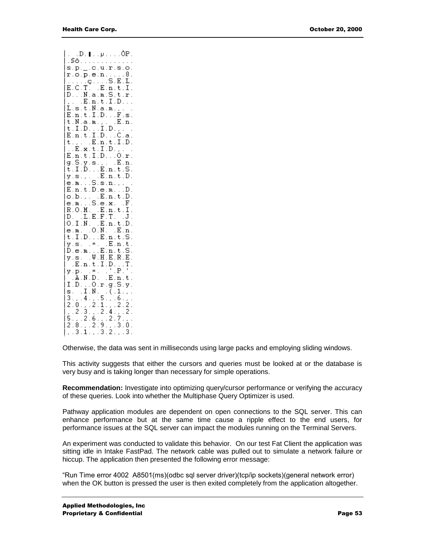| . D . I<br>بر .<br>.<br>.sô. .                                                                                                                                                 | ΟP                                                                                                                                                                                                                      |
|--------------------------------------------------------------------------------------------------------------------------------------------------------------------------------|-------------------------------------------------------------------------------------------------------------------------------------------------------------------------------------------------------------------------|
| $\left[\begin{smallmatrix} 1 & 1 \\ 0 & 1 \end{smallmatrix}\right]$                                                                                                            | $\circ$<br>s                                                                                                                                                                                                            |
|                                                                                                                                                                                | 8<br>$\cdot$                                                                                                                                                                                                            |
|                                                                                                                                                                                | E<br>.cS.E.L<br>T. .E.n.t.I<br>M.a.m.S.t.r                                                                                                                                                                              |
| Ε<br>D<br>$\ddot{\phantom{a}}$ .                                                                                                                                               |                                                                                                                                                                                                                         |
|                                                                                                                                                                                |                                                                                                                                                                                                                         |
|                                                                                                                                                                                |                                                                                                                                                                                                                         |
|                                                                                                                                                                                |                                                                                                                                                                                                                         |
|                                                                                                                                                                                | D. . N. a.m. S. t.r.<br>L. s. t. N. a.m.<br>L. s. t. N. a.m.<br>E. n. t. I. D. F. s.<br>t. N. a.m. E. n.<br>t. I. D. C. a.<br>t. E. x. t. I. D. E. n. t. I. D. 0. r.<br>E. n. t. I. D. 0. r.<br>g.                      |
|                                                                                                                                                                                |                                                                                                                                                                                                                         |
|                                                                                                                                                                                |                                                                                                                                                                                                                         |
|                                                                                                                                                                                |                                                                                                                                                                                                                         |
|                                                                                                                                                                                |                                                                                                                                                                                                                         |
|                                                                                                                                                                                |                                                                                                                                                                                                                         |
|                                                                                                                                                                                |                                                                                                                                                                                                                         |
|                                                                                                                                                                                | E.n.t.I.DC.r<br>g.S.y.s., E.n.t.S<br>y.s., E.n.t.D<br>y.s., E.n.t.D<br>e.mS.s.n., D<br>e.mS.s.n., D<br>c.mS.e.x.F<br>R.O.ME.F.T.J<br>D.I.NE.F.T.J<br>D.I.NE.F.T.J<br>t.I.DE.n.t.S<br>y.s=E.n.t.S<br>y.sW.H.E.R.E<br>y.s |
|                                                                                                                                                                                |                                                                                                                                                                                                                         |
|                                                                                                                                                                                |                                                                                                                                                                                                                         |
|                                                                                                                                                                                | $\begin{array}{c} \mathbf{1} \\ \mathbf{1} \\ \mathbf{1} \\ \mathbf{1} \end{array}$                                                                                                                                     |
|                                                                                                                                                                                |                                                                                                                                                                                                                         |
|                                                                                                                                                                                |                                                                                                                                                                                                                         |
|                                                                                                                                                                                |                                                                                                                                                                                                                         |
|                                                                                                                                                                                |                                                                                                                                                                                                                         |
|                                                                                                                                                                                |                                                                                                                                                                                                                         |
|                                                                                                                                                                                | E<br>T<br>'                                                                                                                                                                                                             |
|                                                                                                                                                                                | t                                                                                                                                                                                                                       |
|                                                                                                                                                                                | y                                                                                                                                                                                                                       |
| y.s. .W.H.E.R.<br>  .E.n.t.I.D<br>  y.p. .=. .' .P.<br>  .A.N.D. .E.n.<br>  I.DO.r.g.S.<br>  s. .I.N. .(.1.<br>  3456.<br>  2.02.12.<br>  2.32.4<br>  52.62.7.<br>  2.82.62.7. | $\frac{1}{2}$ $\frac{2}{0}$ $\frac{2}{3}$                                                                                                                                                                               |
|                                                                                                                                                                                |                                                                                                                                                                                                                         |
|                                                                                                                                                                                |                                                                                                                                                                                                                         |
|                                                                                                                                                                                |                                                                                                                                                                                                                         |
|                                                                                                                                                                                |                                                                                                                                                                                                                         |

Otherwise, the data was sent in milliseconds using large packs and employing sliding windows.

This activity suggests that either the cursors and queries must be looked at or the database is very busy and is taking longer than necessary for simple operations.

**Recommendation:** Investigate into optimizing query/cursor performance or verifying the accuracy of these queries. Look into whether the Multiphase Query Optimizer is used.

Pathway application modules are dependent on open connections to the SQL server. This can enhance performance but at the same time cause a ripple effect to the end users, for performance issues at the SQL server can impact the modules running on the Terminal Servers.

An experiment was conducted to validate this behavior. On our test Fat Client the application was sitting idle in Intake FastPad. The network cable was pulled out to simulate a network failure or hiccup. The application then presented the following error message:

"Run Time error 4002 A8501(ms)(odbc sql server driver)(tcp/ip sockets)(general network error) when the OK button is pressed the user is then exited completely from the application altogether.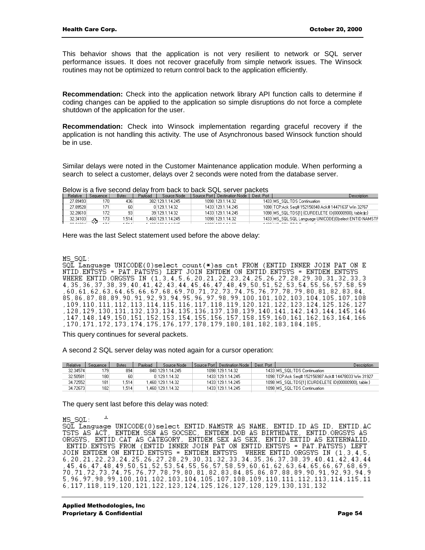This behavior shows that the application is not very resilient to network or SQL server performance issues. It does not recover gracefully from simple network issues. The Winsock routines may not be optimized to return control back to the application efficiently.

**Recommendation:** Check into the application network library API function calls to determine if coding changes can be applied to the application so simple disruptions do not force a complete shutdown of the application for the user.

**Recommendation:** Check into Winsock implementation regarding graceful recovery if the application is not handling this activity. The use of Asynchronous based Winsock function should be in use.

Similar delays were noted in the Customer Maintenance application module. When performing a search to select a customer, delays over 2 seconds were noted from the database server.

|  | Below is a five second delay from back to back SQL server packets |  |
|--|-------------------------------------------------------------------|--|
|--|-------------------------------------------------------------------|--|

| Relative        | Sequence             | <b>Butes</b> | Pavload | Source Node        | I Source Port I Destination Node | Dest. Port | Description                                            |
|-----------------|----------------------|--------------|---------|--------------------|----------------------------------|------------|--------------------------------------------------------|
| 27.89493        | 170                  | 436          |         | 382 129 1.14 245   | 1098 129 1 14:32                 |            | 1433 MS SQL:TDS Continuation                           |
| 27.89528        | 171                  | 60           |         | 0 129 1 14 32      | 1433 129 1 14 245                |            | 1098 TCP:Ack Seq# 152156948 Ack# 14471637 Win 32767    |
| 32.28610        | 172                  | 93           |         | 39 129 1 14 32     | 1433 129.1.14.245                |            | 1098 MS SQL:TDS[1] {CURDELETE ID(00000900), table: [c} |
| 32.34103        | 173                  | .514         |         | 1.460 129.1.14.245 | 1098 129 1 14:32                 |            | 1433 MS SQL:SQL Language UNICODE(0)select ENTID.NAMSTF |
| $- - - - - - -$ | $\sim$ $\sim$ $\sim$ | .            |         | .                  | .                                |            |                                                        |

Here was the last Select statement used before the above delay:

MS SOL:

SQL Language UNICODE(0)select count(\*)as cnt FROM (ENTID INNER JOIN PAT ON E SQL Language UNICODE(U)Select Count(\*)as Cht FROM (ENIID INNER JOIN FAI ON E<br>NTID.ENTSYS = PAT.PATSYS) LEFT JOIN ENTDEM ON ENTID.ENTSYS = ENTDEM.ENTSYS<br>WHERE ENTID.ORGSYS IN (1.3.4.5.6.20.21.22.23.24.25.26.27.28.29.30.31.3 147, 148, 149, 150, 151, 152, 153, 154, 155, 156, 157, 158, 159, 160, 161, 162, 163, 164, 166 , 170, 171, 172, 173, 174, 175, 176, 177, 178, 179, 180, 181, 182, 183, 184, 185,

This query continues for several packets.

A second 2 SQL server delay was noted again for a cursor operation:

| <b>Relative</b> | Sequence | <b>Butes</b> | Pavload | Source Node       | Source Port   Destination Node | Dest. Port 1 | <b>Description</b>                                  |
|-----------------|----------|--------------|---------|-------------------|--------------------------------|--------------|-----------------------------------------------------|
| 32.34574        | 1791     | 894          |         | 840 129 1.14 245  | 1098 129 1.14.32               |              | 1433 MS SQL:TDS Continuation                        |
| 32.50581        | 1801     | 60           |         | 0 129 1 14 32     | 1433 129 1 14 245              |              | 1098 TCP:Ack Seq# 152156987 Ack# 14478033 Win 31927 |
| 34.72552        | 181      | .514         |         | 1.460 129.1.14.32 | 1433 129.1.14.245              |              | 1098 MS SQL:TDS[1] {CURDELETE ID(00000900), table:} |
| 34.72673        | 182      | .514         |         | 1.460 129.1.14.32 | 1433 129 1 14 245              |              | 1098 MS SQL:TDS Continuation                        |

The query sent last before this delay was noted:

MS SQL:

SQL Language UNICODE(0)select ENTID.NAMSTR AS NAME, ENTID.ID AS ID, ENTID.AC TSTS AS ACT, ENTDEM. SSN AS SOCSEC, ENTDEM. DOB AS BIRTHDATE, ENTID. ORGSYS AS ORGSYS, ENTID. CAT AS CATEGORY, ENTDEM. SEX AS SEX, ENTID. EXTID. ORGSYS AS ORGSYS, ENTID. CAT AS CATEGORY, ENTDEM. SEX AS SEX, ENTID. EXTID AS JOIN ENTDEM ON ENTID.ENTSYS = ENTDEM.ENTSYS WHERE ENTID.ORGSYS IN (1,3,4,5,6,20,21,22,23,24,25,26,27,28,29,30,31,32,33,34,35,36,37,38,39,40,41,42,43,44<br>6,20,21,22,23,24,25,26,27,28,29,30,31,32,33,34,35,36,37,38,39,40,41,42 5, 96, 97, 98, 99, 100, 101, 102, 103, 104, 105, 107, 108, 109, 110, 111, 112, 113, 114, 115, 11 6, 117, 118, 119, 120, 121, 122, 123, 124, 125, 126, 127, 128, 129, 130, 131, 132

工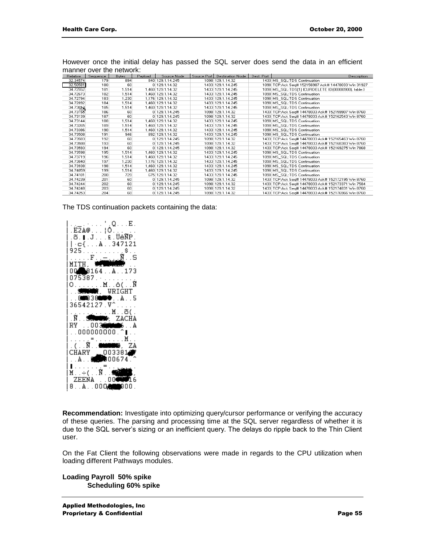|                 | manner over the network. |              |         |                   |  |                                |            |                                                     |  |  |  |  |
|-----------------|--------------------------|--------------|---------|-------------------|--|--------------------------------|------------|-----------------------------------------------------|--|--|--|--|
| <b>Relative</b> | Sequence                 | <b>Butes</b> | Pavload | Source Node       |  | Source Port   Destination Node | Dest, Port | Description                                         |  |  |  |  |
| 32.34574        | 179                      | 894          |         | 840 129.1.14.245  |  | 1098 129.1.14.32               |            | 1433 MS SQL:TDS Continuation                        |  |  |  |  |
| 32.50581        | 180                      | 60           |         | 0 129 1.14 32     |  | 1433 129.1.14.245              |            | 1098 TCP:Ack Seg# 152156987 Ack# 14478033 Win 31927 |  |  |  |  |
| 34.72552        | 181                      | 1.514        |         | 1,460 129.1.14.32 |  | 1433 129.1.14.245              |            | 1098 MS_SQL:TDS[1] {CURDELETE ID(00000900), table:} |  |  |  |  |
| 34.72673        | 182                      | 1.514        |         | 1.460 129.1.14.32 |  | 1433 129.1.14.245              |            | 1098 MS SQL:TDS Continuation                        |  |  |  |  |
| 34.72794        | 183                      | 1.230        |         | 1.176 129.1.14.32 |  | 1433 129.1.14.245              |            | 1098 MS_SQL:TDS Continuation                        |  |  |  |  |
| 34.72892        | 184                      | 1,514        |         | 1.460 129.1.14.32 |  | 1433 129.1.14.245              |            | 1098 MS SQL:TDS Continuation                        |  |  |  |  |
| 34.73012        | 185                      | 1,514        |         | 1,460 129.1.14.32 |  | 1433 129.1.14.245              |            | 1098 MS_SQL:TDS Continuation                        |  |  |  |  |
| 34.73195        | 186                      | 60           |         | 0 129 1.14 245    |  | 1098 129.1.14.32               |            | 1433 TCP:Ack Seq# 14478033 Ack# 152159907 Win 8760  |  |  |  |  |
| 34.73139        | 187                      | 60           |         | 0 129.1.14.245    |  | 1098 129.1.14.32               |            | 1433 TCP:Ack Seg# 14478033 Ack# 152162543 Win 8760  |  |  |  |  |
| 34.73144        | 188                      | 1,514        |         | 1,460 129.1.14.32 |  | 1433 129.1.14.245              |            | 1098 MS_SQL:TDS Continuation                        |  |  |  |  |
| 34.73265        | 189                      | 1.514        |         | 1,460 129.1.14.32 |  | 1433 129.1.14.245              |            | 1098 MS_SQL:TDS Continuation                        |  |  |  |  |
| 34.73386        | 190                      | 1,514        |         | 1.460 129.1.14.32 |  | 1433 129.1.14.245              |            | 1098 MS SQL:TDS Continuation                        |  |  |  |  |
| 34.73508        | 191                      | 946          |         | 892 129.1.14.32   |  | 1433 129.1.14.245              |            | 1098 MS SQL:TDS Continuation                        |  |  |  |  |
| 34.73583        | 192                      | 60           |         | 0 129 1.14 245    |  | 1098 129.1.14.32               |            | 1433 TCP:Ack Seq# 14478033 Ack# 152165463 Win 8760  |  |  |  |  |
| 34.73588        | 193                      | 60           |         | 0 129.1.14.245    |  | 1098 129.1.14.32               |            | 1433 TCP:Ack Seq# 14478033 Ack# 152168383 Win 8760  |  |  |  |  |
| 34.73593        | 194                      | 60           |         | 0 129.1.14.245    |  | 1098 129.1.14.32               |            | 1433 TCP:Ack Seq# 14478033 Ack# 152169275 Win 7868  |  |  |  |  |
| 34.73598        | 195                      | 1,514        |         | 1.460 129.1.14.32 |  | 1433 129.1.14.245              |            | 1098 MS_SQL:TDS Continuation                        |  |  |  |  |
| 34.73719        | 196                      | 1,514        |         | 1,460 129.1.14.32 |  | 1433 129.1.14.245              |            | 1098 MS_SQL:TDS Continuation                        |  |  |  |  |
| 34.73840        | 197                      | 1.230        |         | 1.176 129.1.14.32 |  | 1433 129.1.14.245              |            | 1098 MS_SQL:TDS Continuation                        |  |  |  |  |
| 34.73938        | 198                      | 1.514        |         | 1.460 129.1.14.32 |  | 1433 129.1.14.245              |            | 1098 MS SQL:TDS Continuation                        |  |  |  |  |
| 34.74059        | 199                      | 1,514        |         | 1,460 129.1.14.32 |  | 1433 129.1.14.245              |            | 1098 MS_SQL:TDS Continuation                        |  |  |  |  |
| 34.74181        | 200                      | 729          |         | 675 129.1.14.32   |  | 1433 129.1.14.245              |            | 1098 MS_SQL:TDS Continuation                        |  |  |  |  |
| 34.74239        | 201                      | 60           |         | 0 129 1.14 245    |  | 1098 129.1.14.32               |            | 1433 TCP:Ack Sea# 14478033 Ack# 152172195 Win 8760  |  |  |  |  |
| 34.74244        | 202                      | 60           |         | 0 129.1.14.245    |  | 1098 129.1.14.32               |            | 1433 TCP:Ack Seg# 14478033 Ack# 152173371 Win 7584  |  |  |  |  |
| 34.74248        | 203                      | 60           |         | 0 129 1.14 245    |  | 1098 129.1.14.32               |            | 1433 TCP:Ack Seg# 14478033 Ack# 152174831 Win 8760  |  |  |  |  |
| 34.74253        | 204                      | 60           |         | 0 129 1.14 245    |  | 1098 129.1.14.32               |            | 1433 TCP:Ack Seq# 14478033 Ack# 152176966 Win 8760  |  |  |  |  |

However once the initial delay has passed the SQL server does send the data in an efficient manner over the network:

The TDS continuation packets containing the data:



**Recommendation:** Investigate into optimizing query/cursor performance or verifying the accuracy of these queries. The parsing and processing time at the SQL server regardless of whether it is due to the SQL server's sizing or an inefficient query. The delays do ripple back to the Thin Client user.

On the Fat Client the following observations were made in regards to the CPU utilization when loading different Pathways modules.

**Loading Payroll 50% spike Scheduling 60% spike**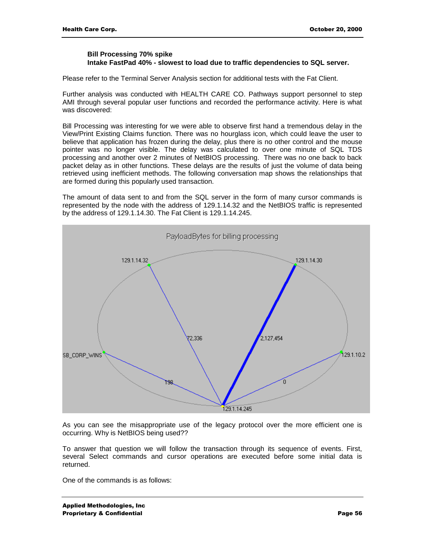#### **Bill Processing 70% spike Intake FastPad 40% - slowest to load due to traffic dependencies to SQL server.**

Please refer to the Terminal Server Analysis section for additional tests with the Fat Client.

Further analysis was conducted with HEALTH CARE CO. Pathways support personnel to step AMI through several popular user functions and recorded the performance activity. Here is what was discovered:

Bill Processing was interesting for we were able to observe first hand a tremendous delay in the View/Print Existing Claims function. There was no hourglass icon, which could leave the user to believe that application has frozen during the delay, plus there is no other control and the mouse pointer was no longer visible. The delay was calculated to over one minute of SQL TDS processing and another over 2 minutes of NetBIOS processing. There was no one back to back packet delay as in other functions. These delays are the results of just the volume of data being retrieved using inefficient methods. The following conversation map shows the relationships that are formed during this popularly used transaction.

The amount of data sent to and from the SQL server in the form of many cursor commands is represented by the node with the address of 129.1.14.32 and the NetBIOS traffic is represented by the address of 129.1.14.30. The Fat Client is 129.1.14.245.



As you can see the misappropriate use of the legacy protocol over the more efficient one is occurring. Why is NetBIOS being used??

To answer that question we will follow the transaction through its sequence of events. First, several Select commands and cursor operations are executed before some initial data is returned.

One of the commands is as follows: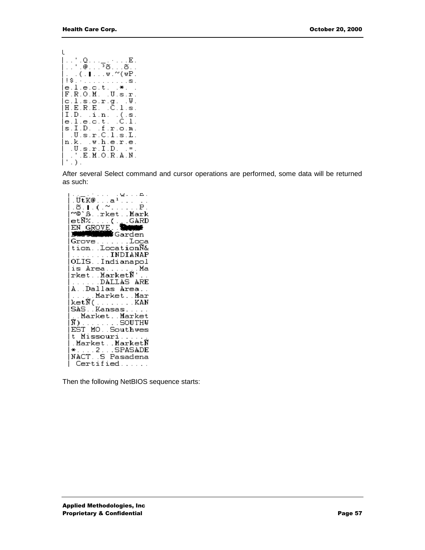| $\begin{bmatrix} \ldots & 0 & \ldots & \ldots & E \\ \ldots & 0 & \ldots & 0 & \ldots & 0 \\ \ldots & 0 & \ldots & 0 & \ldots & 0 \\ \ldots & 0 & \ldots & \ldots & \ldots & 0 \end{bmatrix}$ |
|-----------------------------------------------------------------------------------------------------------------------------------------------------------------------------------------------|
|                                                                                                                                                                                               |
|                                                                                                                                                                                               |
| \$ . + s.                                                                                                                                                                                     |
| $ \mathtt{e}.\mathtt{l}.\mathtt{e}.\mathtt{c}.\mathtt{t}$ . . $\ast$ . .                                                                                                                      |
| $\mathbf{F.R.O.M.}$ . $\mathbf{U.s.r.}$                                                                                                                                                       |
| $ \texttt{c.l.s.o.r.g.} \,$ .                                                                                                                                                                 |
| H.E.R.E. .C.1.s.                                                                                                                                                                              |
| $ I.D.$ $\ldots$ $i.n.$ $\ldots$ ( $\ldots$ $\mathbf{s}.$                                                                                                                                     |
| le.1.e.c.t. .C.1.                                                                                                                                                                             |
| s.I.D. .f.r.o.m.                                                                                                                                                                              |
| $\vert$ .U.s.r.C.l.s.L.                                                                                                                                                                       |
| In.k. .w.h.e.r.e.                                                                                                                                                                             |
| .U.s.r.I.D. .=.                                                                                                                                                                               |
| $\ldots$ $E.M.O.R.A.N.$                                                                                                                                                                       |
| . ( . '                                                                                                                                                                                       |

After several Select command and cursor operations are performed, some data will be returned as such:

| . $\vec{U}\vec{t}$ K@a <sup>1</sup>                                  |
|----------------------------------------------------------------------|
| $\mathfrak{S}.\mathsf{L}.\mathsf{C} \cong \ldots \oplus \mathsf{P}.$ |
| ~©`ß. rket. Mark                                                     |
|                                                                      |
|                                                                      |
| etN%( GARD<br>EN GROVE. Sarden                                       |
| GroveIo <u>c</u> a                                                   |
| tionLocationN&                                                       |
| <b>INDIANAP</b>                                                      |
| OLIS. Indianapol                                                     |
| is AreaMa                                                            |
| rketMarketÑ'                                                         |
| DALLAS ARE                                                           |
| A. Dallas Area                                                       |
|                                                                      |
| MarketMar<br>ketN(KAN                                                |
| SAS. Kansas                                                          |
| .MarketMarket                                                        |
|                                                                      |
| N)SOUTHW<br>EST MOSouthwes                                           |
| t Missouri                                                           |
| .MarketMarketÑ                                                       |
| $*$ 2SPASADE                                                         |
| NACT. S Pasadena                                                     |
| Certified                                                            |
|                                                                      |

Then the following NetBIOS sequence starts: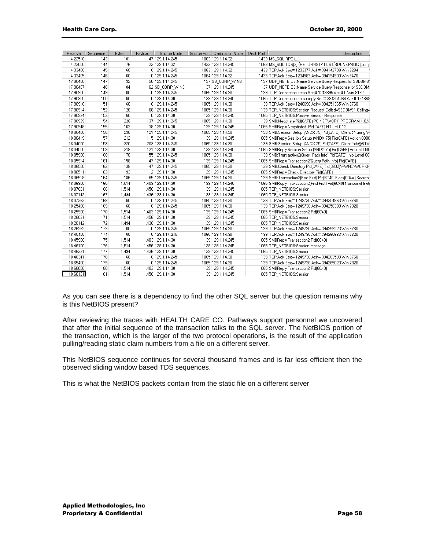| Relative | Sequence | <b>Bytes</b> | Payload | Source Node       | Source Port   Destination Node | Dest. Port | Description                                                      |
|----------|----------|--------------|---------|-------------------|--------------------------------|------------|------------------------------------------------------------------|
| 4.22510  | 143      | 101          |         | 47 129.1.14.245   | 1063 129.1.14.32               |            | 1433 MS_SQL:RPC ()                                               |
| 4.23000  | 144      | 76           |         | 22 129 1.14 32    | 1433 129.1.14.245              |            | 1063 MS SQL:TDS[2] {RETURNSTATUS 0}{DONEPROC (Comp               |
| 4.33400  | 145      | 60           |         | 0 129 1.14 245    | 1063 129.1.14.32               |            | 1433 TCP:Ack Sea# 1233377 Ack# 394142709 Win 8284                |
| 4.33405  | 146      | 60           |         | 0 129.1.14.245    | 1064 129.1.14.32               |            | 1433 TCP:Ack Seq# 1234583 Ack# 394194900 Win 8470                |
| 17.90400 | 147      | 92           |         | 50 129.1.14.245   | 137 SB_CORP_WINS               |            | 137 UDP NETBIOS:Name Service Query Request for SBDBMS'           |
| 17.90407 | 148      | 104          |         | 62 SB CORP WINS   | 137 129.1.14.245               |            | 137 UDP NETBIOS:Name Service Query Response for SBDBM            |
| 17.90900 | 149      | 60           |         | 0 129 1.14 245    | 1065 129.1.14.30               |            | 139 TCP:Connection setup Seq# 1248695 Ack# 0 Win 8192            |
| 17.90905 | 150      | 60           |         | 0 129 1.14 30     | 139 129 1.14 245               |            | 1065 TCP:Connection setup reply Seq# 394251364 Ack# 124869       |
| 17.90910 | 151      | 60           |         | 0 129.1.14.245    | 1065 129.1.14.30               |            | 139 TCP:Ack Seq# 1248696 Ack# 394251365 Win 8760                 |
| 17.90914 | 152      | 126          |         | 68 129.1.14.245   | 1065 129.1.14.30               |            | 139 TCP NETBIOS:Session Request Called=SBDBMS1 Calling=          |
| 17.90924 | 153      | 60           |         | 0 129.1.14.30     | 139 129.1.14.245               |            | 1065 TCP NETBIOS: Positive Session Response                      |
| 17.90929 | 154      | 228          |         | 137 129.1.14.245  | 1065 129.1.14.30               |            | 139 SMB:Negotiate Pid(CAFE) PC NETWORK PROGRAM 1.0%              |
| 17.90948 | 155      | 163          |         | 38 129.1.14.30    | 139 129.1.14.245               |            | 1065 SMBReply:Negotiated Pid(CAFE) NT LM 0.12                    |
| 18,00400 | 156      | 238          |         | 121 129 1.14 245  | 1065 129.1.14.30               |            | 139 SMB:Session Setup (ANDX 75) Pid(CAFE) Client @ using W       |
| 18,00419 | 157      | 212          |         | 115 129.1.14.30   | 139 129 1.14 245               |            | 1065 SMBReply:Session Setup (ANDX 75) Pid(CAFE) Action 0000      |
| 18,04000 | 158      | 320          |         | 203 129.1.14.245  | 1065 129.1.14.30               |            | 139 SMB: Session Setup (ANDX 75) Pid(CAFE) Client farb@STA       |
| 18.04500 | 159      | 218          |         | 121 129.1.14.30   | 139 129.1.14.245               |            | 1065 SMBReply:Session Setup (ANDX 75) Pid(CAFE) Action 0000      |
| 18.05900 | 160      | 176          |         | 55 129.1.14.245   | 1065 129.1.14.30               |            | 139 SMB: Transaction2(Query Path Info) Pid(CAFE) Info Level 00   |
| 18.05914 | 161      | 158          |         | 47 129.1.14.30    | 139 129.1.14.245               |            | 1065 SMBReply: Transaction2(Query Path Info) Pid(CAFE)           |
| 18,06500 | 162      | 138          |         | 47 129.1.14.245   | 1065 129.1.14.30               |            | 139 SMB:Check Directory Pid(CAFE) Tid(0802)\PWHC\WORKF           |
| 18.06511 | 163      | 93           |         | 2 129 1.14 30     | 139 129.1.14.245               |            | 1065 SMBReply: Check Directory Pid(CAFE)                         |
| 18,06518 | 164      | 186          |         | 65 129 1.14 245   | 1065 129.1.14.30               |            | 139 SMB: Transaction2(Find First) Pid(6C40) Flags(00AA) Searchi  |
| 18,06900 | 165      | 1,514        |         | 1,403 129.1.14.30 | 139 129 1.14 245               |            | 1065 SMBReply: Transaction2(Find First) Pid(6C40) Number of Enti |
| 18.07021 | 166      | 1,514        |         | 1,456 129.1.14.30 | 139 129.1.14.245               |            | 1065 TCP NETBIOS:Session                                         |
| 18.07142 | 167      | 1,494        |         | 1,436 129.1.14.30 | 139 129.1.14.245               |            | 1065 TCP NETBIOS:Session                                         |
| 18.07262 | 168      | 60           |         | 0 129.1.14.245    | 1065 129.1.14.30               |            | 139 TCP:Ack Seq# 1249730 Ack# 394254863 Win 8760                 |
| 18.25400 | 169      | 60           |         | 0 129.1.14.245    | 1065 129.1.14.30               |            | 139 TCP:Ack Seq# 1249730 Ack# 394256303 Win 7320                 |
| 18.25900 | 170      | 1,514        |         | 1,403 129.1.14.30 | 139 129.1.14.245               |            | 1065 SMBReply: Transaction2 Pid(6C40)                            |
| 18.26021 | 171      | 1,514        |         | 1,456 129.1.14.30 | 139 129.1.14.245               |            | 1065 TCP NETBIOS:Session                                         |
| 18.26142 | 172      | 1,494        |         | 1,436 129.1.14.30 | 139 129.1.14.245               |            | 1065 TCP NETBIOS:Session                                         |
| 18.26262 | 173      | 60           |         | 0 129.1.14.245    | 1065 129.1.14.30               |            | 139 TCP:Ack Seq# 1249730 Ack# 394259223 Win 8760                 |
| 18.45400 | 174      | 60           |         | 0 129.1.14.245    | 1065 129.1.14.30               |            | 139 TCP:Ack Seq# 1249730 Ack# 394260663 Win 7320                 |
| 18.45900 | 175      | 1,514        |         | 1,403 129.1.14.30 | 139 129.1.14.245               |            | 1065 SMBReply: Transaction2 Pid(6C40)                            |
| 18,46100 | 176      | 1,514        |         | 1,456 129.1.14.30 | 139 129.1.14.245               |            | 1065 TCP NETBIOS:Session Message                                 |
| 18.46221 | 177      | 1,494        |         | 1,436 129.1.14.30 | 139 129 1.14 245               |            | 1065 TCP NETBIOS:Session                                         |
| 18.46341 | 178      | 60           |         | 0 129 1.14 245    | 1065 129.1.14.30               |            | 139 TCP:Ack Seq# 1249730 Ack# 394263583 Win 8760                 |
| 18.65400 | 179      | 60           |         | 0 129.1.14.245    | 1065 129.1.14.30               |            | 139 TCP:Ack Seg# 1249730 Ack# 394265023 Win 7320                 |
| 18.66000 | 180      | 1,514        |         | 1,403 129.1.14.30 | 139 129.1.14.245               |            | 1065 SMBReply: Transaction2 Pid(6C40)                            |
| 18.66121 | 181      | 1,514        |         | 1,456 129.1.14.30 | 139 129 1.14 245               |            | 1065 TCP NETBIOS:Session                                         |

As you can see there is a dependency to find the other SQL server but the question remains why is this NetBIOS present?

After reviewing the traces with HEALTH CARE CO. Pathways support personnel we uncovered that after the initial sequence of the transaction talks to the SQL server. The NetBIOS portion of the transaction, which is the larger of the two protocol operations, is the result of the application pulling/reading static claim numbers from a file on a different server.

This NetBIOS sequence continues for several thousand frames and is far less efficient then the observed sliding window based TDS sequences.

This is what the NetBIOS packets contain from the static file on a different server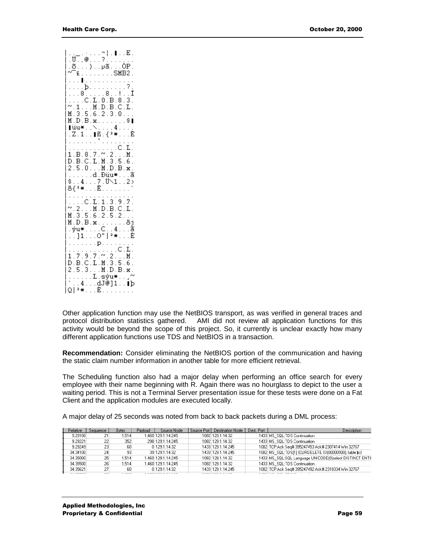| $[ \begin{array}{ll} 1, & 0, & 1, & 0, \\ 0, & 0, & 0, & 0, \\ 0, & 0, & 0, & 0, \\ \end{array} \bigr] \begin{array}{ll} \times & 0.5 & 0.5 \\ \times & 0.5 & 0.5 \\ \times & 0.5 & 0.5 \\ \times & 0.5 & 0.5 \\ \times & 0.5 & 0.5 \\ \times & 0.5 & 0.5 \\ \times & 0.5 & 0.5 \\ \end{array} \bigr] \begin{array}{ll} \times & 0.5 & 0.5 \\ \times & 0.5 & 0.5 \\ \times & 0.5 & 0.5 \\ \times$ |
|---------------------------------------------------------------------------------------------------------------------------------------------------------------------------------------------------------------------------------------------------------------------------------------------------------------------------------------------------------------------------------------------------|
|                                                                                                                                                                                                                                                                                                                                                                                                   |
| İ                                                                                                                                                                                                                                                                                                                                                                                                 |
|                                                                                                                                                                                                                                                                                                                                                                                                   |
|                                                                                                                                                                                                                                                                                                                                                                                                   |
|                                                                                                                                                                                                                                                                                                                                                                                                   |
| $\frac{1}{2}$                                                                                                                                                                                                                                                                                                                                                                                     |
|                                                                                                                                                                                                                                                                                                                                                                                                   |
|                                                                                                                                                                                                                                                                                                                                                                                                   |
|                                                                                                                                                                                                                                                                                                                                                                                                   |
|                                                                                                                                                                                                                                                                                                                                                                                                   |
|                                                                                                                                                                                                                                                                                                                                                                                                   |
|                                                                                                                                                                                                                                                                                                                                                                                                   |
| $\frac{1}{2}$<br>$\frac{1}{2}$                                                                                                                                                                                                                                                                                                                                                                    |
|                                                                                                                                                                                                                                                                                                                                                                                                   |
| き<br>立                                                                                                                                                                                                                                                                                                                                                                                            |
|                                                                                                                                                                                                                                                                                                                                                                                                   |
|                                                                                                                                                                                                                                                                                                                                                                                                   |
| $\frac{1}{2}$<br>$\frac{1}{2}$<br>$\frac{1}{2}$ .                                                                                                                                                                                                                                                                                                                                                 |
|                                                                                                                                                                                                                                                                                                                                                                                                   |
|                                                                                                                                                                                                                                                                                                                                                                                                   |
|                                                                                                                                                                                                                                                                                                                                                                                                   |

Other application function may use the NetBIOS transport, as was verified in general traces and protocol distribution statistics gathered. AMI did not review all application functions for this activity would be beyond the scope of this project. So, it currently is unclear exactly how many different application functions use TDS and NetBIOS in a transaction.

**Recommendation:** Consider eliminating the NetBIOS portion of the communication and having the static claim number information in another table for more efficient retrieval.

The Scheduling function also had a major delay when performing an office search for every employee with their name beginning with R. Again there was no hourglass to depict to the user a waiting period. This is not a Terminal Server presentation issue for these tests were done on a Fat Client and the application modules are executed locally.

A major delay of 25 seconds was noted from back to back packets during a DML process:

| <b>Relative</b> | Sequence | <b>Butes</b> | Pavload | Source Node        | ∣Source Port∣ Destination Node ∣ | Dest, Port | <b>Description</b>                                                                                                                                                                                                                                                                                                                                                                   |
|-----------------|----------|--------------|---------|--------------------|----------------------------------|------------|--------------------------------------------------------------------------------------------------------------------------------------------------------------------------------------------------------------------------------------------------------------------------------------------------------------------------------------------------------------------------------------|
| 9.29100         | 21       | .514         |         | 1.460 129.1.14.245 | 1082 129.1.14.32                 |            | 1433 MS SQL:TDS Continuation                                                                                                                                                                                                                                                                                                                                                         |
| 9.29221         | 22       | 352          |         | 298 129 1.14 245   | 1082 129.1.14.32                 |            | 1433 MS SQL:TDS Continuation                                                                                                                                                                                                                                                                                                                                                         |
| 9.29249         | 23       | 60           |         | 0 129 1 14 32      | 1433 129.1.14.245                |            | 1082 TCP:Ack Sea# 395247453 Ack# 2307414 Win 32767                                                                                                                                                                                                                                                                                                                                   |
| 34.34100        | 24       | 93           |         | 39 129 1.14.32     | 1433 129.1.14.245                |            | 1082 MS SQL:TDSf11 (CURDELETE ID(00000900), table:jc}                                                                                                                                                                                                                                                                                                                                |
| 34,35000        | 25       | .514         |         | 1.460 129.1.14.245 | 1082 129.1.14.32                 |            | 1433 MS SQL:SQL Language UNICODE(0)select DISTINCT ENTIL                                                                                                                                                                                                                                                                                                                             |
| 34.35500        | 26       | .514         |         | 1.460 129.1.14.245 | 1082 129.1.14.32                 |            | 1433 MS SQL:TDS Continuation                                                                                                                                                                                                                                                                                                                                                         |
| 34.35621        | 27       | 60           |         | 0 129 1 14 32      | 1433 129.1.14.245                |            | 1082 TCP:Ack Sea# 395247492 Ack# 2310334 Win 32767                                                                                                                                                                                                                                                                                                                                   |
| of company      | CO.      | a coo        |         | .                  | ************                     |            | $\overline{a}$ $\overline{a}$ $\overline{b}$ $\overline{b}$ $\overline{c}$ $\overline{a}$ $\overline{c}$ $\overline{c}$ $\overline{c}$ $\overline{c}$ $\overline{c}$ $\overline{c}$ $\overline{c}$ $\overline{c}$ $\overline{c}$ $\overline{c}$ $\overline{c}$ $\overline{c}$ $\overline{c}$ $\overline{c}$ $\overline{c}$ $\overline{c}$ $\overline{c}$ $\overline{c}$ $\overline{$ |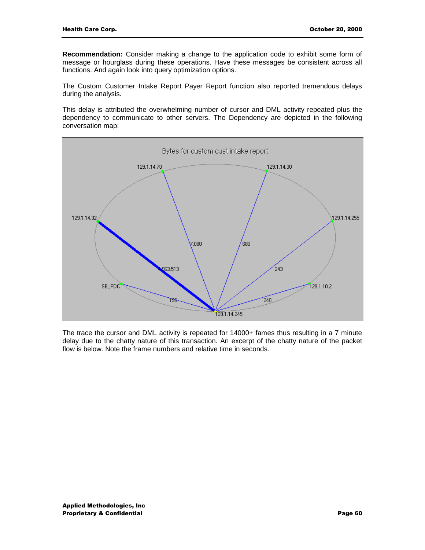**Recommendation:** Consider making a change to the application code to exhibit some form of message or hourglass during these operations. Have these messages be consistent across all functions. And again look into query optimization options.

The Custom Customer Intake Report Payer Report function also reported tremendous delays during the analysis.

This delay is attributed the overwhelming number of cursor and DML activity repeated plus the dependency to communicate to other servers. The Dependency are depicted in the following conversation map:



The trace the cursor and DML activity is repeated for 14000+ fames thus resulting in a 7 minute delay due to the chatty nature of this transaction. An excerpt of the chatty nature of the packet flow is below. Note the frame numbers and relative time in seconds.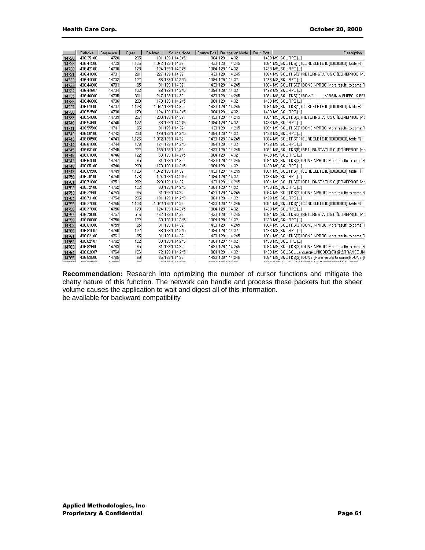|         | Relative         | Sequence     | Bytes         | Pavload | Source Node       | Source Port   Destination Node | Dest, Port | Description                                                                                                     |
|---------|------------------|--------------|---------------|---------|-------------------|--------------------------------|------------|-----------------------------------------------------------------------------------------------------------------|
| 14728   | 436.35100        | 14728        | 235           |         | 181 129.1.14.245  | 1084 129.1.14.32               |            | 1433 MS SQL:RPC ()                                                                                              |
| 14729   | 436.41500        | 14729        | 1,126         |         | 1,072 129.1.14.32 | 1433 129.1.14.245              |            | 1084 MS SQL:TDS[1] (CURDELETE ID(00000800), table:P}                                                            |
| 14730   | 436.42100        | 14730        | 178           |         | 124 129 1.14 245  | 1084 129.1.14.32               |            | 1433 MS SQL:RPC ()                                                                                              |
| 14731   | 436.43000        | 14731        | 281           |         | 227 129.1.14.32   | 1433 129.1.14.245              |            | 1084 MS_SQL:TDS[3] {RETURNSTATUS 0}{DONEPROC (Mc                                                                |
| 14732   | 436.44000        | 14732        | 122           |         | 68 129 1.14 245   | 1084 129.1.14.32               |            | 1433 MS SQL:RPC ()                                                                                              |
| 14733   | 436.44600        | 14733        | 85            |         | 31 129 1.14 32    | 1433 129.1.14.245              |            | 1084 MS_SQL:TDS[3] {DONEINPROC (More results to come,R                                                          |
| 14734   | 436.44607        | 14734        | 122           |         | 68 129.1.14.245   | 1084 129.1.14.32               |            | 1433 MS_SQL:RPC ()                                                                                              |
| 14735   | 436,46000        | 14735        | 301           |         | 247 129.1.14.32   | 1433 129.1.14.245              |            | 1084 MS_SQL:TDS[1] (ROW "VIRGINIA SUFFOLK PEF                                                                   |
| 14736   | 436.46600        | 14736        | 233           |         | 179 129 1.14 245  | 1084 129.1.14.32               |            | 1433 MS SQL:RPC []                                                                                              |
| 14737   | 436.51500        | 14737        | 1,126         |         | 1,072 129.1.14.32 | 1433 129.1.14.245              |            | 1084   MS_SQL:TDS[1] {CURDELETE ID(00000800), table:P}                                                          |
| 14738   | 436.52500        | 14738        | 178           |         | 124 129 1.14 245  | 1084 129.1.14.32               |            | 1433 MS_SQL:RPC ()                                                                                              |
| 14739   | 436,54000        | 14739        | 257           |         | 203 129.1.14.32   | 1433 129.1.14.245              |            | 1084 MS SQL:TDS[3] {RETURNSTATUS 0}{DONEPROC (Mc                                                                |
| 14740   | 436,54600        | 14740        | 122           |         | 68 129 1.14 245   | 1084 129.1.14.32               |            | 1433 MS_SQL:RPC ()                                                                                              |
| 14741   | 436,55500        | 14741        | 85            |         | 31 129.1.14.32    | 1433 129.1.14.245              |            | 1084 MS_SQL:TDS[3] {DONEINPROC (More results to come,R                                                          |
| 14742   | 436.56100        | 14742        | 233           |         | 179 129 1.14 245  | 1084 129.1.14.32               |            | 1433 MS SQL:RPC ()                                                                                              |
| 14743   | 436,60500        | 14743        | 1,126         |         | 1.072 129.1.14.32 | 1433 129.1.14.245              |            | 1084 MS SQL:TDS[1] {CURDELETE ID(00000800), table:P}                                                            |
| 14744   | 436.61000        | 14744        | 178           |         | 124 129 1.14 245  | 1084 129.1.14.32               |            | 1433 MS_SQL:RPC ()                                                                                              |
| 14745   | 436.63100        | 14745        | 222           |         | 168 129.1.14.32   | 1433 129.1.14.245              |            | 1084 MS_SQL:TDS[5] (RETURNSTATUS 0){DONEPROC (Mc                                                                |
| 14746   | 436.63600        | 14746        | 122           |         | 68 129.1.14.245   | 1084 129.1.14.32               |            | 1433 MS SQL:RPC ()                                                                                              |
| 14747   | 436.64500        | 14747        | 85            |         | 31 129.1.14.32    | 1433 129.1.14.245              |            | 1084 MS_SQL:TDS[3] {DONEINPROC (More results to come,R                                                          |
| 14748   | 436.65100        | 14748        | 233           |         | 179 129 1.14 245  | 1084 129.1.14.32               |            | 1433 MS SQL:RPC ()                                                                                              |
| 14749   | 436.69500        | 14749        | 1,126         |         | 1.072 129.1.14.32 | 1433 129.1.14.245              |            | 1084 MS_SQL:TDS[1] {CURDELETE ID(00000800), table:P}                                                            |
| 14750   | 436,70100        | 14750        | 178           |         | 124 129 1.14 245  | 1084 129.1.14.32               |            | 1433 MS_SQL:RPC ()                                                                                              |
| 14751   | 436.71600        | 14751        | 282           |         | 228 129.1.14.32   | 1433 129.1.14.245              |            | 1084 MS_SQL:TDS[3] (RETURNSTATUS 0){DONEPROC (Mc                                                                |
| 14752   | 436.72100        | 14752        | 122           |         | 68 129.1.14.245   | 1084 129.1.14.32               |            | 1433 MS SQL:RPC ()                                                                                              |
| 14753   | 436.72600        | 14753        | 85            |         | 31 129 1.14 32    | 1433 129.1.14.245              |            | 1084 MS SQL:TDS[3] {DONEINPROC (More results to come,R                                                          |
| 14754   | 436.73100        | 14754        | 235           |         | 181 129.1.14.245  | 1084 129.1.14.32               |            | 1433 MS SQL:RPC ()                                                                                              |
| 14755   | 436.77000        | 14755        | 1,126         |         | 1,072 129.1.14.32 | 1433 129.1.14.245              |            | 1084 MS SQL:TDS[1] {CURDELETE ID(00000800), table:P}                                                            |
| 14756   | 436,77600        | 14756        | 178           |         | 124 129 1.14 245  | 1084 129.1.14.32               |            | 1433 MS SQL:RPC ()                                                                                              |
| 14757   | 436.79000        | 14757        | 516           |         | 462 129.1.14.32   | 1433 129.1.14.245              |            | 1084 MS_SQL:TDS[3] (RETURNSTATUS 0) {DONEPROC (Mc                                                               |
| 14758   | 436.80000        | 14758        | 122           |         | 68 129.1.14.245   | 1084 129.1.14.32               |            | 1433 MS SQL:RPC ()                                                                                              |
| 14759   | 436,81000        | 14759        | 85            |         | 31 129 1.14 32    | 1433 129.1.14.245              |            | 1084 MS_SQL:TDS[3] {DONEINPROC (More results to come,R                                                          |
| 14760   | 436.81007        | 14760        | 122           |         | 68 129.1.14.245   | 1084 129.1.14.32               |            | 1433 MS SQL:RPC ()                                                                                              |
| 14761   | 436.82100        | 14761        | 85            |         | 31 129.1.14.32    | 1433 129.1.14.245              |            | 1084 MS_SQL:TDS[3] {DONEINPROC (More results to come,R                                                          |
| 14762   | 436.82107        | 14762        | 122           |         | 68 129.1.14.245   | 1084 129.1.14.32               |            | 1433 MS SQL:RPC ()                                                                                              |
| 14763   | 436.82600        | 14763        | 85            |         | 31 129 1.14 32    | 1433 129.1.14.245              |            | 1084 MS SQL:TDS[3] {DONEINPROC (More results to come,R                                                          |
| 14764   | 436.82607        | 14764        | 126           |         | 72 129.1.14.245   | 1084 129.1.14.32               |            | 1433 MS_SQL:SQL Language UNICODE(0)if @@TRANCOUN                                                                |
| 14765   | 436.83500        | 14765        | 89            |         | 35 129 1.14.32    | 1433 129.1.14.245              |            | 1084 MS_SQL:TDS[3] {DONE (More results to come)}{DONE (I                                                        |
| 1.10000 | <b>Ann onton</b> | <b>ALANO</b> | $\sim$ $\sim$ |         | olanos as cost    | ************                   |            | a root work in a consideration of the operation of the constant of the constant of the constant of the constant |

**Recommendation:** Research into optimizing the number of cursor functions and mitigate the chatty nature of this function. The network can handle and process these packets but the sheer volume causes the application to wait and digest all of this information. be available for backward compatibility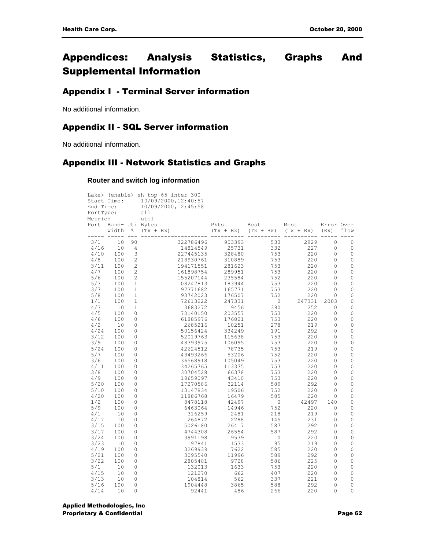# Appendices: Analysis Statistics, Graphs And Supplemental Information

# Appendix I - Terminal Server information

No additional information.

# Appendix II - SQL Server information

No additional information.

# Appendix III - Network Statistics and Graphs

**Router and switch log information**

| End Time:<br>PortType:<br>Metric: | Start Time:                   |                | Lake> (enable) sh top 65 inter 300<br>10/09/2000, 12:40:57<br>10/09/2000, 12:45:58<br>all<br>util |                     |                     |                     |                    |                        |
|-----------------------------------|-------------------------------|----------------|---------------------------------------------------------------------------------------------------|---------------------|---------------------|---------------------|--------------------|------------------------|
|                                   | Port Band- Uti Bytes<br>width | 옹              | $(Tx + Rx)$                                                                                       | Pkts<br>$(Tx + Rx)$ | Bcst<br>$(Tx + Rx)$ | Mcst<br>$(TX + Rx)$ | Error Over<br>(RX) | flow                   |
| 3/1                               | 10                            | 90             | 322786496                                                                                         | 903393              | 533                 | 2929                | $\Omega$           | $\Omega$               |
| 4/16                              | 10                            | $\overline{4}$ | 14814549                                                                                          | 25731               | 332                 | 227                 | $\circ$            | $\circ$                |
| 4/10                              | 100                           | 3              | 227445135                                                                                         | 328480              | 753                 | 220                 | $\Omega$           | $\Omega$               |
| 4/8                               | 100                           | 2              | 218930761                                                                                         | 310889              | 753                 | 220                 | $\circ$            | $\circ$                |
| 3/11                              | 100                           | $2^{\circ}$    | 194171551                                                                                         | 281623              | 753                 | 220                 | $\circ$            | 0                      |
| 4/7                               | 100                           | $\overline{2}$ | 161898754                                                                                         | 289951              | 753                 | 220                 | $\circ$            | $\mathbf 0$            |
| 5/6                               | 100                           | $\overline{2}$ | 155207144                                                                                         | 235584              | 752                 | 220                 | $\circ$            | $\mathbf 0$            |
| 5/3                               | 100                           | $\mathbf{1}$   | 108247813                                                                                         | 183944              | 753                 | 220                 | $\circ$            | $\mathbf{0}$           |
| 3/7                               | 100                           | $\mathbf{1}$   | 97371682                                                                                          | 165771              | 753                 | 220                 | 0                  | $\mathbf 0$            |
| 5/8                               | 100                           | $\mathbf{1}$   | 93742023                                                                                          | 176507              | 752                 | 220                 | $\circ$            | $\mathbf{0}$           |
| 1/1                               | 100                           | $\mathbf{1}$   | 72613222                                                                                          | 247331              | $\circ$             | 247331              | 2003               | $\mathbf 0$            |
| 4/3                               | 10                            | $\mathbf{1}$   | 3683272                                                                                           | 9456                | 390                 | 252                 | $\Omega$           | $\Omega$               |
| 4/5                               | 100                           | 0              | 70140150                                                                                          | 203557              | 753                 | 220                 | $\circ$            | $\mathbf 0$            |
| 4/6                               | 100                           | $\mathbf{0}$   | 61885976                                                                                          | 176821              | 753                 | 220                 | $\circ$            | $\mathbf 0$            |
| 4/2                               | 10                            | $\circ$        | 2685216                                                                                           | 10251               | 278                 | 219                 | $\circ$            | $\circ$                |
| 4/24                              | 100                           | $\mathbf{0}$   | 50156424                                                                                          | 334249              | 191                 | 292                 | $\circ$            | $\circ$                |
| 3/12                              | 100                           | $\Omega$       | 52019763                                                                                          | 115638              | 753                 | 220                 | $\circ$            | $\mathbf{0}$           |
| 3/9                               | 100                           | 0              | 48393975                                                                                          | 106095              | 753                 | 220                 | $\circ$            | $\mathbf 0$            |
| 5/24                              | 100                           | 0              | 42624512                                                                                          | 78735               | 753                 | 219                 | $\circ$            | $\mathbf{0}$           |
| 5/7                               | 100                           | 0              | 43493266                                                                                          | 53206               | 752                 | 220                 | $\circ$            | 0                      |
| 3/6                               | 100                           | $\Omega$       | 36568918                                                                                          | 105049              | 753                 | 220                 | $\circ$            | $\Omega$               |
| 4/11                              | 100                           | 0              | 34265765                                                                                          | 113375              | 753                 | 220                 | $\circ$            | $\mathbf 0$            |
| 3/8                               | 100                           | 0              | 30704528                                                                                          | 66378               | 753                 | 220                 | $\circ$<br>$\circ$ | $\circ$<br>$\mathbf 0$ |
| 4/9<br>5/20                       | 100                           | 0<br>0         | 18659097                                                                                          | 43410               | 753                 | 220                 | $\circ$            | $\mathbf 0$            |
| 5/10                              | 100<br>100                    | 0              | 17270586<br>13147834                                                                              | 32114<br>19506      | 589<br>752          | 292<br>220          | $\circ$            | $\mathbf{0}$           |
| 4/20                              | 100                           | 0              | 11886768                                                                                          | 16479               | 585                 | 220                 | 0                  | $\mathbf 0$            |
| 1/2                               | 100                           | 0              | 8478118                                                                                           | 42497               | 0                   | 42497               | 140                | $\circ$                |
| 5/9                               | 100                           | 0              | 6463064                                                                                           | 14946               | 752                 | 220                 | $\circ$            | $\mathbf{0}$           |
| 4/1                               | 10                            | $\Omega$       | 316259                                                                                            | 2481                | 218                 | 219                 | $\Omega$           | $\mathbf{0}$           |
| 4/17                              | 10                            | $\Omega$       | 264872                                                                                            | 2288                | 145                 | 231                 | $\circ$            | $\mathbf 0$            |
| 3/15                              | 100                           | $\mathbf{0}$   | 5026180                                                                                           | 26417               | 587                 | 292                 | $\circ$            | $\mathbf 0$            |
| 3/17                              | 100                           | 0              | 4744308                                                                                           | 26554               | 587                 | 292                 | $\circ$            | $\mathbf 0$            |
| 3/24                              | 100                           | 0              | 3991198                                                                                           | 9539                | $\circ$             | 220                 | 0                  | 0                      |
| 3/23                              | 10                            | 0              | 197841                                                                                            | 1533                | 95                  | 219                 | 0                  | 0                      |
| 4/19                              | 100                           | 0              | 3269939                                                                                           | 7622                | 585                 | 220                 | $\circ$            | $\mathbf 0$            |
| 5/21                              | 100                           | 0              | 3095540                                                                                           | 11996               | 589                 | 292                 | 0                  | $\circ$                |
| 3/22                              | 100                           | 0              | 2805401                                                                                           | 9728                | 586                 | 225                 | $\circ$            | $\mathbf 0$            |
| 5/1                               | 10                            | 0              | 132013                                                                                            | 1633                | 753                 | 220                 | 0                  | $\circ$                |
| 4/15                              | 10                            | $\circ$        | 121270                                                                                            | 662                 | 407                 | 220                 | $\circ$            | $\mathbf 0$            |
| 3/13                              | 10                            | $\circ$        | 104814                                                                                            | 562                 | 337                 | 221                 | $\circ$            | $\mathbf 0$            |
| 5/16                              | 100                           | $\circ$        | 1904448                                                                                           | 3865                | 588                 | 292                 | $\Omega$           | $\mathbf 0$            |
| 4/14                              | 10                            | 0              | 92441                                                                                             | 486                 | 266                 | 220                 | 0                  | $\mathbf 0$            |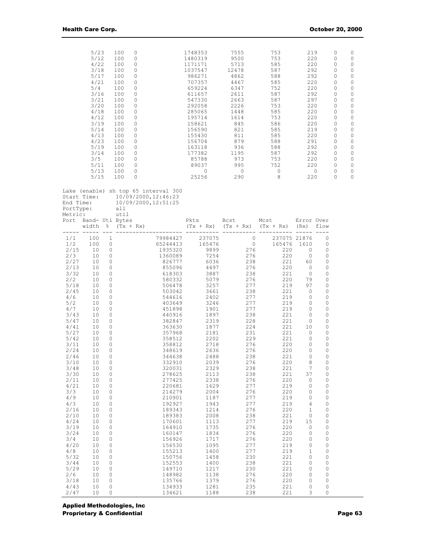|                                                                                                                                                                                                                                                                                                                                                 | 5/23<br>5/12<br>4/22<br>3/18<br>5/17<br>4/21<br>5/4<br>3/16<br>3/21<br>3/20<br>4/18<br>4/12<br>3/19<br>5/14<br>4/13<br>4/23<br>5/19<br>3/14<br>3/5<br>5/11<br>5/13<br>5/15                                                                                               |                                                                                                                                                                                                                                                                                      | 100<br>100<br>100<br>100<br>100<br>100<br>100<br>100<br>100<br>100<br>100<br>100<br>100<br>100<br>100<br>100<br>100<br>100<br>100<br>100<br>100<br>100 | 0<br>0<br>0<br>0<br>0<br>0<br>0<br>0<br>0<br>0<br>0<br>0<br>0<br>0<br>0<br>$\circ$<br>$\circ$<br>$\circ$<br>$\circ$<br>$\circ$<br>$\circ$<br>0 | Lake (enable) sh top 65 interval 300<br>Start Time: 10/09/2000,12:46:23                                                                                                                                                                                                                                                                                                                                                                                    | 1748353<br>1480319<br>1171171<br>1037547<br>986271<br>707357<br>659224<br>611657<br>547330<br>292058<br>285065<br>195714<br>158621<br>156590<br>155430<br>156704<br>163118<br>177382<br>85788<br>89037<br>0<br>25256                                                                                                                                             | 7555<br>9500<br>5713<br>12478<br>4862<br>4467<br>6347<br>2611<br>2663<br>2226<br>1448<br>1614<br>845<br>821<br>811<br>879<br>936<br>1195<br>973<br>995<br>$\overline{0}$<br>290                                                                                                                                                 | 753<br>753<br>585<br>587<br>588<br>585<br>752<br>587<br>587<br>753<br>585<br>753<br>586<br>585<br>585<br>588<br>588<br>587<br>753<br>752<br>$\overline{0}$<br>8                                                                                                                                                                   | 219<br>220<br>220<br>292<br>292<br>220<br>220<br>292<br>297<br>220<br>220<br>220<br>220<br>219<br>220<br>291<br>292<br>292<br>220<br>220<br>220                                                                                                                           | $\overline{0}$                                                                                                                                                                                                                                                                                                           | 0<br>0<br>0<br>0<br>0<br>0<br>0<br>0<br>0<br>0<br>0<br>0<br>0<br>0<br>0<br>0<br>0<br>0<br>0<br>0<br>0<br>0 | 0<br>0<br>0<br>$\circ$<br>0<br>0<br>0<br>0<br>0<br>0<br>0<br>0<br>0<br>0<br>0<br>0<br>0<br>0<br>$\circ$<br>$\circ$<br>0<br>0 |
|-------------------------------------------------------------------------------------------------------------------------------------------------------------------------------------------------------------------------------------------------------------------------------------------------------------------------------------------------|--------------------------------------------------------------------------------------------------------------------------------------------------------------------------------------------------------------------------------------------------------------------------|--------------------------------------------------------------------------------------------------------------------------------------------------------------------------------------------------------------------------------------------------------------------------------------|--------------------------------------------------------------------------------------------------------------------------------------------------------|------------------------------------------------------------------------------------------------------------------------------------------------|------------------------------------------------------------------------------------------------------------------------------------------------------------------------------------------------------------------------------------------------------------------------------------------------------------------------------------------------------------------------------------------------------------------------------------------------------------|------------------------------------------------------------------------------------------------------------------------------------------------------------------------------------------------------------------------------------------------------------------------------------------------------------------------------------------------------------------|---------------------------------------------------------------------------------------------------------------------------------------------------------------------------------------------------------------------------------------------------------------------------------------------------------------------------------|-----------------------------------------------------------------------------------------------------------------------------------------------------------------------------------------------------------------------------------------------------------------------------------------------------------------------------------|---------------------------------------------------------------------------------------------------------------------------------------------------------------------------------------------------------------------------------------------------------------------------|--------------------------------------------------------------------------------------------------------------------------------------------------------------------------------------------------------------------------------------------------------------------------------------------------------------------------|------------------------------------------------------------------------------------------------------------|------------------------------------------------------------------------------------------------------------------------------|
| End Time:<br>PortType:<br>Metric:                                                                                                                                                                                                                                                                                                               |                                                                                                                                                                                                                                                                          |                                                                                                                                                                                                                                                                                      | all<br>util                                                                                                                                            |                                                                                                                                                | 10/09/2000, 12:51:25                                                                                                                                                                                                                                                                                                                                                                                                                                       | Pkts Best                                                                                                                                                                                                                                                                                                                                                        |                                                                                                                                                                                                                                                                                                                                 | Mcst                                                                                                                                                                                                                                                                                                                              | Error Over                                                                                                                                                                                                                                                                |                                                                                                                                                                                                                                                                                                                          |                                                                                                            |                                                                                                                              |
|                                                                                                                                                                                                                                                                                                                                                 | ----- ----- ---                                                                                                                                                                                                                                                          |                                                                                                                                                                                                                                                                                      |                                                                                                                                                        | Port Band- Uti Bytes<br>width % (Tx + Rx)                                                                                                      |                                                                                                                                                                                                                                                                                                                                                                                                                                                            | $(TX + Rx)$ $(TX + Rx)$ $(TX + Rx)$                                                                                                                                                                                                                                                                                                                              |                                                                                                                                                                                                                                                                                                                                 | ------ ----- ----                                                                                                                                                                                                                                                                                                                 | (Rx)                                                                                                                                                                                                                                                                      | flow                                                                                                                                                                                                                                                                                                                     |                                                                                                            |                                                                                                                              |
| 1/1<br>1/2<br>2/15<br>2/3<br>2/27<br>2/13<br>3/32<br>2/2<br>5/18<br>2/45<br>4/6<br>5/2<br>4/7<br>3/43<br>5/47<br>4/41<br>5/27<br>5/42<br>3/11<br>2/24<br>2/46<br>3/10<br>3/48<br>3/30<br>2/11<br>4/21<br>3/3<br>4/9<br>4/3<br>2/16<br>2/10<br>4/24<br>3/19<br>3/24<br>3/4<br>4/20<br>4/8<br>5/32<br>3/44<br>5/29<br>2/6<br>3/18<br>4/43<br>2/47 | 100<br>100<br>10<br>10<br>10<br>10<br>10<br>10<br>10<br>10<br>10<br>10<br>10<br>10<br>10<br>10<br>10<br>10<br>10<br>10<br>10 0<br>10<br>10<br>10<br>10<br>10<br>10<br>10<br>10<br>10<br>10<br>10<br>10<br>10<br>10<br>10<br>10<br>10<br>10<br>10<br>10<br>10<br>10<br>10 | 1<br>$\overline{0}$<br>$\overline{0}$<br>$\overline{\phantom{0}}$<br>$\circ$<br>0<br>0<br>0<br>0<br>0<br>0<br>0<br>0<br>0<br>0<br>0<br>0<br>0<br>0<br>0<br>$\mathbb O$<br>0<br>0<br>0<br>0<br>0<br>0<br>0<br>0<br>0<br>0<br>0<br>0<br>0<br>0<br>0<br>0<br>0<br>0<br>0<br>0<br>0<br>0 |                                                                                                                                                        |                                                                                                                                                | 79984427<br>65244413<br>1935320<br>1360089<br>826777<br>855096<br>618303<br>580332<br>506478<br>503042<br>544616<br>403649<br>451898<br>440916<br>382847<br>363630<br>357968<br>358512<br>358812<br>348619<br>344638<br>332910<br>320031<br>278625<br>277425<br>220681<br>214279<br>210901<br>192927<br>189343<br>189383<br>170601<br>164910<br>160147<br>156926<br>156530<br>155213<br>150756<br>152553<br>149710<br>148982<br>135766<br>134933<br>134621 | 237075<br>165476<br>9899<br>7254<br>6036<br>4497<br>3887<br>5079<br>3257<br>3661<br>2402<br>3246<br>1901<br>1897<br>2319<br>1877<br>2181<br>2202<br>2718<br>2636<br>2488<br>2039<br>2329<br>2113<br>2338<br>1629<br>2004<br>1187<br>1943<br>1214<br>2008<br>1113<br>1735<br>1834<br>1717<br>1095<br>1400<br>1458<br>1400<br>1217<br>1138<br>1379<br>1281<br>1188 | $\circ$<br>$\overline{0}$<br>276<br>276<br>238<br>276<br>238<br>276<br>277<br>238<br>277<br>277<br>277<br>238<br>228<br>224<br>231<br>229<br>276<br>276<br>238<br>276<br>238<br>238<br>276<br>277<br>276<br>277<br>277<br>276<br>238<br>277<br>276<br>276<br>276<br>277<br>277<br>230<br>238<br>230<br>276<br>276<br>235<br>238 | 237075 21876<br>165476 1610<br>220<br>220<br>221<br>220<br>221<br>220<br>219<br>221<br>219<br>219<br>219<br>221<br>221<br>221<br>221<br>221<br>220<br>220<br>221<br>220<br>221<br>221<br>220<br>219<br>220<br>219<br>219<br>220<br>221<br>219<br>220<br>220<br>220<br>219<br>219<br>221<br>221<br>221<br>220<br>220<br>221<br>221 | 0<br>0<br>60<br>0<br>$\circ$<br>79<br>97<br>0<br>0<br>0<br>0<br>0<br>0<br>10<br>0<br>0<br>0<br>0<br>$\overline{0}$<br>8<br>$7\phantom{.0}$<br>37<br>0<br>0<br>0<br>0<br>4<br>1<br>$\mathbb O$<br>15<br>0<br>0<br>0<br>0<br>$\mathbf 1$<br>0<br>0<br>0<br>0<br>0<br>0<br>3 | 0<br>0<br>0<br>0<br>0<br>0<br>0<br>0<br>0<br>0<br>0<br>0<br>0<br>0<br>0<br>0<br>0<br>0<br>0<br>0<br>0<br>$\mathbb O$<br>0<br>0<br>0<br>$\mathbb O$<br>$\mathbb O$<br>$\circ$<br>0<br>0<br>$\mathbb O$<br>$\mathbb O$<br>0<br>$\mathbb O$<br>$\mathbb O$<br>0<br>0<br>$\mathbb O$<br>0<br>0<br>$\mathbb O$<br>0<br>0<br>0 |                                                                                                            |                                                                                                                              |

Applied Methodologies, Inc Proprietary & Confidential **Proprietary & Confidential**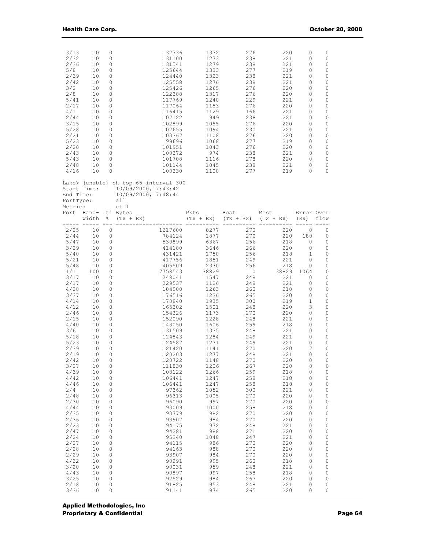| 3/13                              | 10                                                             | 0  | 132736                                                                                                                    | 1372  | 276  | 220                                         | 0                  | 0        |
|-----------------------------------|----------------------------------------------------------------|----|---------------------------------------------------------------------------------------------------------------------------|-------|------|---------------------------------------------|--------------------|----------|
| 2/32                              | 10                                                             | 0  | 131100                                                                                                                    | 1273  | 238  | 221                                         | 0                  | 0        |
| 2/36                              | 10                                                             | 0  | 131541                                                                                                                    | 1279  | 238  | 221                                         | 0                  | 0        |
| 5/8                               | 10                                                             | 0  | 125644                                                                                                                    | 1333  | 277  | 219                                         | 0                  | 0        |
| 2/39                              | 10                                                             | 0  | 124440                                                                                                                    | 1323  | 238  | 221                                         | 0                  | 0        |
| 2/42                              | 10                                                             | 0  | 125558                                                                                                                    | 1276  | 238  | 221                                         | 0                  | 0        |
| 3/2                               | 10                                                             | 0  | 125426                                                                                                                    | 1265  | 276  | 220                                         | 0                  | 0        |
| 2/8                               | 10                                                             | 0  | 122388                                                                                                                    | 1317  | 276  | 220                                         | 0                  | 0        |
| 5/41                              | 10                                                             | 0  | 117769                                                                                                                    | 1240  | 229  | 221                                         | 0                  | 0        |
| 2/17                              | 10                                                             | 0  | 117064                                                                                                                    | 1153  | 276  | 220                                         | 0                  | 0        |
| 4/1                               | 10                                                             | 0  | 116415                                                                                                                    | 1129  | 166  | 221                                         | 0                  | 0        |
| 2/44                              | 10                                                             | 0  | 107122                                                                                                                    | 949   | 238  | 221                                         | 0                  | 0        |
| 3/15                              | 10                                                             | 0  | 102899                                                                                                                    | 1055  | 276  | 220                                         | 0                  | 0        |
| 5/28                              | 10                                                             | 0  | 102655                                                                                                                    | 1094  | 230  | 221                                         | 0                  | 0        |
| 2/21                              | 10                                                             | 0  | 103367                                                                                                                    | 1108  | 276  | 220                                         | 0                  | 0        |
| 5/23                              | 10                                                             | 0  | 99696                                                                                                                     | 1068  | 277  | 219                                         | 0                  | 0        |
| 2/20                              | 10                                                             | 0  | 101951                                                                                                                    | 1043  | 276  | 220                                         | 0                  | 0        |
| 2/43                              | 10                                                             | 0  | 100372                                                                                                                    | 974   | 238  | 221                                         | 0                  | 0        |
| 5/43                              | 10                                                             | 0  | 101708                                                                                                                    | 1116  | 278  | 220                                         | 0                  | 0        |
| 2/48                              | 10                                                             | 0  | 101144                                                                                                                    | 1045  | 238  | 221                                         | 0                  | 0        |
| 4/16                              | 10                                                             | 0  | 100330                                                                                                                    | 1100  | 277  | 219                                         | 0                  | 0        |
| End Time:<br>PortType:<br>Metric: | Start Time:<br>Port Band- Uti Bytes<br>width<br>---- ----- --- | ိင | Lake> (enable) sh top 65 interval 300<br>10/09/2000,17:43:42<br>10/09/2000, 17:48:44<br>all<br>util<br>Bytes<br>(Tx + Rx) | Pkts  | Bost | Mcst<br>$(Tx + Rx)$ $(Tx + Rx)$ $(Tx + Rx)$ | Error Over<br>(Rx) | flow     |
| 2/25                              | 10                                                             | 0  | 1217600                                                                                                                   | 8277  | 270  | 220                                         | 0                  | 0        |
| 2/44                              | 10                                                             | 0  | 784124                                                                                                                    | 1877  | 270  | 220                                         | 180                | 0        |
| 5/47                              | 10                                                             | 0  | 530899                                                                                                                    | 6367  | 256  | 218                                         | 0                  | 0        |
| 3/29                              | 10                                                             | 0  | 414180                                                                                                                    | 3646  | 266  | 220                                         | 0                  | 0        |
| 5/40                              | 10                                                             | 0  | 431421                                                                                                                    | 1750  | 256  | 218                                         | 1                  | 0        |
| 5/21                              | 10                                                             | 0  | 417756                                                                                                                    | 1851  | 249  | 221                                         | 0                  | 0        |
| 5/48                              | 10                                                             | 0  | 405509                                                                                                                    | 2330  | 256  | 218                                         | 0                  | 0        |
| 1/1                               | 100                                                            | 0  | 7758543                                                                                                                   | 38829 | 0    | 38829                                       | 1064               | 0        |
| 3/17                              | 10                                                             | 0  | 248041                                                                                                                    | 1547  | 248  | 221                                         | 0                  | 0        |
| 2/17                              | 10                                                             | 0  | 229537                                                                                                                    | 1126  | 248  | 221                                         | 0                  | 0        |
| 4/28                              | 10                                                             | 0  | 184908                                                                                                                    | 1263  | 260  | 218                                         | 0                  | 0        |
| 3/37                              | 10                                                             | 0  | 176516                                                                                                                    | 1236  | 265  | 220                                         | 0                  | 0        |
| 4/14                              | 10                                                             | 0  | 170840                                                                                                                    | 1935  | 300  | 219                                         | 1                  | 0        |
| 4/12                              | 10                                                             | 0  | 165302                                                                                                                    | 1501  | 248  | 220                                         | 3                  | 0        |
| 2/46                              | 10                                                             | 0  | 154326                                                                                                                    | 1173  | 270  | 220                                         | 0                  | 0        |
| 2/15                              | 10                                                             | 0  | 152090                                                                                                                    | 1228  | 248  | 221                                         | 0                  | 0        |
| 4/40                              | 10                                                             | 0  | 143050                                                                                                                    | 1606  | 259  | 218                                         | 0                  | 0        |
| 3/6                               | 10                                                             | 0  | 131509                                                                                                                    | 1335  | 248  | 221                                         | 0                  | 0        |
| 5/18                              | 10                                                             | 0  | 124843                                                                                                                    | 1284  | 249  | 221                                         | 0                  | 0        |
| 5/23                              | 10                                                             | 0  | 124587                                                                                                                    | 1271  | 249  | 221                                         | 0                  | 0        |
| 2/39                              | 10                                                             | 0  | 121420                                                                                                                    | 1141  | 270  | 220                                         | 7                  | 0        |
| 2/19                              | 10                                                             | 0  | 120203                                                                                                                    | 1277  | 248  | 221                                         | $\Omega$           | $\Omega$ |
| 2/42                              | 10                                                             | 0  | 120722                                                                                                                    | 1148  | 270  | 220                                         | $\mathbb O$        | 0        |
| 3/27                              | 10                                                             | 0  | 111830                                                                                                                    | 1206  | 267  | 220                                         | 0                  | 0        |
| 4/39                              | 10                                                             | 0  | 108122                                                                                                                    | 1266  | 259  | 218                                         | 0                  | 0        |
| 4/42                              | 10                                                             | 0  | 106441                                                                                                                    | 1247  | 258  | 218                                         | 0                  | 0        |
| 4/46                              | 10                                                             | 0  | 106441                                                                                                                    | 1247  | 258  | 218                                         | 0                  | 0        |
| 2/4                               | 10                                                             | 0  | 97362                                                                                                                     | 1052  | 300  | 221                                         | 0                  | 0        |
| 2/48                              | 10                                                             | 0  | 96313                                                                                                                     | 1005  | 270  | 220                                         | 0                  | 0        |
| 2/30                              | 10                                                             | 0  | 96090                                                                                                                     | 997   | 270  | 220                                         | 0                  | 0        |
| 4/44                              | 10                                                             | 0  | 93009                                                                                                                     | 1000  | 258  | 218                                         | 0                  | 0        |
| 2/35                              | 10                                                             | 0  | 93779                                                                                                                     | 982   | 270  | 220                                         | 0                  | 0        |
| 2/36                              | 10                                                             | 0  | 93907                                                                                                                     | 984   | 270  | 220                                         | 0                  | 0        |
| 2/23                              | 10                                                             | 0  | 94175                                                                                                                     | 972   | 248  | 221                                         | 0                  | 0        |
| 2/47                              | 10                                                             | 0  | 94281                                                                                                                     | 988   | 271  | 220                                         | 0                  | 0        |
| 2/24                              | 10                                                             | 0  | 95340                                                                                                                     | 1048  | 247  | 221                                         | 0                  | 0        |
| 2/27                              | 10                                                             | 0  | 94115                                                                                                                     | 986   | 270  | 220                                         | 0                  | 0        |
| 2/28                              | 10                                                             | 0  | 94163                                                                                                                     | 988   | 270  | 220                                         | 0                  | 0        |
| 2/29                              | 10                                                             | 0  | 93907                                                                                                                     | 984   | 270  | 220                                         | 0                  | 0        |
| 4/32                              | 10                                                             | 0  | 90291                                                                                                                     | 995   | 260  | 218                                         | 0                  | 0        |
| 3/20                              | 10                                                             | 0  | 90031                                                                                                                     | 959   | 248  | 221                                         | 0                  | 0        |
| 4/43                              | 10                                                             | 0  | 90897                                                                                                                     | 997   | 258  | 218                                         | 0                  | 0        |
| 3/25                              | 10                                                             | 0  | 92529                                                                                                                     | 984   | 267  | 220                                         | 0                  | 0        |
| 2/18                              | 10                                                             | 0  | 91825                                                                                                                     | 953   | 248  | 221                                         | 0                  | 0        |
| 3/36                              | 10                                                             | 0  | 91141                                                                                                                     | 974   | 265  | 220                                         | 0                  | 0        |

Applied Methodologies, Inc Proprietary & Confidential **Proprietary & Confidential**